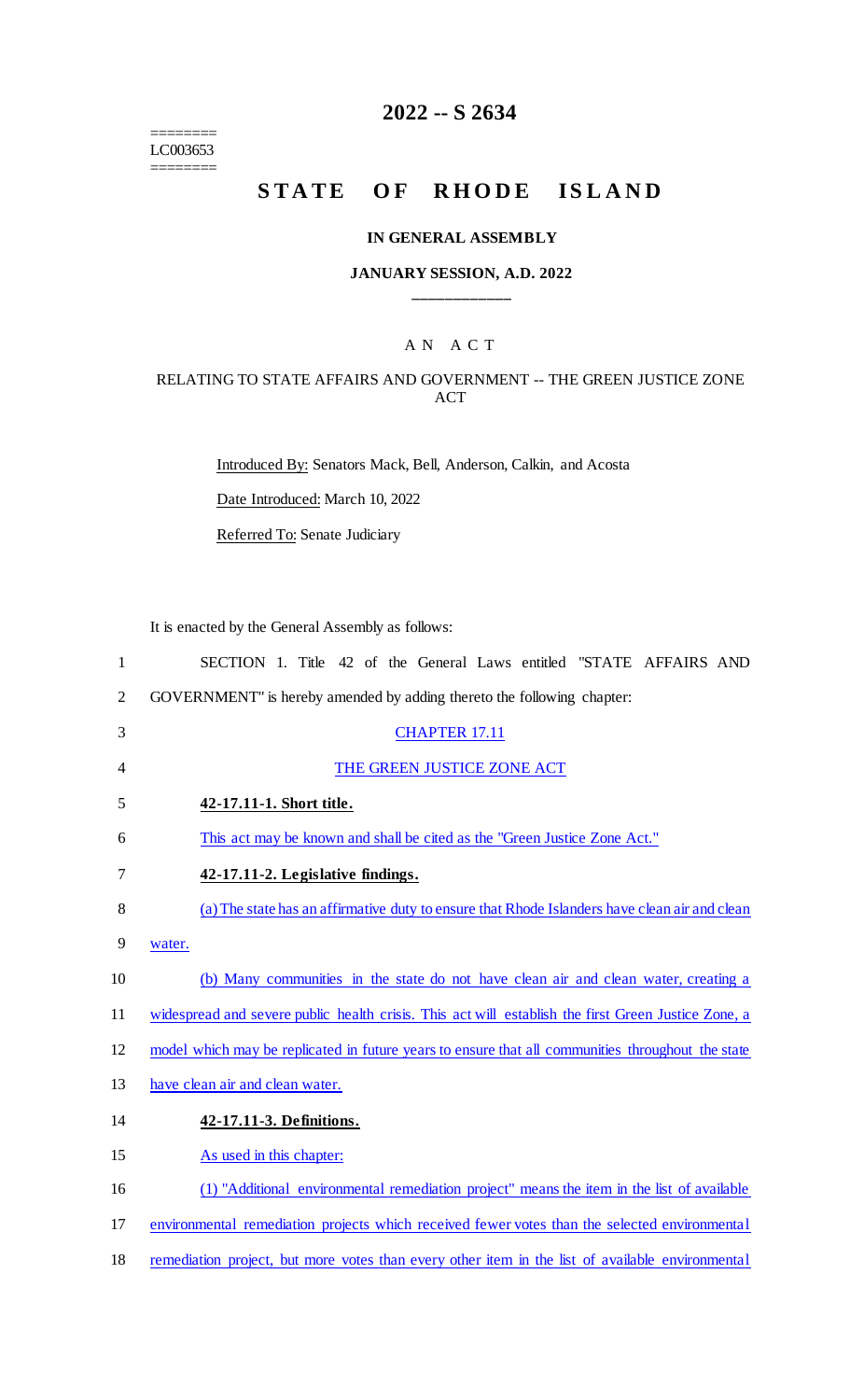======== LC003653 ========

# **2022 -- S 2634**

# **STATE OF RHODE ISLAND**

#### **IN GENERAL ASSEMBLY**

## **JANUARY SESSION, A.D. 2022 \_\_\_\_\_\_\_\_\_\_\_\_**

# A N A C T

## RELATING TO STATE AFFAIRS AND GOVERNMENT -- THE GREEN JUSTICE ZONE ACT

Introduced By: Senators Mack, Bell, Anderson, Calkin, and Acosta

Date Introduced: March 10, 2022

Referred To: Senate Judiciary

It is enacted by the General Assembly as follows:

| $\mathbf{1}$   | SECTION 1. Title 42 of the General Laws entitled "STATE AFFAIRS AND                                 |
|----------------|-----------------------------------------------------------------------------------------------------|
| $\overline{2}$ | GOVERNMENT" is hereby amended by adding thereto the following chapter:                              |
| 3              | <b>CHAPTER 17.11</b>                                                                                |
| $\overline{4}$ | THE GREEN JUSTICE ZONE ACT                                                                          |
| 5              | 42-17.11-1. Short title.                                                                            |
| 6              | This act may be known and shall be cited as the "Green Justice Zone Act."                           |
| 7              | 42-17.11-2. Legislative findings.                                                                   |
| 8              | (a) The state has an affirmative duty to ensure that Rhode Islanders have clean air and clean       |
| 9              | water.                                                                                              |
| 10             | (b) Many communities in the state do not have clean air and clean water, creating a                 |
| 11             | widespread and severe public health crisis. This act will establish the first Green Justice Zone, a |
| 12             | model which may be replicated in future years to ensure that all communities throughout the state   |
| 13             | have clean air and clean water.                                                                     |
| 14             | 42-17.11-3. Definitions.                                                                            |
| 15             | As used in this chapter:                                                                            |
| 16             | (1) "Additional environmental remediation project" means the item in the list of available          |
| 17             | environmental remediation projects which received fewer votes than the selected environmental       |
| 18             | remediation project, but more votes than every other item in the list of available environmental    |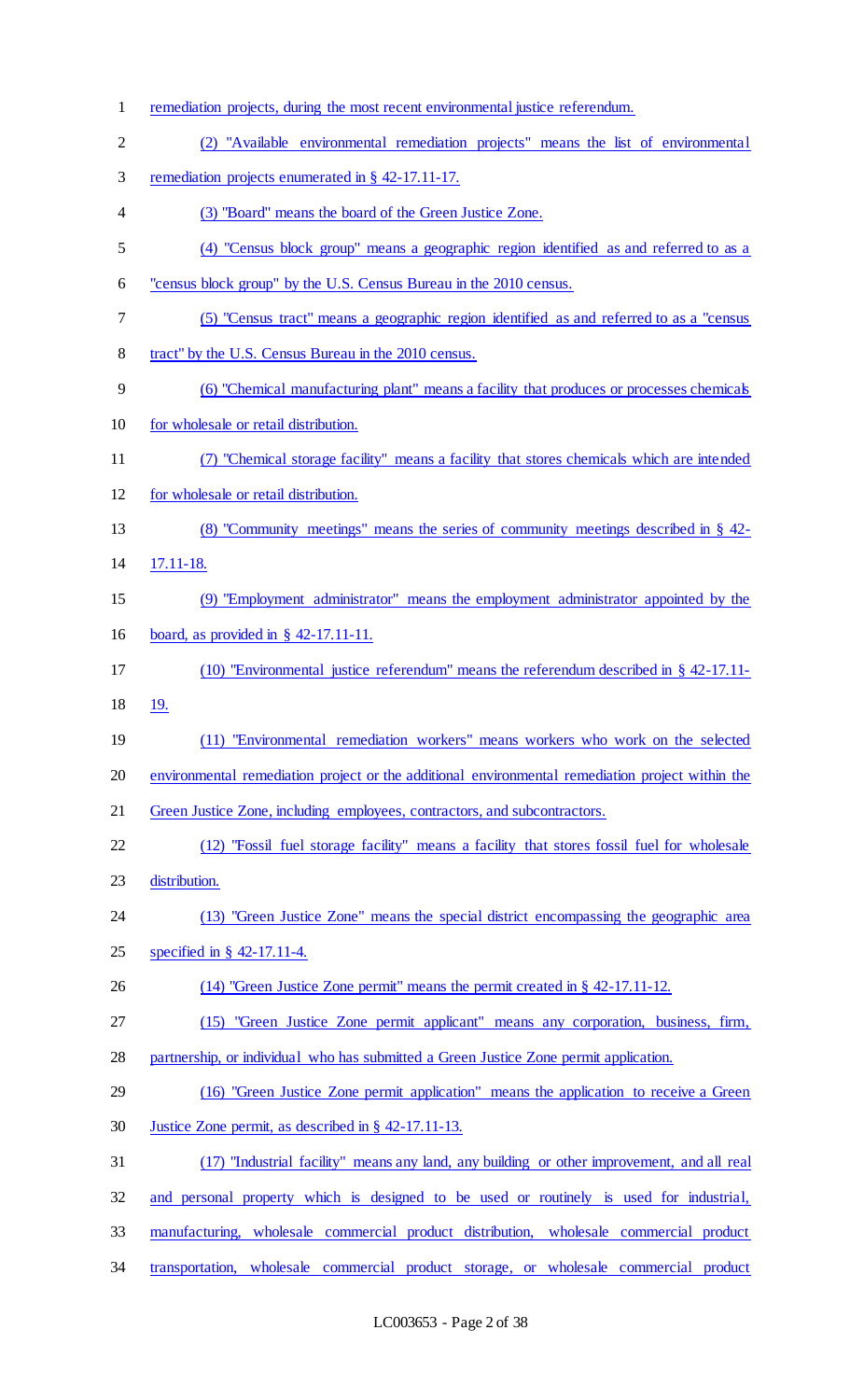remediation projects, during the most recent environmental justice referendum. (2) "Available environmental remediation projects" means the list of environmental 3 remediation projects enumerated in § 42-17.11-17. (3) "Board" means the board of the Green Justice Zone. (4) "Census block group" means a geographic region identified as and referred to as a "census block group" by the U.S. Census Bureau in the 2010 census. (5) "Census tract" means a geographic region identified as and referred to as a "census tract" by the U.S. Census Bureau in the 2010 census. (6) "Chemical manufacturing plant" means a facility that produces or processes chemicals for wholesale or retail distribution. (7) "Chemical storage facility" means a facility that stores chemicals which are intended for wholesale or retail distribution. (8) "Community meetings" means the series of community meetings described in § 42- 17.11-18. (9) "Employment administrator" means the employment administrator appointed by the board, as provided in § 42-17.11-11. (10) "Environmental justice referendum" means the referendum described in § 42-17.11- 19. (11) "Environmental remediation workers" means workers who work on the selected environmental remediation project or the additional environmental remediation project within the Green Justice Zone, including employees, contractors, and subcontractors. (12) "Fossil fuel storage facility" means a facility that stores fossil fuel for wholesale distribution. (13) "Green Justice Zone" means the special district encompassing the geographic area specified in § 42-17.11-4. (14) "Green Justice Zone permit" means the permit created in § 42-17.11-12. (15) "Green Justice Zone permit applicant" means any corporation, business, firm, partnership, or individual who has submitted a Green Justice Zone permit application. 29 (16) "Green Justice Zone permit application" means the application to receive a Green Justice Zone permit, as described in § 42-17.11-13. (17) "Industrial facility" means any land, any building or other improvement, and all real and personal property which is designed to be used or routinely is used for industrial, manufacturing, wholesale commercial product distribution, wholesale commercial product transportation, wholesale commercial product storage, or wholesale commercial product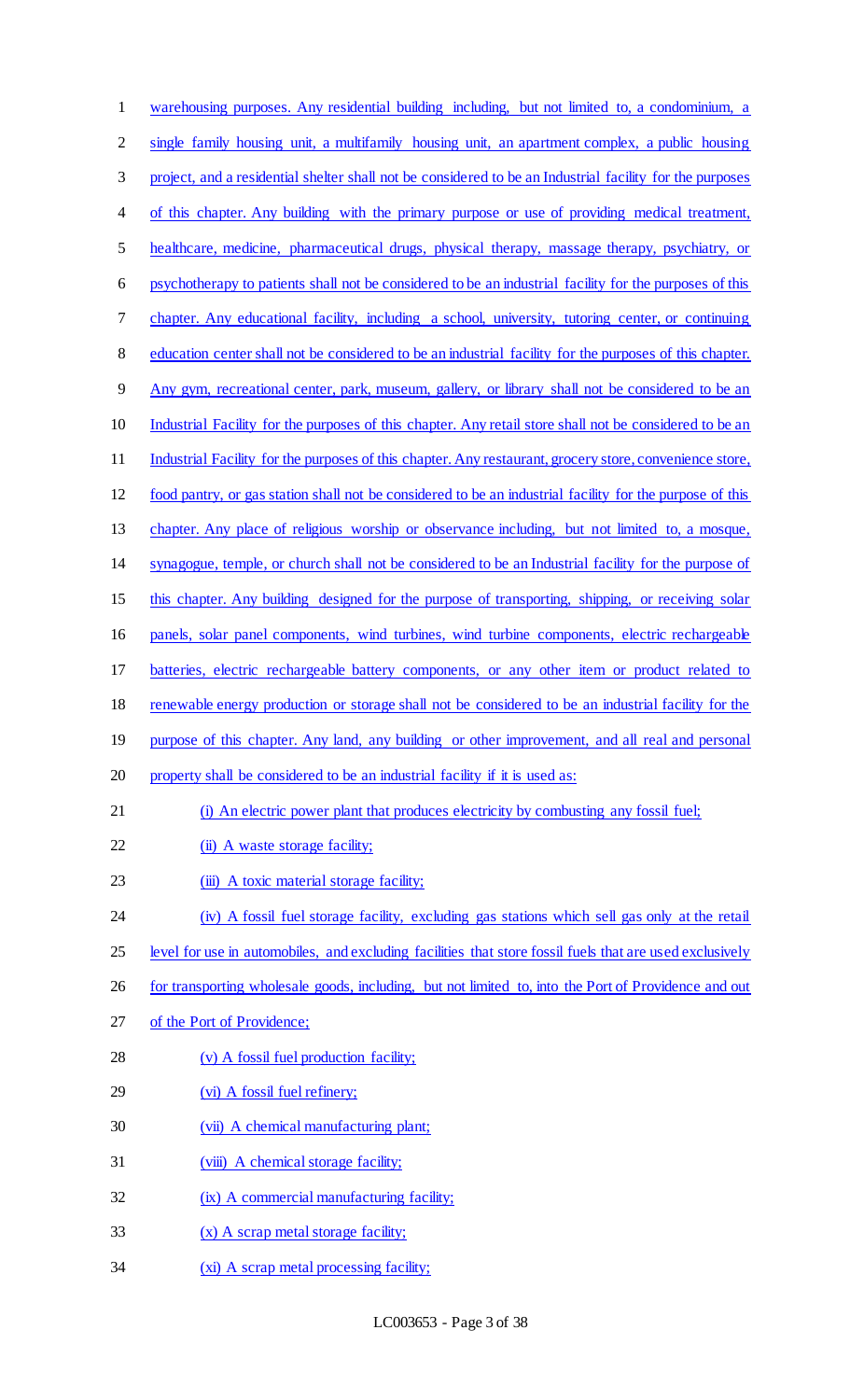| $\mathbf{1}$   | warehousing purposes. Any residential building including, but not limited to, a condominium, a           |
|----------------|----------------------------------------------------------------------------------------------------------|
| $\overline{2}$ | single family housing unit, a multifamily housing unit, an apartment complex, a public housing           |
| 3              | project, and a residential shelter shall not be considered to be an Industrial facility for the purposes |
| $\overline{4}$ | of this chapter. Any building with the primary purpose or use of providing medical treatment,            |
| 5              | healthcare, medicine, pharmaceutical drugs, physical therapy, massage therapy, psychiatry, or            |
| 6              | psychotherapy to patients shall not be considered to be an industrial facility for the purposes of this  |
| 7              | chapter. Any educational facility, including a school, university, tutoring center, or continuing        |
| 8              | education center shall not be considered to be an industrial facility for the purposes of this chapter.  |
| 9              | Any gym, recreational center, park, museum, gallery, or library shall not be considered to be an         |
| 10             | Industrial Facility for the purposes of this chapter. Any retail store shall not be considered to be an  |
| 11             | Industrial Facility for the purposes of this chapter. Any restaurant, grocery store, convenience store,  |
| 12             | food pantry, or gas station shall not be considered to be an industrial facility for the purpose of this |
| 13             | chapter. Any place of religious worship or observance including, but not limited to, a mosque,           |
| 14             | synagogue, temple, or church shall not be considered to be an Industrial facility for the purpose of     |
| 15             | this chapter. Any building designed for the purpose of transporting, shipping, or receiving solar        |
| 16             | panels, solar panel components, wind turbines, wind turbine components, electric rechargeable            |
| 17             | batteries, electric rechargeable battery components, or any other item or product related to             |
| 18             | renewable energy production or storage shall not be considered to be an industrial facility for the      |
| 19             | purpose of this chapter. Any land, any building or other improvement, and all real and personal          |
| 20             | property shall be considered to be an industrial facility if it is used as:                              |
| 21             | (i) An electric power plant that produces electricity by combusting any fossil fuel;                     |
| 22             | (ii) A waste storage facility;                                                                           |
| 23             | (iii) A toxic material storage facility;                                                                 |
| 24             | (iv) A fossil fuel storage facility, excluding gas stations which sell gas only at the retail            |
| 25             | level for use in automobiles, and excluding facilities that store fossil fuels that are used exclusively |
| 26             | for transporting wholesale goods, including, but not limited to, into the Port of Providence and out     |
| 27             | of the Port of Providence;                                                                               |
| 28             | (v) A fossil fuel production facility;                                                                   |
| 29             | (vi) A fossil fuel refinery;                                                                             |
| 30             | (vii) A chemical manufacturing plant;                                                                    |
| 31             | (viii) A chemical storage facility;                                                                      |
| 32             | (ix) A commercial manufacturing facility;                                                                |
| 33             | $(x)$ A scrap metal storage facility;                                                                    |
| 34             | (xi) A scrap metal processing facility;                                                                  |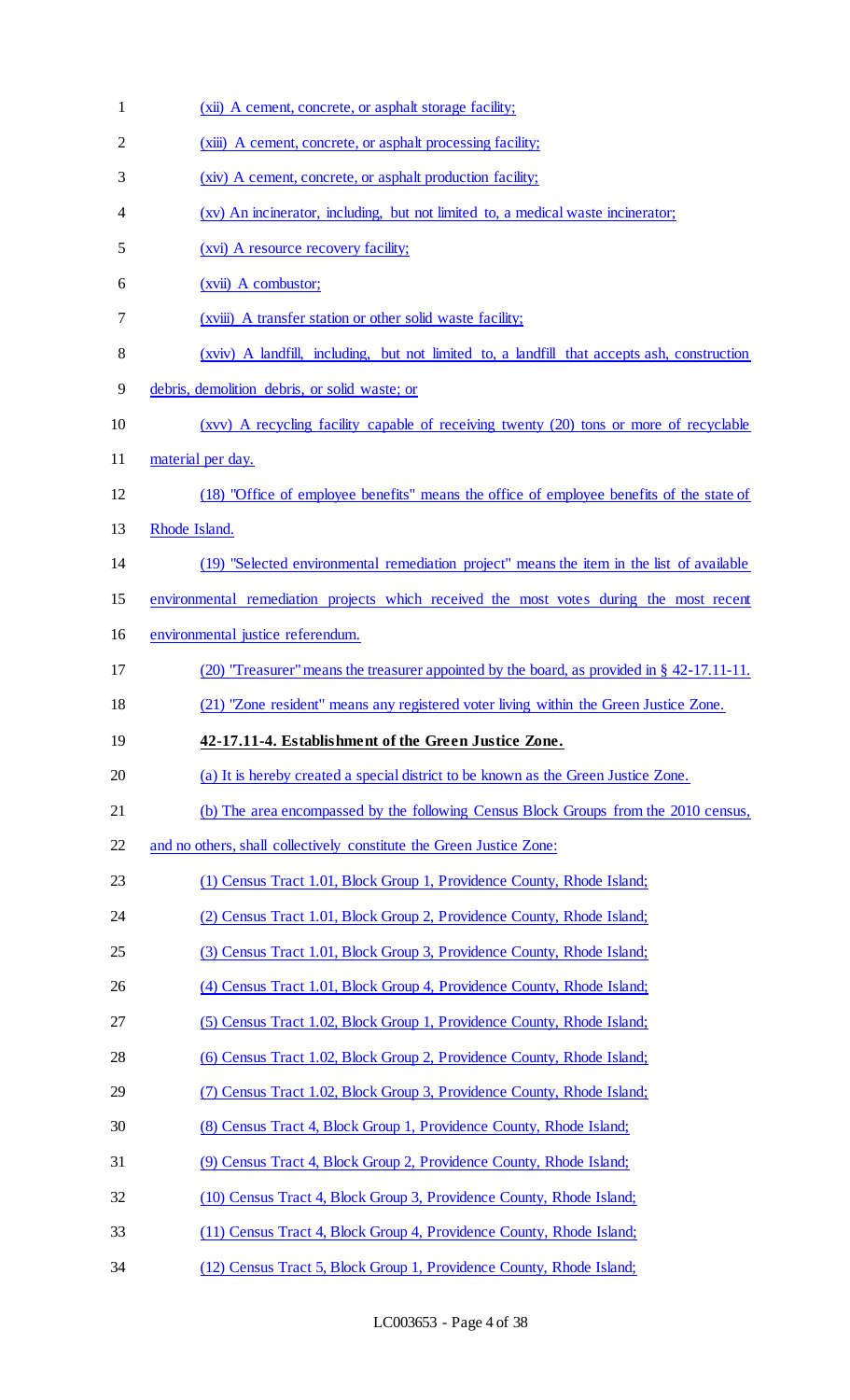| $\mathbf{1}$   | (xii) A cement, concrete, or asphalt storage facility;                                        |
|----------------|-----------------------------------------------------------------------------------------------|
| $\overline{2}$ | (xiii) A cement, concrete, or asphalt processing facility;                                    |
| 3              | (xiv) A cement, concrete, or asphalt production facility;                                     |
| 4              | (xv) An incinerator, including, but not limited to, a medical waste incinerator;              |
| 5              | (xvi) A resource recovery facility;                                                           |
| 6              | $(xvii)$ A combustor;                                                                         |
| 7              | (xviii) A transfer station or other solid waste facility;                                     |
| 8              | (xviv) A landfill, including, but not limited to, a landfill that accepts ash, construction   |
| 9              | debris, demolition debris, or solid waste; or                                                 |
| 10             | (xvv) A recycling facility capable of receiving twenty (20) tons or more of recyclable        |
| 11             | material per day.                                                                             |
| 12             | (18) "Office of employee benefits" means the office of employee benefits of the state of      |
| 13             | Rhode Island.                                                                                 |
| 14             | (19) "Selected environmental remediation project" means the item in the list of available     |
| 15             | environmental remediation projects which received the most votes during the most recent       |
| 16             | environmental justice referendum.                                                             |
| 17             | (20) "Treasurer" means the treasurer appointed by the board, as provided in $\S$ 42-17.11-11. |
| 18             | (21) "Zone resident" means any registered voter living within the Green Justice Zone.         |
| 19             | 42-17.11-4. Establishment of the Green Justice Zone.                                          |
| 20             | (a) It is hereby created a special district to be known as the Green Justice Zone.            |
| 21             | (b) The area encompassed by the following Census Block Groups from the 2010 census,           |
| 22             | and no others, shall collectively constitute the Green Justice Zone:                          |
| 23             | (1) Census Tract 1.01, Block Group 1, Providence County, Rhode Island;                        |
| 24             | (2) Census Tract 1.01, Block Group 2, Providence County, Rhode Island;                        |
| 25             | (3) Census Tract 1.01, Block Group 3, Providence County, Rhode Island;                        |
| 26             | (4) Census Tract 1.01, Block Group 4, Providence County, Rhode Island;                        |
| 27             | (5) Census Tract 1.02, Block Group 1, Providence County, Rhode Island;                        |
| 28             | (6) Census Tract 1.02, Block Group 2, Providence County, Rhode Island;                        |
| 29             | (7) Census Tract 1.02, Block Group 3, Providence County, Rhode Island;                        |
| 30             | (8) Census Tract 4, Block Group 1, Providence County, Rhode Island;                           |
| 31             | (9) Census Tract 4, Block Group 2, Providence County, Rhode Island;                           |
| 32             | (10) Census Tract 4, Block Group 3, Providence County, Rhode Island;                          |
| 33             | (11) Census Tract 4, Block Group 4, Providence County, Rhode Island;                          |
| 34             | (12) Census Tract 5, Block Group 1, Providence County, Rhode Island;                          |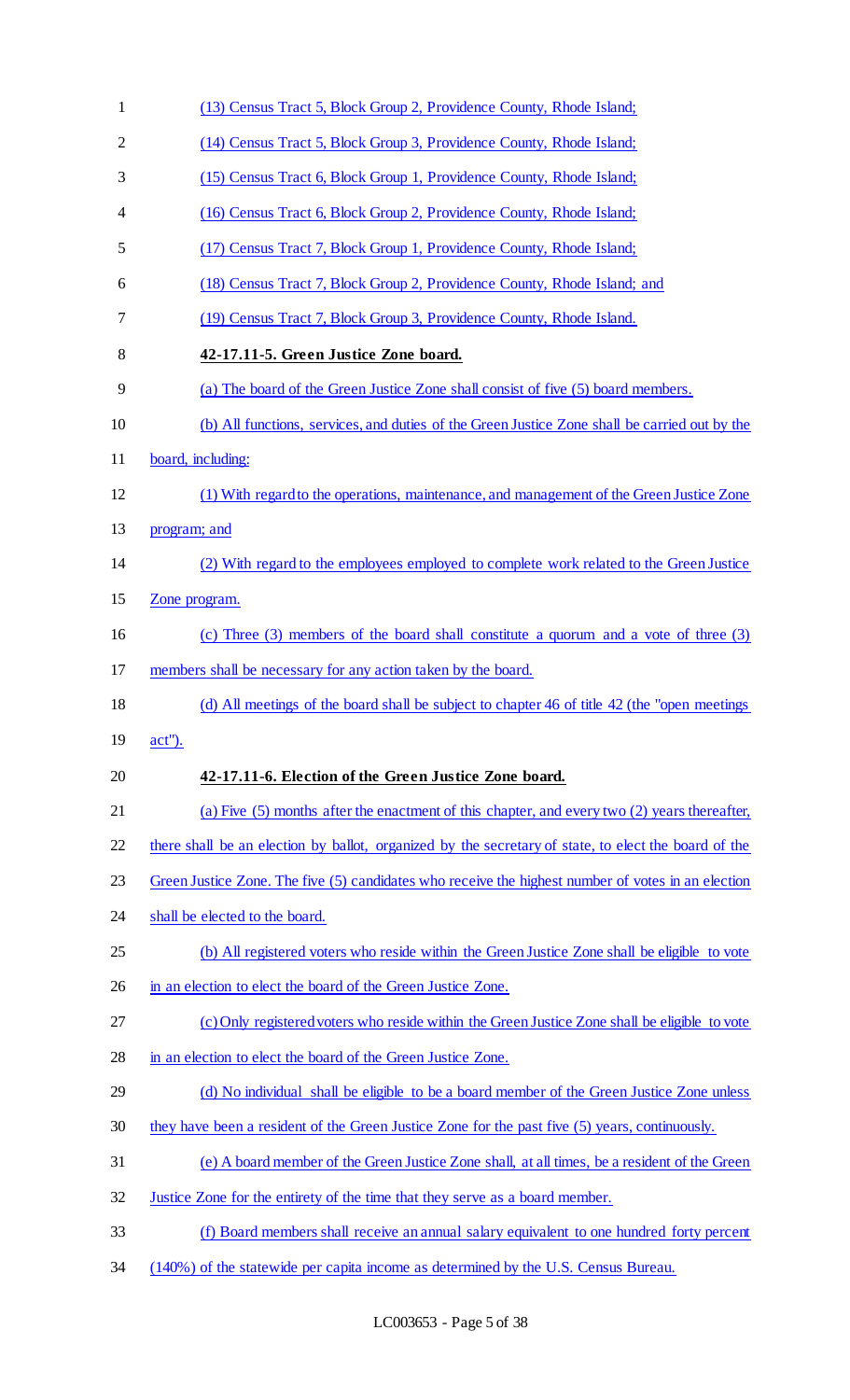| $\mathbf{1}$   | (13) Census Tract 5, Block Group 2, Providence County, Rhode Island;                                 |  |
|----------------|------------------------------------------------------------------------------------------------------|--|
| $\overline{2}$ | (14) Census Tract 5, Block Group 3, Providence County, Rhode Island;                                 |  |
| 3              | (15) Census Tract 6, Block Group 1, Providence County, Rhode Island;                                 |  |
| 4              | (16) Census Tract 6, Block Group 2, Providence County, Rhode Island;                                 |  |
| 5              | (17) Census Tract 7, Block Group 1, Providence County, Rhode Island;                                 |  |
| 6              | (18) Census Tract 7, Block Group 2, Providence County, Rhode Island; and                             |  |
| 7              | (19) Census Tract 7, Block Group 3, Providence County, Rhode Island.                                 |  |
| 8              | 42-17.11-5. Green Justice Zone board.                                                                |  |
| 9              | (a) The board of the Green Justice Zone shall consist of five (5) board members.                     |  |
| 10             | (b) All functions, services, and duties of the Green Justice Zone shall be carried out by the        |  |
| 11             | board, including:                                                                                    |  |
| 12             | (1) With regard to the operations, maintenance, and management of the Green Justice Zone             |  |
| 13             | program; and                                                                                         |  |
| 14             | (2) With regard to the employees employed to complete work related to the Green Justice              |  |
| 15             | Zone program.                                                                                        |  |
| 16             | (c) Three (3) members of the board shall constitute a quorum and a vote of three (3)                 |  |
| 17             | members shall be necessary for any action taken by the board.                                        |  |
| 18             | (d) All meetings of the board shall be subject to chapter 46 of title 42 (the "open meetings"        |  |
| 19             | $act$ ").                                                                                            |  |
| 20             | 42-17.11-6. Election of the Green Justice Zone board.                                                |  |
| 21             | (a) Five (5) months after the enactment of this chapter, and every two (2) years thereafter,         |  |
| 22             | there shall be an election by ballot, organized by the secretary of state, to elect the board of the |  |
| 23             | Green Justice Zone. The five (5) candidates who receive the highest number of votes in an election   |  |
| 24             | shall be elected to the board.                                                                       |  |
| 25             | (b) All registered voters who reside within the Green Justice Zone shall be eligible to vote         |  |
| 26             | in an election to elect the board of the Green Justice Zone.                                         |  |
| 27             | (c) Only registered voters who reside within the Green Justice Zone shall be eligible to vote        |  |
| 28             | in an election to elect the board of the Green Justice Zone.                                         |  |
| 29             | (d) No individual shall be eligible to be a board member of the Green Justice Zone unless            |  |
| 30             | they have been a resident of the Green Justice Zone for the past five (5) years, continuously.       |  |
| 31             | (e) A board member of the Green Justice Zone shall, at all times, be a resident of the Green         |  |
| 32             | Justice Zone for the entirety of the time that they serve as a board member.                         |  |
| 33             | (f) Board members shall receive an annual salary equivalent to one hundred forty percent             |  |
| 34             | (140%) of the statewide per capita income as determined by the U.S. Census Bureau.                   |  |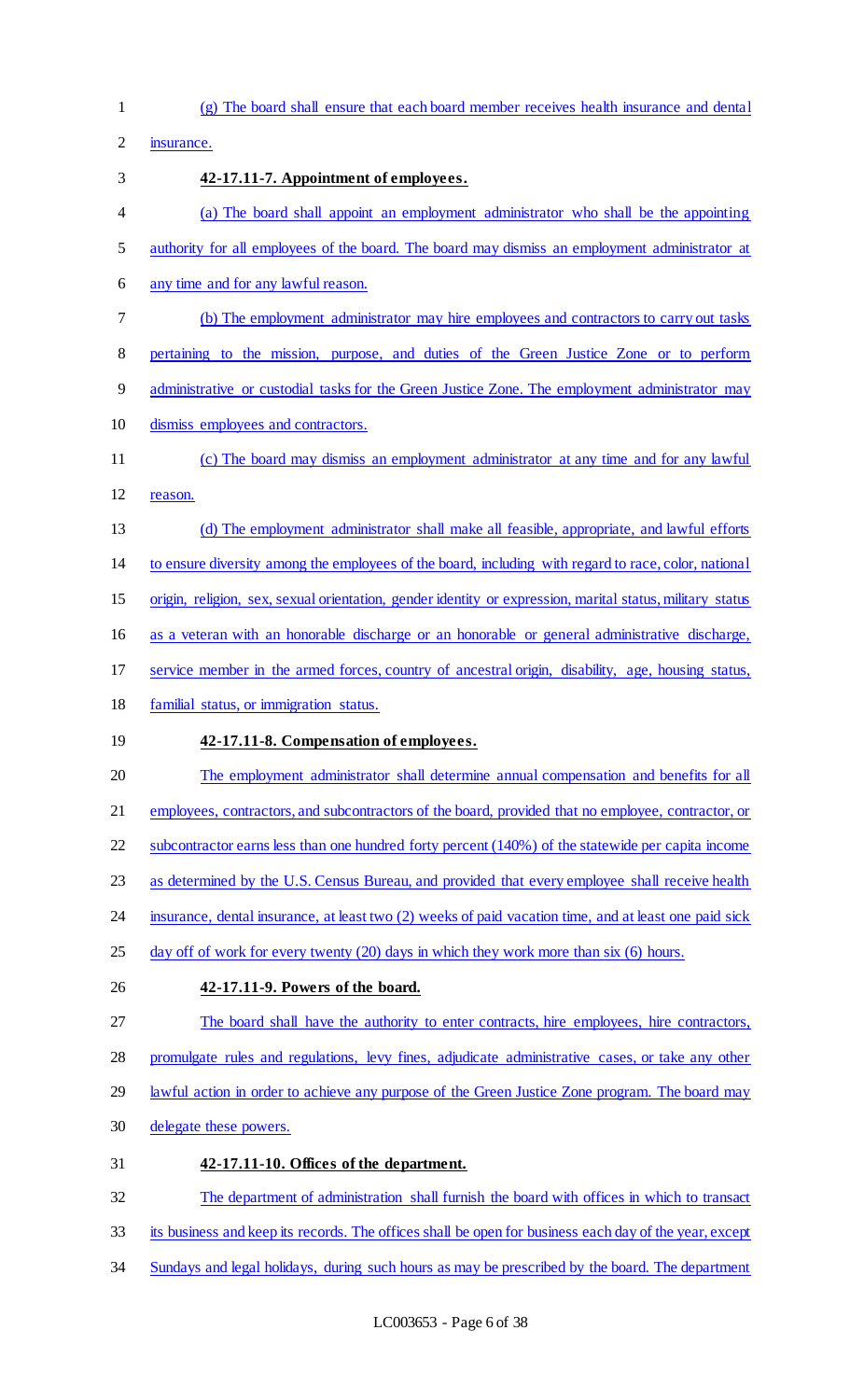(g) The board shall ensure that each board member receives health insurance and dental

insurance.

### **42-17.11-7. Appointment of employees.**

- (a) The board shall appoint an employment administrator who shall be the appointing
- authority for all employees of the board. The board may dismiss an employment administrator at
- any time and for any lawful reason.
- (b) The employment administrator may hire employees and contractors to carry out tasks
- pertaining to the mission, purpose, and duties of the Green Justice Zone or to perform
- administrative or custodial tasks for the Green Justice Zone. The employment administrator may
- dismiss employees and contractors.
- (c) The board may dismiss an employment administrator at any time and for any lawful reason.
- (d) The employment administrator shall make all feasible, appropriate, and lawful efforts
- to ensure diversity among the employees of the board, including with regard to race, color, national
- origin, religion, sex, sexual orientation, gender identity or expression, marital status, military status
- 16 as a veteran with an honorable discharge or an honorable or general administrative discharge,
- service member in the armed forces, country of ancestral origin, disability, age, housing status,
- familial status, or immigration status.

## **42-17.11-8. Compensation of employees.**

- The employment administrator shall determine annual compensation and benefits for all
- employees, contractors, and subcontractors of the board, provided that no employee, contractor, or
- subcontractor earns less than one hundred forty percent (140%) of the statewide per capita income
- as determined by the U.S. Census Bureau, and provided that every employee shall receive health
- 24 insurance, dental insurance, at least two (2) weeks of paid vacation time, and at least one paid sick
- 25 day off of work for every twenty (20) days in which they work more than six (6) hours.
- **42-17.11-9. Powers of the board.**
- 27 The board shall have the authority to enter contracts, hire employees, hire contractors,

promulgate rules and regulations, levy fines, adjudicate administrative cases, or take any other

- 29 lawful action in order to achieve any purpose of the Green Justice Zone program. The board may
- delegate these powers.
- **42-17.11-10. Offices of the department.**

The department of administration shall furnish the board with offices in which to transact

- 33 its business and keep its records. The offices shall be open for business each day of the year, except
- 34 Sundays and legal holidays, during such hours as may be prescribed by the board. The department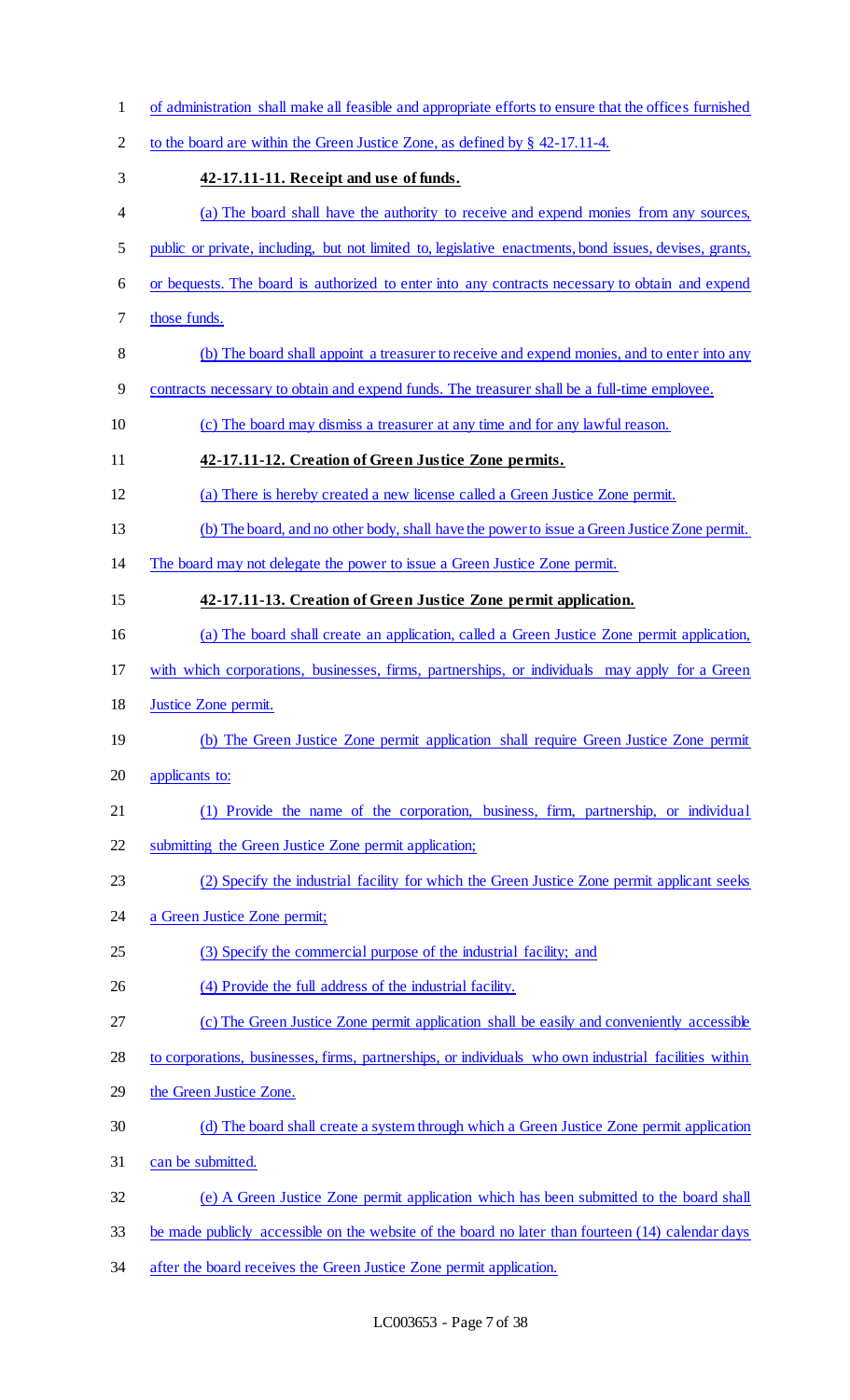- of administration shall make all feasible and appropriate efforts to ensure that the offices furnished to the board are within the Green Justice Zone, as defined by § 42-17.11-4. **42-17.11-11. Receipt and use of funds.**  4 (a) The board shall have the authority to receive and expend monies from any sources, public or private, including, but not limited to, legislative enactments, bond issues, devises, grants, or bequests. The board is authorized to enter into any contracts necessary to obtain and expend those funds. (b) The board shall appoint a treasurer to receive and expend monies, and to enter into any contracts necessary to obtain and expend funds. The treasurer shall be a full-time employee. (c) The board may dismiss a treasurer at any time and for any lawful reason. **42-17.11-12. Creation of Green Justice Zone permits.**  (a) There is hereby created a new license called a Green Justice Zone permit. (b) The board, and no other body, shall have the power to issue a Green Justice Zone permit. The board may not delegate the power to issue a Green Justice Zone permit. **42-17.11-13. Creation of Green Justice Zone permit application.**  (a) The board shall create an application, called a Green Justice Zone permit application, with which corporations, businesses, firms, partnerships, or individuals may apply for a Green Justice Zone permit. (b) The Green Justice Zone permit application shall require Green Justice Zone permit applicants to: (1) Provide the name of the corporation, business, firm, partnership, or individual 22 submitting the Green Justice Zone permit application; (2) Specify the industrial facility for which the Green Justice Zone permit applicant seeks 24 a Green Justice Zone permit; (3) Specify the commercial purpose of the industrial facility; and (4) Provide the full address of the industrial facility. 27 (c) The Green Justice Zone permit application shall be easily and conveniently accessible to corporations, businesses, firms, partnerships, or individuals who own industrial facilities within the Green Justice Zone. (d) The board shall create a system through which a Green Justice Zone permit application 31 can be submitted. (e) A Green Justice Zone permit application which has been submitted to the board shall be made publicly accessible on the website of the board no later than fourteen (14) calendar days
- 34 after the board receives the Green Justice Zone permit application.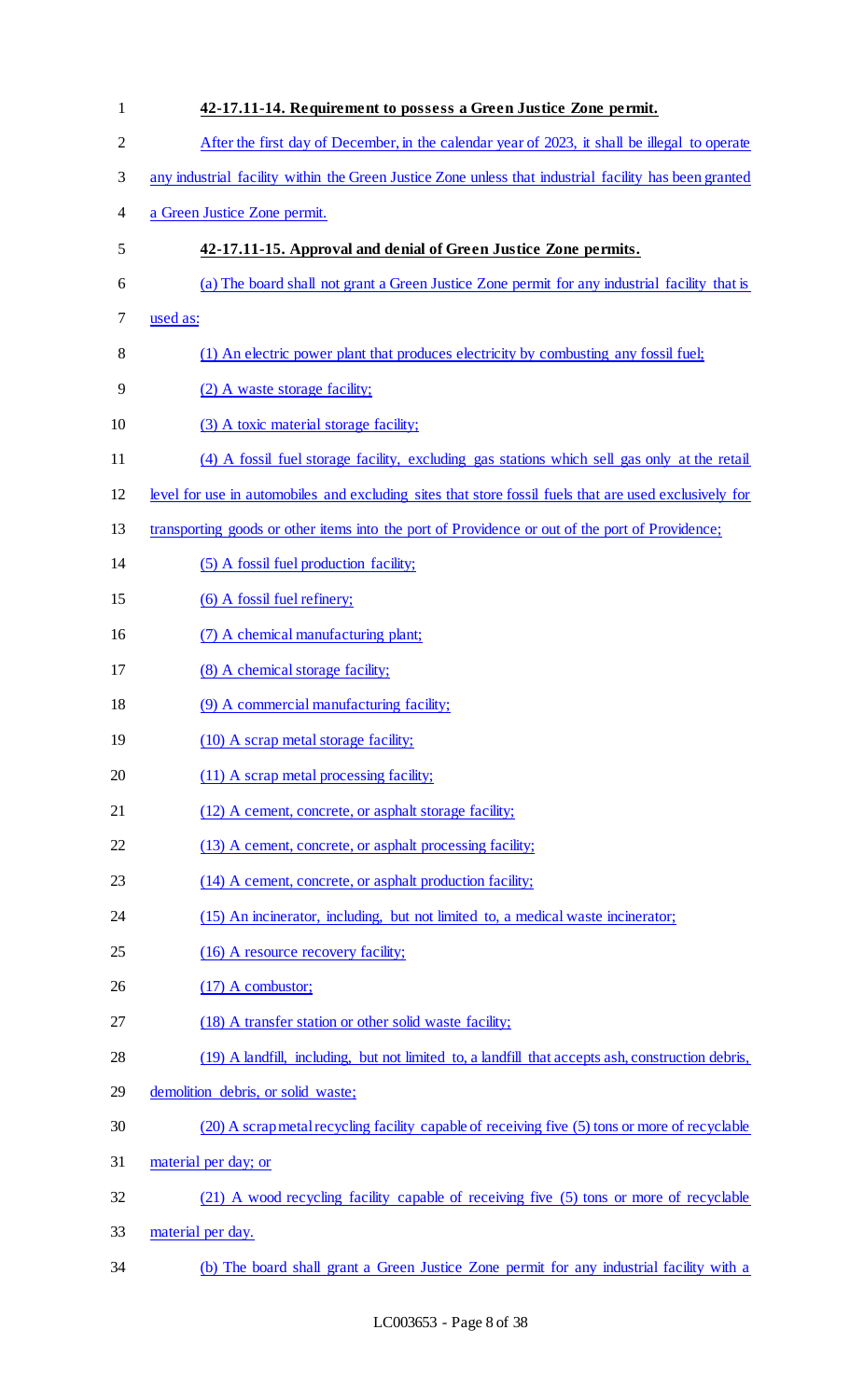| $\mathbf{1}$   | 42-17.11-14. Requirement to possess a Green Justice Zone permit.                                       |
|----------------|--------------------------------------------------------------------------------------------------------|
| $\overline{2}$ | After the first day of December, in the calendar year of 2023, it shall be illegal to operate          |
| $\mathfrak{Z}$ | any industrial facility within the Green Justice Zone unless that industrial facility has been granted |
| $\overline{4}$ | a Green Justice Zone permit.                                                                           |
| 5              | 42-17.11-15. Approval and denial of Green Justice Zone permits.                                        |
| 6              | (a) The board shall not grant a Green Justice Zone permit for any industrial facility that is          |
| 7              | used as:                                                                                               |
| 8              | (1) An electric power plant that produces electricity by combusting any fossil fuel;                   |
| 9              | (2) A waste storage facility;                                                                          |
| 10             | (3) A toxic material storage facility;                                                                 |
| 11             | (4) A fossil fuel storage facility, excluding gas stations which sell gas only at the retail           |
| 12             | level for use in automobiles and excluding sites that store fossil fuels that are used exclusively for |
| 13             | transporting goods or other items into the port of Providence or out of the port of Providence;        |
| 14             | (5) A fossil fuel production facility;                                                                 |
| 15             | (6) A fossil fuel refinery;                                                                            |
| 16             | (7) A chemical manufacturing plant;                                                                    |
| 17             | (8) A chemical storage facility;                                                                       |
| 18             | (9) A commercial manufacturing facility;                                                               |
| 19             | (10) A scrap metal storage facility;                                                                   |
| 20             | (11) A scrap metal processing facility;                                                                |
| 21             | (12) A cement, concrete, or asphalt storage facility;                                                  |
| 22             | (13) A cement, concrete, or asphalt processing facility;                                               |
| 23             | (14) A cement, concrete, or asphalt production facility;                                               |
| 24             | (15) An incinerator, including, but not limited to, a medical waste incinerator;                       |
| 25             | (16) A resource recovery facility;                                                                     |
| 26             | $(17)$ A combustor;                                                                                    |
| 27             | (18) A transfer station or other solid waste facility;                                                 |
| 28             | (19) A landfill, including, but not limited to, a landfill that accepts ash, construction debris,      |
| 29             | demolition debris, or solid waste;                                                                     |
| 30             | (20) A scrap metal recycling facility capable of receiving five (5) tons or more of recyclable         |
| 31             | material per day; or                                                                                   |
| 32             | (21) A wood recycling facility capable of receiving five (5) tons or more of recyclable                |
| 33             | material per day.                                                                                      |
| 34             | (b) The board shall grant a Green Justice Zone permit for any industrial facility with a               |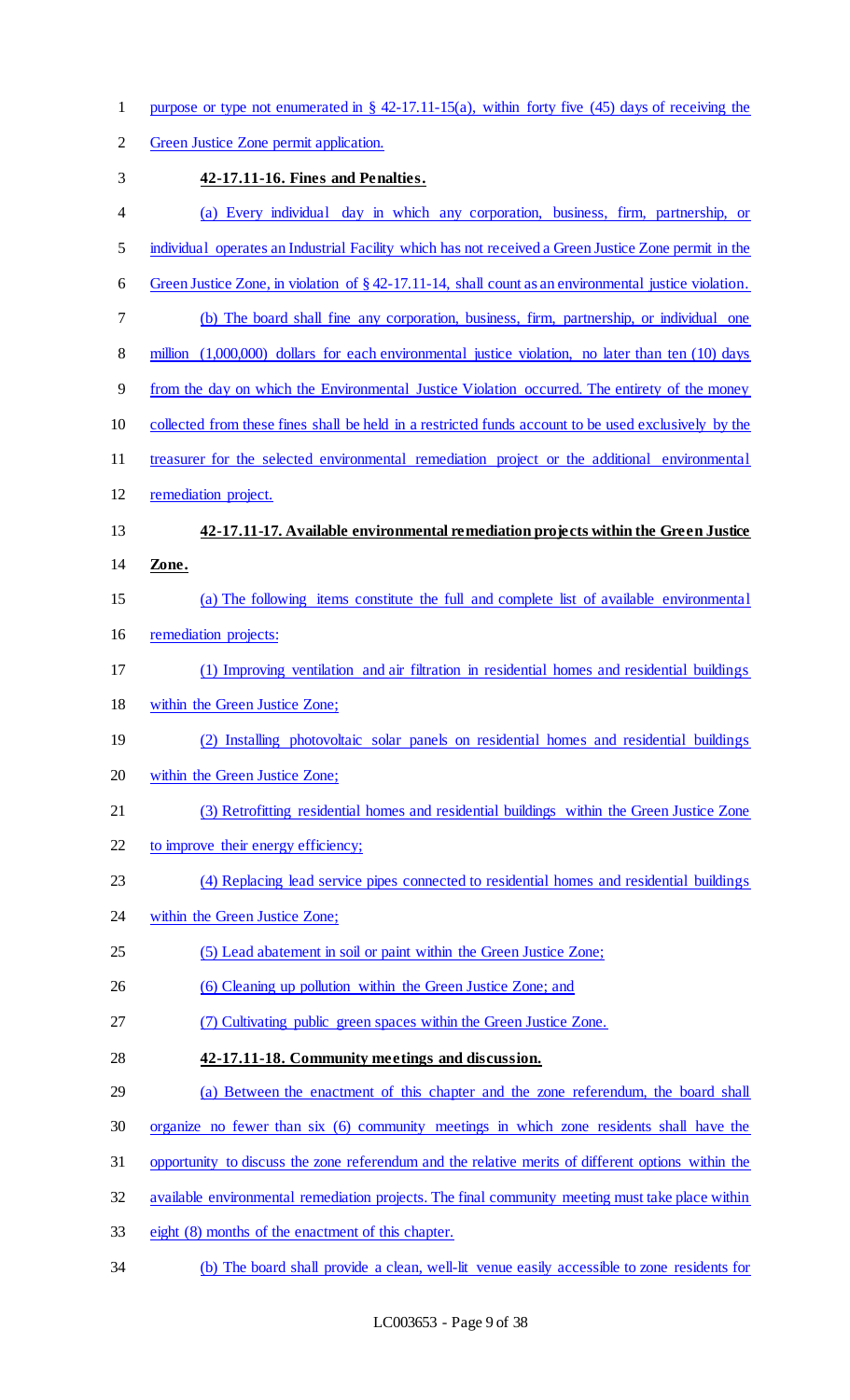1 purpose or type not enumerated in § 42-17.11-15(a), within forty five (45) days of receiving the

Green Justice Zone permit application.

 **42-17.11-16. Fines and Penalties.**  (a) Every individual day in which any corporation, business, firm, partnership, or individual operates an Industrial Facility which has not received a Green Justice Zone permit in the Green Justice Zone, in violation of § 42-17.11-14, shall count as an environmental justice violation. (b) The board shall fine any corporation, business, firm, partnership, or individual one 8 million (1,000,000) dollars for each environmental justice violation, no later than ten (10) days from the day on which the Environmental Justice Violation occurred. The entirety of the money collected from these fines shall be held in a restricted funds account to be used exclusively by the 11 treasurer for the selected environmental remediation project or the additional environmental remediation project. **42-17.11-17. Available environmental remediation projects within the Green Justice Zone.**  (a) The following items constitute the full and complete list of available environmental remediation projects: (1) Improving ventilation and air filtration in residential homes and residential buildings within the Green Justice Zone; (2) Installing photovoltaic solar panels on residential homes and residential buildings within the Green Justice Zone; (3) Retrofitting residential homes and residential buildings within the Green Justice Zone 22 to improve their energy efficiency; (4) Replacing lead service pipes connected to residential homes and residential buildings within the Green Justice Zone; (5) Lead abatement in soil or paint within the Green Justice Zone; 26 (6) Cleaning up pollution within the Green Justice Zone; and (7) Cultivating public green spaces within the Green Justice Zone. **42-17.11-18. Community meetings and discussion.**  (a) Between the enactment of this chapter and the zone referendum, the board shall organize no fewer than six (6) community meetings in which zone residents shall have the opportunity to discuss the zone referendum and the relative merits of different options within the 32 available environmental remediation projects. The final community meeting must take place within eight (8) months of the enactment of this chapter. (b) The board shall provide a clean, well-lit venue easily accessible to zone residents for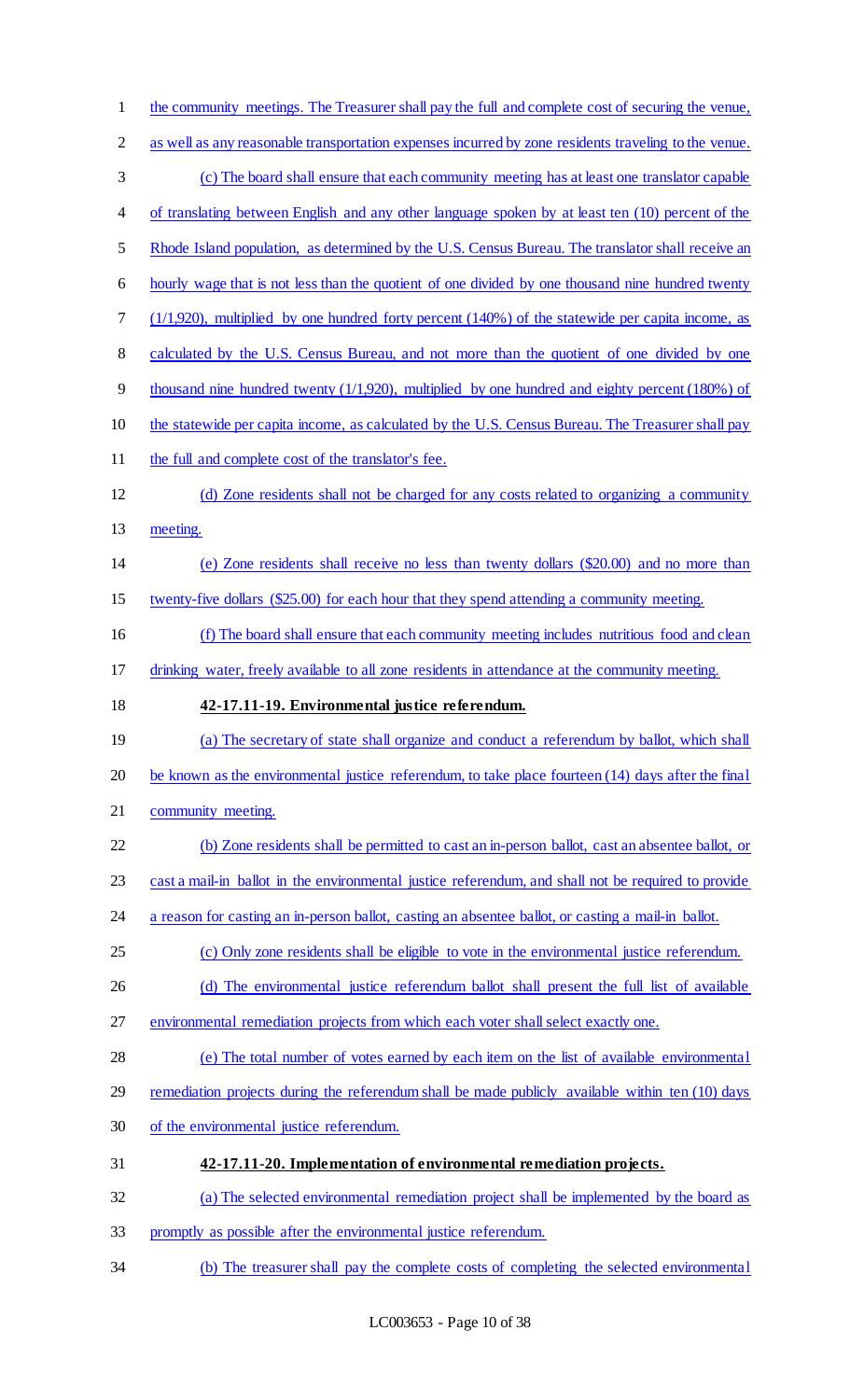| $\mathbf{1}$   | the community meetings. The Treasurer shall pay the full and complete cost of securing the venue,     |
|----------------|-------------------------------------------------------------------------------------------------------|
| $\overline{2}$ | as well as any reasonable transportation expenses incurred by zone residents traveling to the venue.  |
| $\mathfrak{Z}$ | (c) The board shall ensure that each community meeting has at least one translator capable            |
| $\overline{4}$ | of translating between English and any other language spoken by at least ten (10) percent of the      |
| 5              | Rhode Island population, as determined by the U.S. Census Bureau. The translator shall receive an     |
| 6              | hourly wage that is not less than the quotient of one divided by one thousand nine hundred twenty     |
| $\tau$         | $(1/1,920)$ , multiplied by one hundred forty percent $(140%)$ of the statewide per capita income, as |
| $8\,$          | calculated by the U.S. Census Bureau, and not more than the quotient of one divided by one            |
| 9              | thousand nine hundred twenty $(1/1,920)$ , multiplied by one hundred and eighty percent $(180%)$ of   |
| 10             | the statewide per capita income, as calculated by the U.S. Census Bureau. The Treasurer shall pay     |
| 11             | the full and complete cost of the translator's fee.                                                   |
| 12             | (d) Zone residents shall not be charged for any costs related to organizing a community               |
| 13             | meeting.                                                                                              |
| 14             | (e) Zone residents shall receive no less than twenty dollars (\$20.00) and no more than               |
| 15             | twenty-five dollars (\$25.00) for each hour that they spend attending a community meeting.            |
| 16             | (f) The board shall ensure that each community meeting includes nutritious food and clean             |
| 17             | drinking water, freely available to all zone residents in attendance at the community meeting.        |
|                |                                                                                                       |
| 18             | 42-17.11-19. Environmental justice referendum.                                                        |
| 19             | (a) The secretary of state shall organize and conduct a referendum by ballot, which shall             |
| 20             | be known as the environmental justice referendum, to take place fourteen (14) days after the final    |
| 21             | community meeting.                                                                                    |
| 22             | (b) Zone residents shall be permitted to cast an in-person ballot, cast an absentee ballot, or        |
| 23             | cast a mail-in ballot in the environmental justice referendum, and shall not be required to provide   |
| 24             | a reason for casting an in-person ballot, casting an absentee ballot, or casting a mail-in ballot.    |
| 25             | (c) Only zone residents shall be eligible to vote in the environmental justice referendum.            |
| 26             | (d) The environmental justice referendum ballot shall present the full list of available              |
| 27             | environmental remediation projects from which each voter shall select exactly one.                    |
| 28             | (e) The total number of votes earned by each item on the list of available environmental              |
| 29             | remediation projects during the referendum shall be made publicly available within ten (10) days      |
| 30             | of the environmental justice referendum.                                                              |
| 31             | 42-17.11-20. Implementation of environmental remediation projects.                                    |
| 32             | (a) The selected environmental remediation project shall be implemented by the board as               |
| 33             | promptly as possible after the environmental justice referendum.                                      |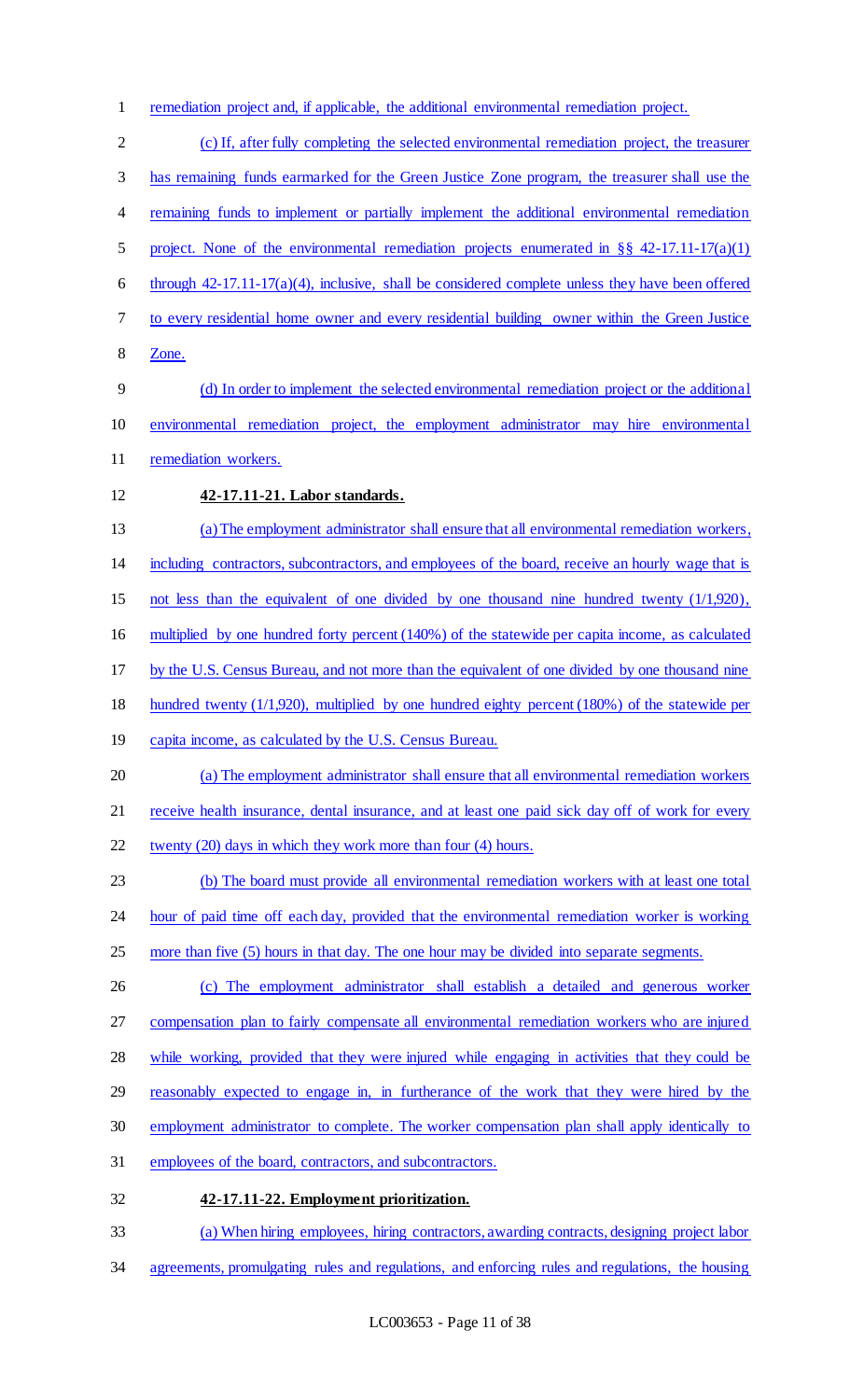remediation project and, if applicable, the additional environmental remediation project.

 (c) If, after fully completing the selected environmental remediation project, the treasurer has remaining funds earmarked for the Green Justice Zone program, the treasurer shall use the 4 remaining funds to implement or partially implement the additional environmental remediation project. None of the environmental remediation projects enumerated in §§ 42-17.11-17(a)(1) 6 through  $42-17.11-17(a)(4)$ , inclusive, shall be considered complete unless they have been offered to every residential home owner and every residential building owner within the Green Justice Zone. (d) In order to implement the selected environmental remediation project or the additional environmental remediation project, the employment administrator may hire environmental 11 remediation workers. **42-17.11-21. Labor standards.**  (a) The employment administrator shall ensure that all environmental remediation workers, including contractors, subcontractors, and employees of the board, receive an hourly wage that is not less than the equivalent of one divided by one thousand nine hundred twenty (1/1,920), multiplied by one hundred forty percent (140%) of the statewide per capita income, as calculated by the U.S. Census Bureau, and not more than the equivalent of one divided by one thousand nine hundred twenty (1/1,920), multiplied by one hundred eighty percent (180%) of the statewide per capita income, as calculated by the U.S. Census Bureau. (a) The employment administrator shall ensure that all environmental remediation workers 21 receive health insurance, dental insurance, and at least one paid sick day off of work for every 22 twenty (20) days in which they work more than four (4) hours. (b) The board must provide all environmental remediation workers with at least one total hour of paid time off each day, provided that the environmental remediation worker is working 25 more than five (5) hours in that day. The one hour may be divided into separate segments. (c) The employment administrator shall establish a detailed and generous worker compensation plan to fairly compensate all environmental remediation workers who are injured while working, provided that they were injured while engaging in activities that they could be reasonably expected to engage in, in furtherance of the work that they were hired by the employment administrator to complete. The worker compensation plan shall apply identically to employees of the board, contractors, and subcontractors. **42-17.11-22. Employment prioritization.**  (a) When hiring employees, hiring contractors, awarding contracts, designing project labor agreements, promulgating rules and regulations, and enforcing rules and regulations, the housing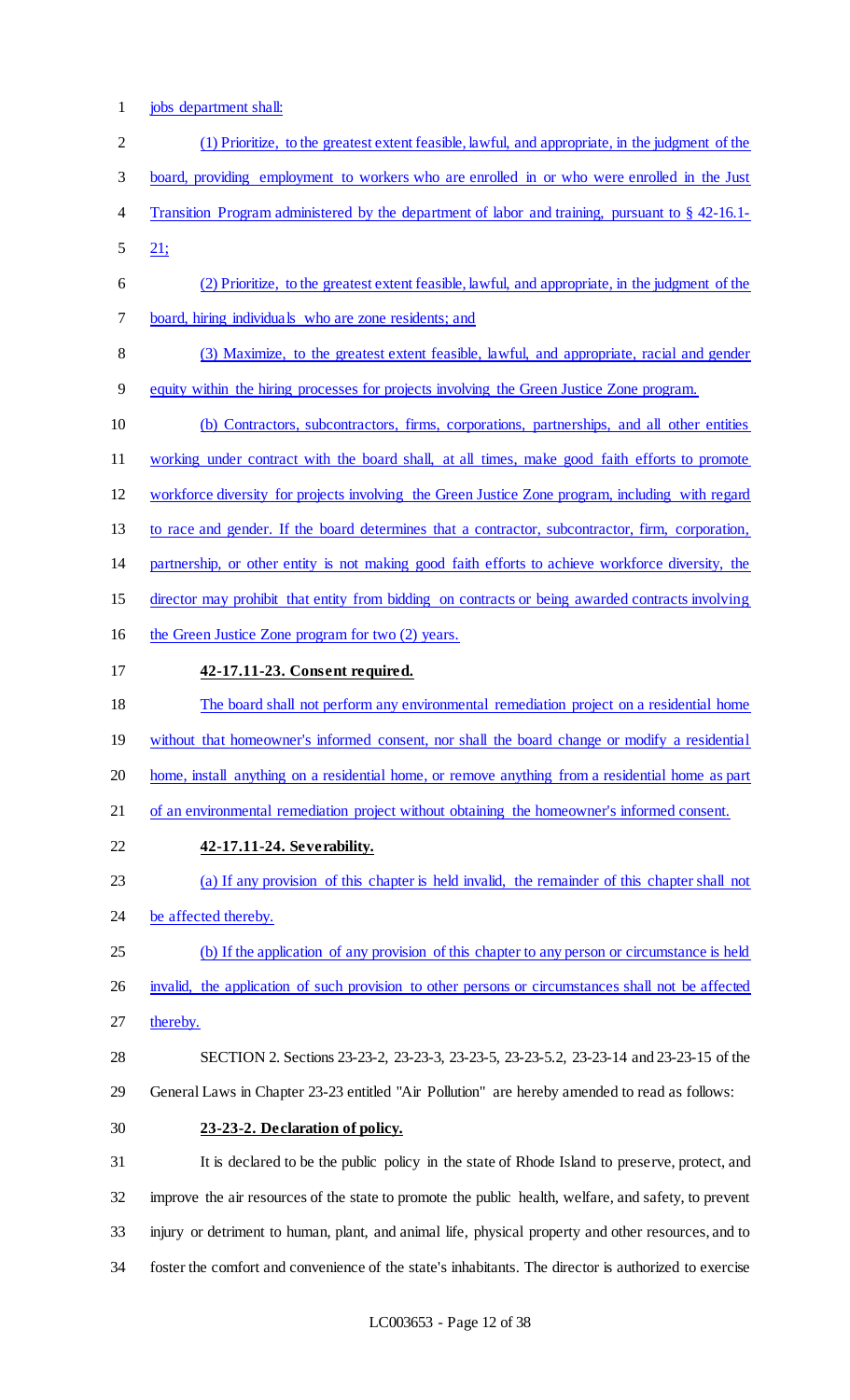1 jobs department shall:

| $\overline{2}$   | (1) Prioritize, to the greatest extent feasible, lawful, and appropriate, in the judgment of the      |
|------------------|-------------------------------------------------------------------------------------------------------|
| 3                | board, providing employment to workers who are enrolled in or who were enrolled in the Just           |
| 4                | Transition Program administered by the department of labor and training, pursuant to $\S$ 42-16.1-    |
| 5                | 21:                                                                                                   |
| 6                | (2) Prioritize, to the greatest extent feasible, lawful, and appropriate, in the judgment of the      |
| 7                | board, hiring individuals who are zone residents; and                                                 |
| $8\,$            | (3) Maximize, to the greatest extent feasible, lawful, and appropriate, racial and gender             |
| $\boldsymbol{9}$ | equity within the hiring processes for projects involving the Green Justice Zone program.             |
| 10               | (b) Contractors, subcontractors, firms, corporations, partnerships, and all other entities            |
| 11               | working under contract with the board shall, at all times, make good faith efforts to promote         |
| 12               | workforce diversity for projects involving the Green Justice Zone program, including with regard      |
| 13               | to race and gender. If the board determines that a contractor, subcontractor, firm, corporation,      |
| 14               | partnership, or other entity is not making good faith efforts to achieve workforce diversity, the     |
| 15               | director may prohibit that entity from bidding on contracts or being awarded contracts involving      |
| 16               | the Green Justice Zone program for two (2) years.                                                     |
| 17               | 42-17.11-23. Consent required.                                                                        |
| 18               | The board shall not perform any environmental remediation project on a residential home               |
| 19               | without that homeowner's informed consent, nor shall the board change or modify a residential         |
| 20               | home, install anything on a residential home, or remove anything from a residential home as part      |
| 21               | of an environmental remediation project without obtaining the homeowner's informed consent.           |
| 22               | 42-17.11-24. Severability.                                                                            |
| 23               | (a) If any provision of this chapter is held invalid, the remainder of this chapter shall not         |
| 24               | be affected thereby.                                                                                  |
| 25               | (b) If the application of any provision of this chapter to any person or circumstance is held         |
| 26               | invalid, the application of such provision to other persons or circumstances shall not be affected    |
| 27               | thereby.                                                                                              |
| 28               | SECTION 2. Sections 23-23-23, 23-23-3, 23-23-5, 23-23-5.2, 23-23-14 and 23-23-15 of the               |
| 29               | General Laws in Chapter 23-23 entitled "Air Pollution" are hereby amended to read as follows:         |
| 30               | 23-23-2. Declaration of policy.                                                                       |
| 31               | It is declared to be the public policy in the state of Rhode Island to preserve, protect, and         |
| 32               | improve the air resources of the state to promote the public health, welfare, and safety, to prevent  |
| 33               | injury or detriment to human, plant, and animal life, physical property and other resources, and to   |
| 34               | foster the comfort and convenience of the state's inhabitants. The director is authorized to exercise |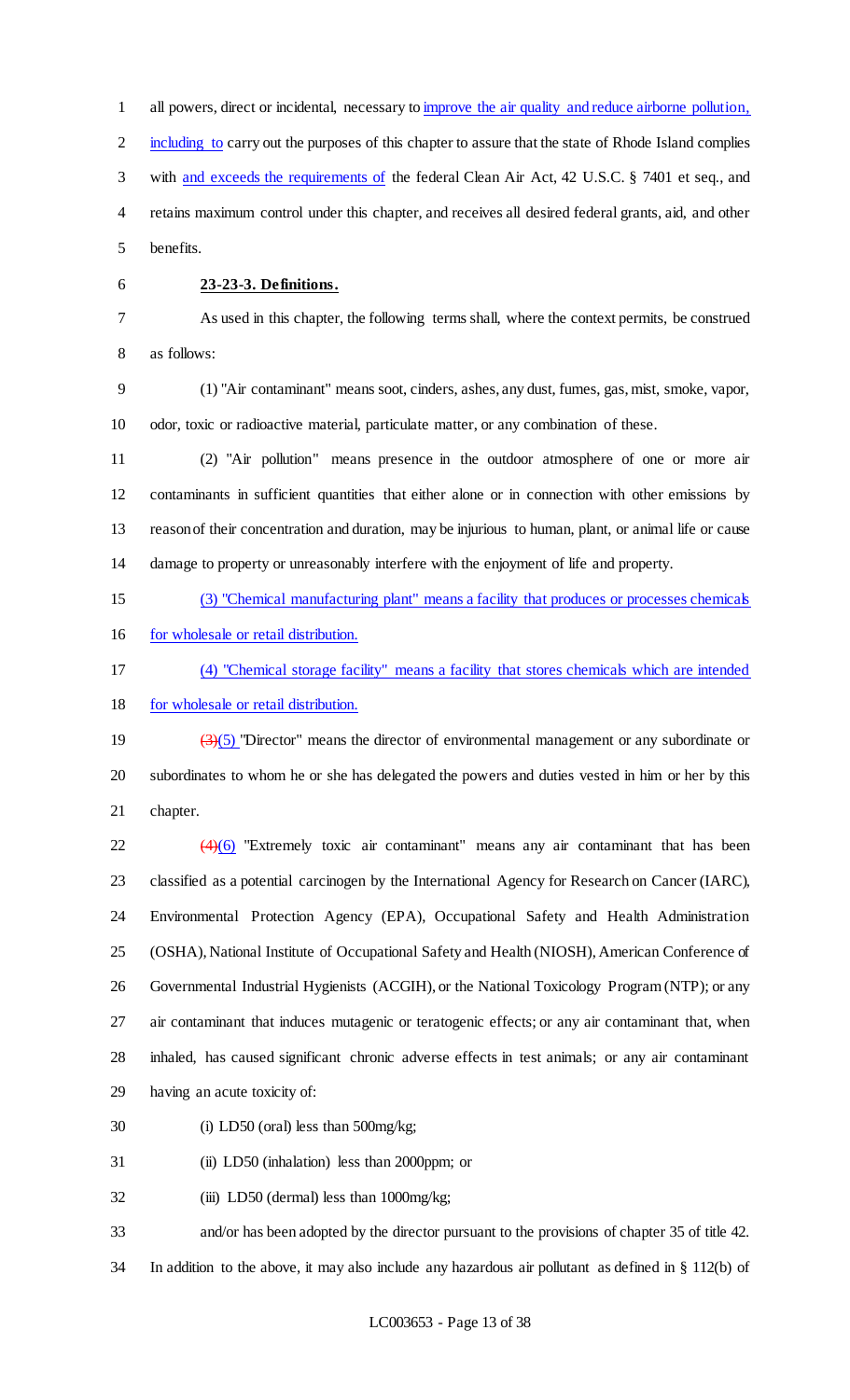all powers, direct or incidental, necessary to improve the air quality and reduce airborne pollution, including to carry out the purposes of this chapter to assure that the state of Rhode Island complies with and exceeds the requirements of the federal Clean Air Act, 42 U.S.C. § 7401 et seq., and retains maximum control under this chapter, and receives all desired federal grants, aid, and other benefits.

# **23-23-3. Definitions.**

 As used in this chapter, the following terms shall, where the context permits, be construed as follows:

 (1) "Air contaminant" means soot, cinders, ashes, any dust, fumes, gas, mist, smoke, vapor, odor, toxic or radioactive material, particulate matter, or any combination of these.

 (2) "Air pollution" means presence in the outdoor atmosphere of one or more air contaminants in sufficient quantities that either alone or in connection with other emissions by reason of their concentration and duration, may be injurious to human, plant, or animal life or cause damage to property or unreasonably interfere with the enjoyment of life and property.

(3) "Chemical manufacturing plant" means a facility that produces or processes chemicals

16 for wholesale or retail distribution.

(4) "Chemical storage facility" means a facility that stores chemicals which are intended

for wholesale or retail distribution.

19  $\left(\frac{3}{5}\right)$  "Director" means the director of environmental management or any subordinate or subordinates to whom he or she has delegated the powers and duties vested in him or her by this chapter.

  $(4)(6)$  "Extremely toxic air contaminant" means any air contaminant that has been classified as a potential carcinogen by the International Agency for Research on Cancer (IARC), Environmental Protection Agency (EPA), Occupational Safety and Health Administration (OSHA), National Institute of Occupational Safety and Health (NIOSH), American Conference of Governmental Industrial Hygienists (ACGIH), or the National Toxicology Program (NTP); or any air contaminant that induces mutagenic or teratogenic effects; or any air contaminant that, when inhaled, has caused significant chronic adverse effects in test animals; or any air contaminant having an acute toxicity of:

(i) LD50 (oral) less than 500mg/kg;

(ii) LD50 (inhalation) less than 2000ppm; or

(iii) LD50 (dermal) less than 1000mg/kg;

and/or has been adopted by the director pursuant to the provisions of chapter 35 of title 42.

In addition to the above, it may also include any hazardous air pollutant as defined in § 112(b) of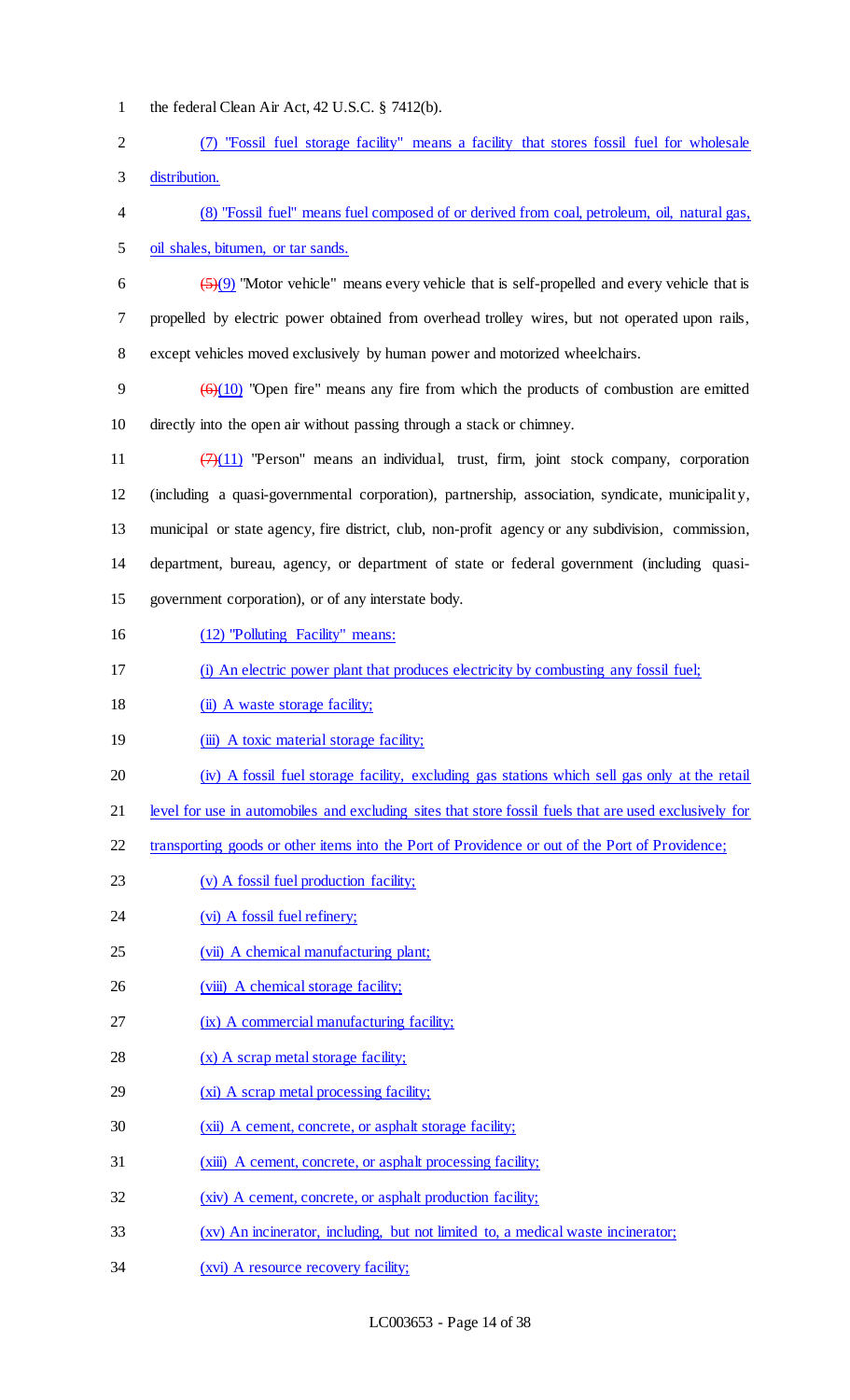| $\mathbf{1}$   | the federal Clean Air Act, $42$ U.S.C. $\S$ 7412(b).                                                                          |
|----------------|-------------------------------------------------------------------------------------------------------------------------------|
| $\overline{2}$ | "Fossil fuel storage facility" means a facility that stores fossil fuel for wholesale                                         |
| 3              | distribution.                                                                                                                 |
| 4              | (8) "Fossil fuel" means fuel composed of or derived from coal, petroleum, oil, natural gas,                                   |
| 5              | oil shales, bitumen, or tar sands.                                                                                            |
| 6              | $\left(\frac{5}{2}\right)\left(9\right)$ "Motor vehicle" means every vehicle that is self-propelled and every vehicle that is |
| 7              | propelled by electric power obtained from overhead trolley wires, but not operated upon rails,                                |
| $8\,$          | except vehicles moved exclusively by human power and motorized wheelchairs.                                                   |
| 9              | $\left(\frac{6}{10}\right)$ "Open fire" means any fire from which the products of combustion are emitted                      |
| 10             | directly into the open air without passing through a stack or chimney.                                                        |
| 11             | $(7)(11)$ "Person" means an individual, trust, firm, joint stock company, corporation                                         |
| 12             | (including a quasi-governmental corporation), partnership, association, syndicate, municipality,                              |
| 13             | municipal or state agency, fire district, club, non-profit agency or any subdivision, commission,                             |
| 14             | department, bureau, agency, or department of state or federal government (including quasi-                                    |
| 15             | government corporation), or of any interstate body.                                                                           |
| 16             | (12) "Polluting Facility" means:                                                                                              |
| 17             | (i) An electric power plant that produces electricity by combusting any fossil fuel;                                          |
| 18             | (ii) A waste storage facility;                                                                                                |
| 19             | (iii) A toxic material storage facility;                                                                                      |
| 20             | (iv) A fossil fuel storage facility, excluding gas stations which sell gas only at the retail                                 |
| 21             | level for use in automobiles and excluding sites that store fossil fuels that are used exclusively for                        |
| 22             | transporting goods or other items into the Port of Providence or out of the Port of Providence;                               |
| 23             | (v) A fossil fuel production facility;                                                                                        |
| 24             | (vi) A fossil fuel refinery;                                                                                                  |
| 25             | (vii) A chemical manufacturing plant;                                                                                         |
| 26             | (viii) A chemical storage facility;                                                                                           |
| 27             | (ix) A commercial manufacturing facility;                                                                                     |
| 28             | $(x)$ A scrap metal storage facility;                                                                                         |
| 29             | (xi) A scrap metal processing facility;                                                                                       |
| 30             | (xii) A cement, concrete, or asphalt storage facility;                                                                        |
| 31             | (xiii) A cement, concrete, or asphalt processing facility;                                                                    |
| 32             | (xiv) A cement, concrete, or asphalt production facility;                                                                     |
| 33             | (xv) An incinerator, including, but not limited to, a medical waste incinerator;                                              |
| 34             | (xvi) A resource recovery facility;                                                                                           |
|                |                                                                                                                               |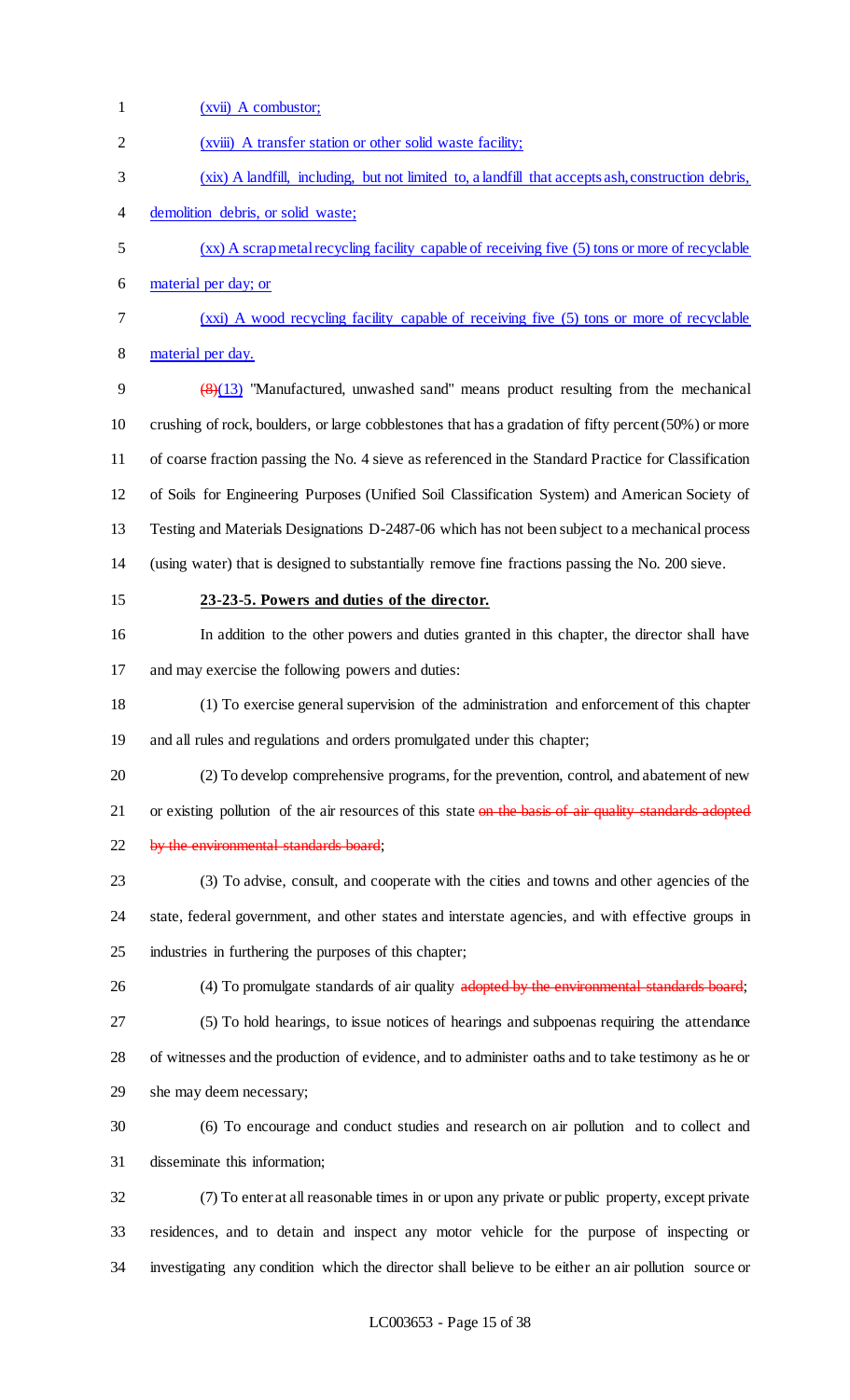| $\mathbf{1}$   | (xvii) A combustor;                                                                                    |
|----------------|--------------------------------------------------------------------------------------------------------|
| $\overline{c}$ | (xviii) A transfer station or other solid waste facility;                                              |
| 3              | (xix) A landfill, including, but not limited to, a landfill that accepts ash, construction debris,     |
| 4              | demolition debris, or solid waste;                                                                     |
| 5              | (xx) A scrap metal recycling facility capable of receiving five (5) tons or more of recyclable         |
| 6              | material per day; or                                                                                   |
| 7              | (xxi) A wood recycling facility capable of receiving five (5) tons or more of recyclable               |
| $8\,$          | material per day.                                                                                      |
| 9              | $(8)(13)$ "Manufactured, unwashed sand" means product resulting from the mechanical                    |
| 10             | crushing of rock, boulders, or large cobblestones that has a gradation of fifty percent (50%) or more  |
| 11             | of coarse fraction passing the No. 4 sieve as referenced in the Standard Practice for Classification   |
| 12             | of Soils for Engineering Purposes (Unified Soil Classification System) and American Society of         |
| 13             | Testing and Materials Designations D-2487-06 which has not been subject to a mechanical process        |
| 14             | (using water) that is designed to substantially remove fine fractions passing the No. 200 sieve.       |
| 15             | 23-23-5. Powers and duties of the director.                                                            |
| 16             | In addition to the other powers and duties granted in this chapter, the director shall have            |
| 17             | and may exercise the following powers and duties:                                                      |
| 18             | (1) To exercise general supervision of the administration and enforcement of this chapter              |
| 19             | and all rules and regulations and orders promulgated under this chapter;                               |
| 20             | (2) To develop comprehensive programs, for the prevention, control, and abatement of new               |
| 21             | or existing pollution of the air resources of this state on the basis of air quality standards adopted |
| 22             | by the environmental standards board;                                                                  |
| 23             | (3) To advise, consult, and cooperate with the cities and towns and other agencies of the              |
| 24             | state, federal government, and other states and interstate agencies, and with effective groups in      |
| 25             | industries in furthering the purposes of this chapter;                                                 |
| 26             | (4) To promulgate standards of air quality adopted by the environmental standards board;               |
| 27             | (5) To hold hearings, to issue notices of hearings and subpoenas requiring the attendance              |
| 28             | of witnesses and the production of evidence, and to administer oaths and to take testimony as he or    |
| 29             | she may deem necessary;                                                                                |
| 30             | (6) To encourage and conduct studies and research on air pollution and to collect and                  |
| 31             | disseminate this information;                                                                          |
| 32             | (7) To enter at all reasonable times in or upon any private or public property, except private         |
| 33             | residences, and to detain and inspect any motor vehicle for the purpose of inspecting or               |
| 34             | investigating any condition which the director shall believe to be either an air pollution source or   |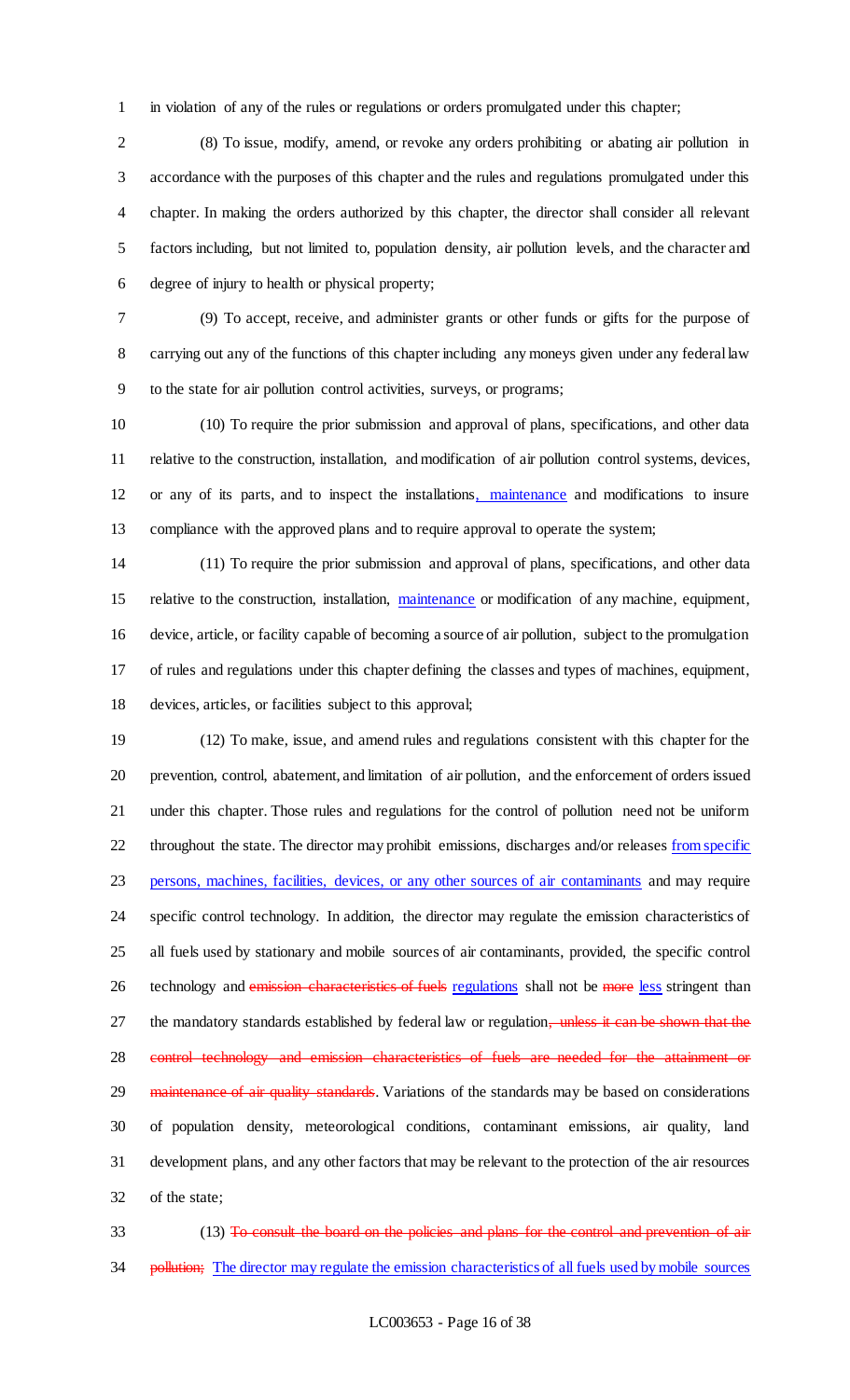in violation of any of the rules or regulations or orders promulgated under this chapter;

 (8) To issue, modify, amend, or revoke any orders prohibiting or abating air pollution in accordance with the purposes of this chapter and the rules and regulations promulgated under this chapter. In making the orders authorized by this chapter, the director shall consider all relevant factors including, but not limited to, population density, air pollution levels, and the character and degree of injury to health or physical property;

 (9) To accept, receive, and administer grants or other funds or gifts for the purpose of carrying out any of the functions of this chapter including any moneys given under any federal law to the state for air pollution control activities, surveys, or programs;

 (10) To require the prior submission and approval of plans, specifications, and other data relative to the construction, installation, and modification of air pollution control systems, devices, or any of its parts, and to inspect the installations, maintenance and modifications to insure compliance with the approved plans and to require approval to operate the system;

 (11) To require the prior submission and approval of plans, specifications, and other data 15 relative to the construction, installation, maintenance or modification of any machine, equipment, device, article, or facility capable of becoming a source of air pollution, subject to the promulgation of rules and regulations under this chapter defining the classes and types of machines, equipment, devices, articles, or facilities subject to this approval;

 (12) To make, issue, and amend rules and regulations consistent with this chapter for the prevention, control, abatement, and limitation of air pollution, and the enforcement of orders issued under this chapter. Those rules and regulations for the control of pollution need not be uniform 22 throughout the state. The director may prohibit emissions, discharges and/or releases from specific persons, machines, facilities, devices, or any other sources of air contaminants and may require specific control technology. In addition, the director may regulate the emission characteristics of all fuels used by stationary and mobile sources of air contaminants, provided, the specific control 26 technology and emission characteristics of fuels regulations shall not be more less stringent than 27 the mandatory standards established by federal law or regulation, unless it can be shown that the 28 control technology and emission characteristics of fuels are needed for the attainment or 29 maintenance of air quality standards. Variations of the standards may be based on considerations of population density, meteorological conditions, contaminant emissions, air quality, land development plans, and any other factors that may be relevant to the protection of the air resources of the state;

33 (13) To consult the board on the policies and plans for the control and prevention of air 34 pollution; The director may regulate the emission characteristics of all fuels used by mobile sources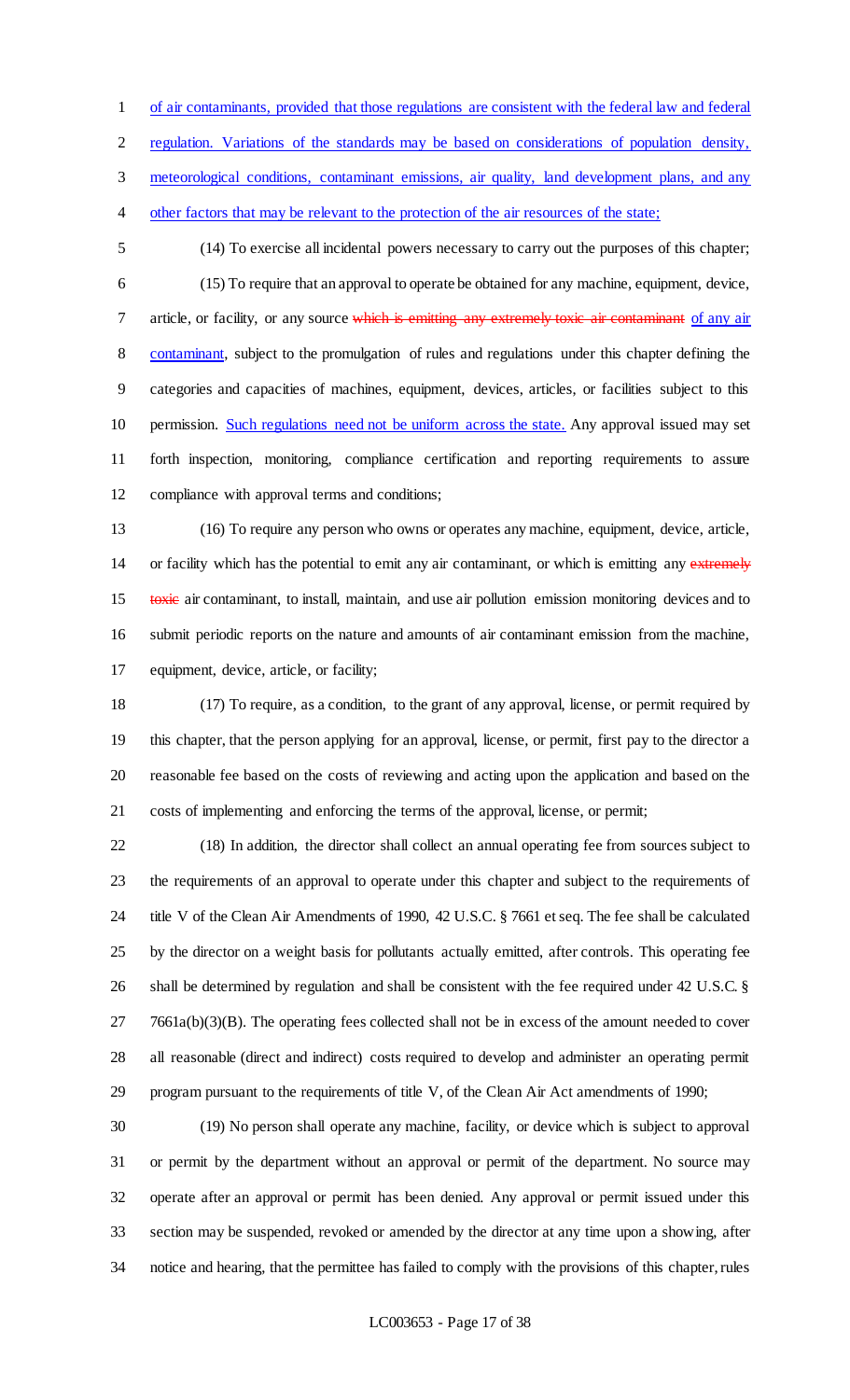of air contaminants, provided that those regulations are consistent with the federal law and federal

regulation. Variations of the standards may be based on considerations of population density,

3 meteorological conditions, contaminant emissions, air quality, land development plans, and any

- other factors that may be relevant to the protection of the air resources of the state;
- 

 (14) To exercise all incidental powers necessary to carry out the purposes of this chapter; (15) To require that an approval to operate be obtained for any machine, equipment, device, 7 article, or facility, or any source which is emitting any extremely toxic air contaminant of any air 8 contaminant, subject to the promulgation of rules and regulations under this chapter defining the categories and capacities of machines, equipment, devices, articles, or facilities subject to this permission. Such regulations need not be uniform across the state. Any approval issued may set forth inspection, monitoring, compliance certification and reporting requirements to assure compliance with approval terms and conditions;

 (16) To require any person who owns or operates any machine, equipment, device, article, 14 or facility which has the potential to emit any air contaminant, or which is emitting any extremely 15 toxic air contaminant, to install, maintain, and use air pollution emission monitoring devices and to submit periodic reports on the nature and amounts of air contaminant emission from the machine, equipment, device, article, or facility;

 (17) To require, as a condition, to the grant of any approval, license, or permit required by this chapter, that the person applying for an approval, license, or permit, first pay to the director a reasonable fee based on the costs of reviewing and acting upon the application and based on the costs of implementing and enforcing the terms of the approval, license, or permit;

 (18) In addition, the director shall collect an annual operating fee from sources subject to the requirements of an approval to operate under this chapter and subject to the requirements of title V of the Clean Air Amendments of 1990, 42 U.S.C. § 7661 et seq. The fee shall be calculated by the director on a weight basis for pollutants actually emitted, after controls. This operating fee 26 shall be determined by regulation and shall be consistent with the fee required under 42 U.S.C. § 7661a(b)(3)(B). The operating fees collected shall not be in excess of the amount needed to cover all reasonable (direct and indirect) costs required to develop and administer an operating permit program pursuant to the requirements of title V, of the Clean Air Act amendments of 1990;

 (19) No person shall operate any machine, facility, or device which is subject to approval or permit by the department without an approval or permit of the department. No source may operate after an approval or permit has been denied. Any approval or permit issued under this section may be suspended, revoked or amended by the director at any time upon a showing, after notice and hearing, that the permittee has failed to comply with the provisions of this chapter, rules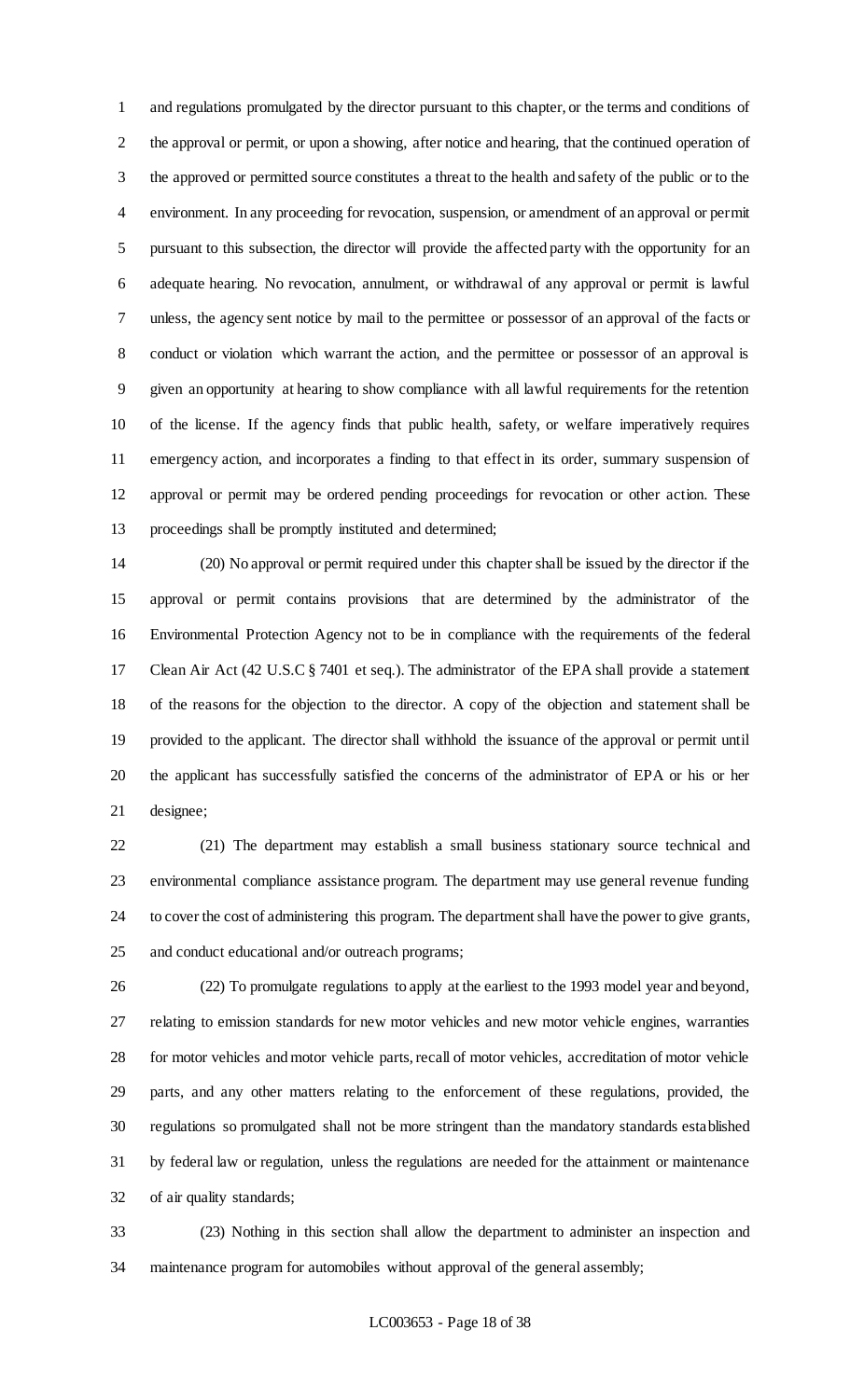and regulations promulgated by the director pursuant to this chapter, or the terms and conditions of the approval or permit, or upon a showing, after notice and hearing, that the continued operation of the approved or permitted source constitutes a threat to the health and safety of the public or to the environment. In any proceeding for revocation, suspension, or amendment of an approval or permit pursuant to this subsection, the director will provide the affected party with the opportunity for an adequate hearing. No revocation, annulment, or withdrawal of any approval or permit is lawful unless, the agency sent notice by mail to the permittee or possessor of an approval of the facts or conduct or violation which warrant the action, and the permittee or possessor of an approval is given an opportunity at hearing to show compliance with all lawful requirements for the retention of the license. If the agency finds that public health, safety, or welfare imperatively requires emergency action, and incorporates a finding to that effect in its order, summary suspension of approval or permit may be ordered pending proceedings for revocation or other action. These proceedings shall be promptly instituted and determined;

 (20) No approval or permit required under this chapter shall be issued by the director if the approval or permit contains provisions that are determined by the administrator of the Environmental Protection Agency not to be in compliance with the requirements of the federal Clean Air Act (42 U.S.C § 7401 et seq.). The administrator of the EPA shall provide a statement of the reasons for the objection to the director. A copy of the objection and statement shall be provided to the applicant. The director shall withhold the issuance of the approval or permit until the applicant has successfully satisfied the concerns of the administrator of EPA or his or her designee;

 (21) The department may establish a small business stationary source technical and environmental compliance assistance program. The department may use general revenue funding to cover the cost of administering this program. The department shall have the power to give grants, and conduct educational and/or outreach programs;

 (22) To promulgate regulations to apply at the earliest to the 1993 model year and beyond, relating to emission standards for new motor vehicles and new motor vehicle engines, warranties for motor vehicles and motor vehicle parts, recall of motor vehicles, accreditation of motor vehicle parts, and any other matters relating to the enforcement of these regulations, provided, the regulations so promulgated shall not be more stringent than the mandatory standards established by federal law or regulation, unless the regulations are needed for the attainment or maintenance of air quality standards;

 (23) Nothing in this section shall allow the department to administer an inspection and maintenance program for automobiles without approval of the general assembly;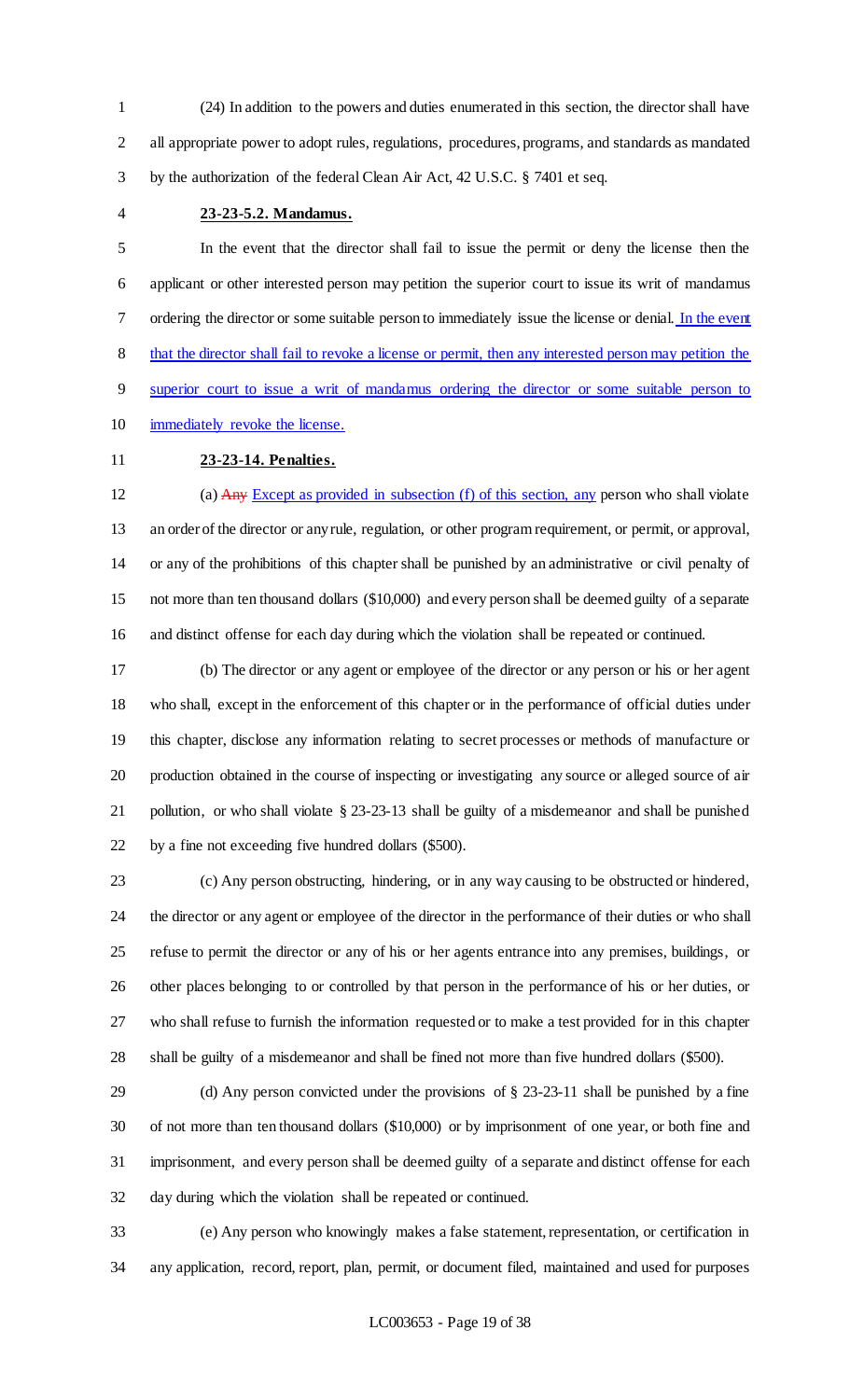(24) In addition to the powers and duties enumerated in this section, the director shall have all appropriate power to adopt rules, regulations, procedures, programs, and standards as mandated by the authorization of the federal Clean Air Act, 42 U.S.C. § 7401 et seq.

## **23-23-5.2. Mandamus.**

 In the event that the director shall fail to issue the permit or deny the license then the applicant or other interested person may petition the superior court to issue its writ of mandamus ordering the director or some suitable person to immediately issue the license or denial. In the event 8 that the director shall fail to revoke a license or permit, then any interested person may petition the superior court to issue a writ of mandamus ordering the director or some suitable person to immediately revoke the license.

# **23-23-14. Penalties.**

12 (a) Any Except as provided in subsection (f) of this section, any person who shall violate an order of the director or any rule, regulation, or other program requirement, or permit, or approval, or any of the prohibitions of this chapter shall be punished by an administrative or civil penalty of not more than ten thousand dollars (\$10,000) and every person shall be deemed guilty of a separate and distinct offense for each day during which the violation shall be repeated or continued.

 (b) The director or any agent or employee of the director or any person or his or her agent who shall, except in the enforcement of this chapter or in the performance of official duties under this chapter, disclose any information relating to secret processes or methods of manufacture or production obtained in the course of inspecting or investigating any source or alleged source of air pollution, or who shall violate § 23-23-13 shall be guilty of a misdemeanor and shall be punished by a fine not exceeding five hundred dollars (\$500).

 (c) Any person obstructing, hindering, or in any way causing to be obstructed or hindered, the director or any agent or employee of the director in the performance of their duties or who shall refuse to permit the director or any of his or her agents entrance into any premises, buildings, or other places belonging to or controlled by that person in the performance of his or her duties, or who shall refuse to furnish the information requested or to make a test provided for in this chapter shall be guilty of a misdemeanor and shall be fined not more than five hundred dollars (\$500).

 (d) Any person convicted under the provisions of § 23-23-11 shall be punished by a fine of not more than ten thousand dollars (\$10,000) or by imprisonment of one year, or both fine and imprisonment, and every person shall be deemed guilty of a separate and distinct offense for each day during which the violation shall be repeated or continued.

 (e) Any person who knowingly makes a false statement, representation, or certification in any application, record, report, plan, permit, or document filed, maintained and used for purposes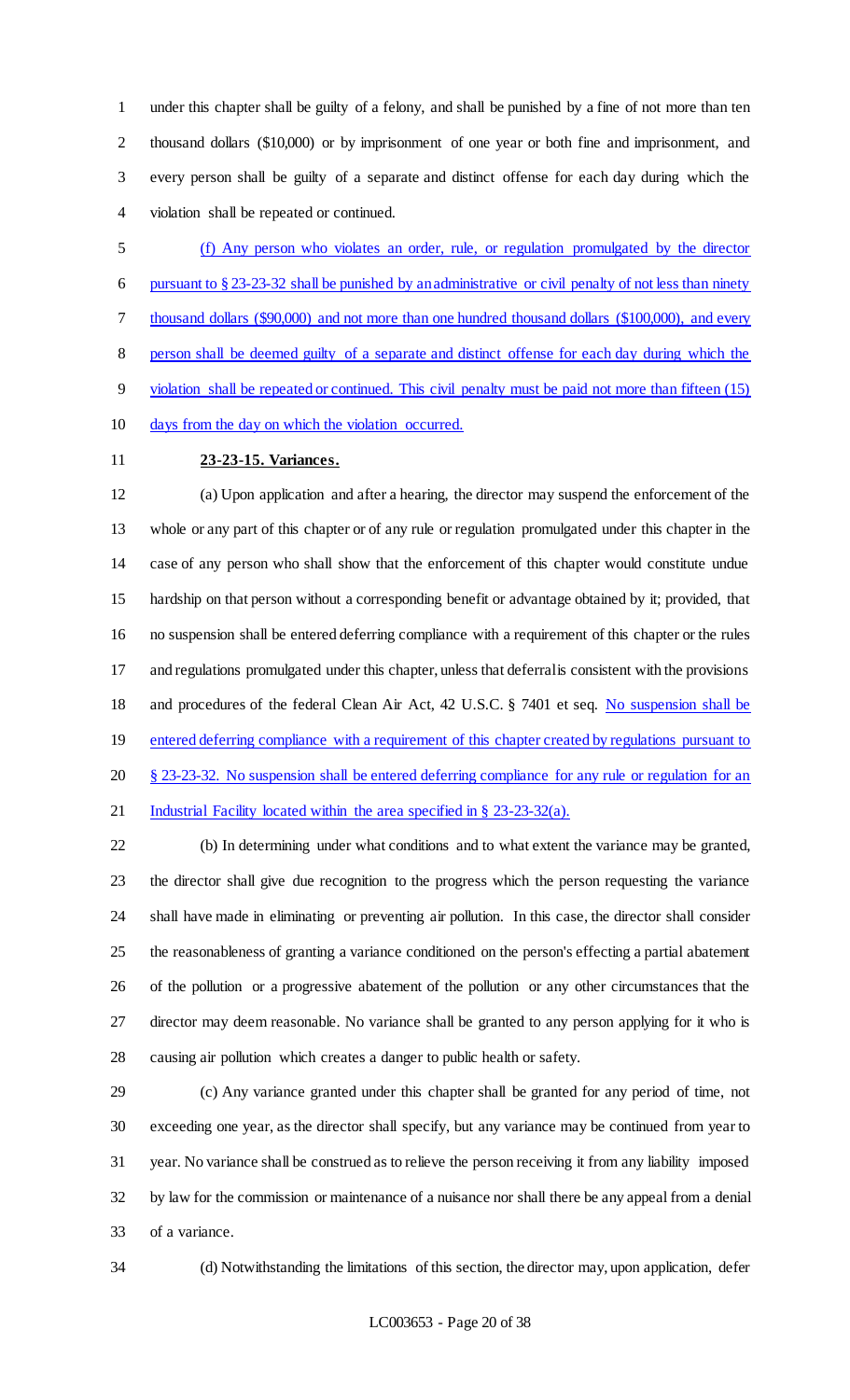under this chapter shall be guilty of a felony, and shall be punished by a fine of not more than ten thousand dollars (\$10,000) or by imprisonment of one year or both fine and imprisonment, and every person shall be guilty of a separate and distinct offense for each day during which the violation shall be repeated or continued.

 (f) Any person who violates an order, rule, or regulation promulgated by the director pursuant to § 23-23-32 shall be punished by an administrative or civil penalty of not less than ninety thousand dollars (\$90,000) and not more than one hundred thousand dollars (\$100,000), and every person shall be deemed guilty of a separate and distinct offense for each day during which the violation shall be repeated or continued. This civil penalty must be paid not more than fifteen (15) days from the day on which the violation occurred.

# **23-23-15. Variances.**

 (a) Upon application and after a hearing, the director may suspend the enforcement of the whole or any part of this chapter or of any rule or regulation promulgated under this chapter in the case of any person who shall show that the enforcement of this chapter would constitute undue hardship on that person without a corresponding benefit or advantage obtained by it; provided, that no suspension shall be entered deferring compliance with a requirement of this chapter or the rules and regulations promulgated under this chapter, unless that deferral is consistent with the provisions and procedures of the federal Clean Air Act, 42 U.S.C. § 7401 et seq. No suspension shall be 19 entered deferring compliance with a requirement of this chapter created by regulations pursuant to 20 § 23-23-32. No suspension shall be entered deferring compliance for any rule or regulation for an 21 Industrial Facility located within the area specified in § 23-23-32(a).

 (b) In determining under what conditions and to what extent the variance may be granted, the director shall give due recognition to the progress which the person requesting the variance shall have made in eliminating or preventing air pollution. In this case, the director shall consider the reasonableness of granting a variance conditioned on the person's effecting a partial abatement of the pollution or a progressive abatement of the pollution or any other circumstances that the director may deem reasonable. No variance shall be granted to any person applying for it who is causing air pollution which creates a danger to public health or safety.

 (c) Any variance granted under this chapter shall be granted for any period of time, not exceeding one year, as the director shall specify, but any variance may be continued from year to year. No variance shall be construed as to relieve the person receiving it from any liability imposed by law for the commission or maintenance of a nuisance nor shall there be any appeal from a denial of a variance.

(d) Notwithstanding the limitations of this section, the director may, upon application, defer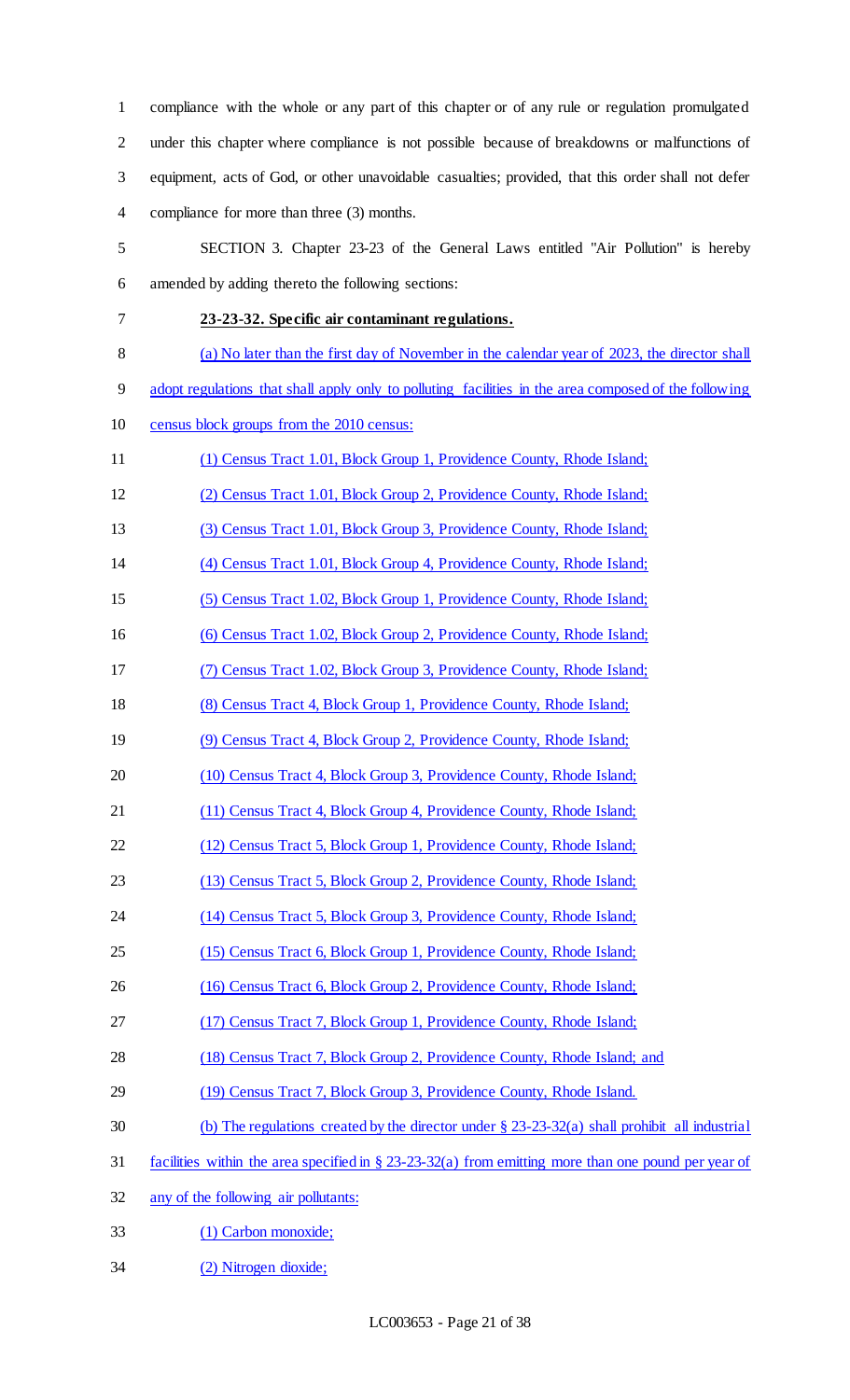compliance with the whole or any part of this chapter or of any rule or regulation promulgated under this chapter where compliance is not possible because of breakdowns or malfunctions of equipment, acts of God, or other unavoidable casualties; provided, that this order shall not defer compliance for more than three (3) months.

 SECTION 3. Chapter 23-23 of the General Laws entitled "Air Pollution" is hereby amended by adding thereto the following sections:

## **23-23-32. Specific air contaminant regulations.**

- (a) No later than the first day of November in the calendar year of 2023, the director shall
- adopt regulations that shall apply only to polluting facilities in the area composed of the following
- census block groups from the 2010 census:
- (1) Census Tract 1.01, Block Group 1, Providence County, Rhode Island;
- (2) Census Tract 1.01, Block Group 2, Providence County, Rhode Island;
- (3) Census Tract 1.01, Block Group 3, Providence County, Rhode Island;
- (4) Census Tract 1.01, Block Group 4, Providence County, Rhode Island;
- (5) Census Tract 1.02, Block Group 1, Providence County, Rhode Island;
- (6) Census Tract 1.02, Block Group 2, Providence County, Rhode Island;
- (7) Census Tract 1.02, Block Group 3, Providence County, Rhode Island;
- (8) Census Tract 4, Block Group 1, Providence County, Rhode Island;
- (9) Census Tract 4, Block Group 2, Providence County, Rhode Island;
- 20 (10) Census Tract 4, Block Group 3, Providence County, Rhode Island;
- (11) Census Tract 4, Block Group 4, Providence County, Rhode Island;
- (12) Census Tract 5, Block Group 1, Providence County, Rhode Island;
- (13) Census Tract 5, Block Group 2, Providence County, Rhode Island;
- (14) Census Tract 5, Block Group 3, Providence County, Rhode Island;
- (15) Census Tract 6, Block Group 1, Providence County, Rhode Island;
- (16) Census Tract 6, Block Group 2, Providence County, Rhode Island;
- (17) Census Tract 7, Block Group 1, Providence County, Rhode Island;
- 28 (18) Census Tract 7, Block Group 2, Providence County, Rhode Island; and
- (19) Census Tract 7, Block Group 3, Providence County, Rhode Island.
- (b) The regulations created by the director under § 23-23-32(a) shall prohibit all industrial
- facilities within the area specified in § 23-23-32(a) from emitting more than one pound per year of
- any of the following air pollutants:
- (1) Carbon monoxide;
- (2) Nitrogen dioxide;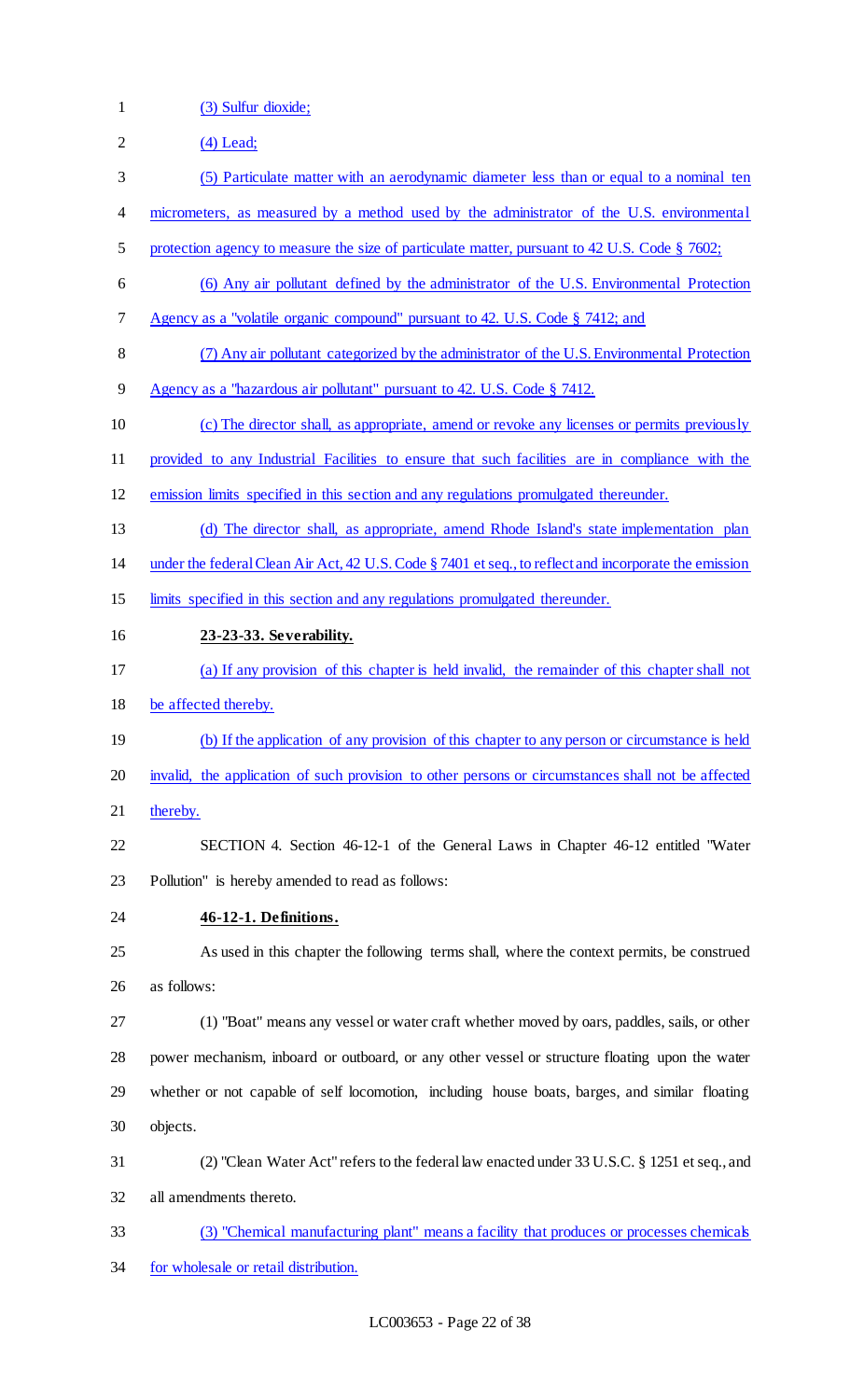- (3) Sulfur dioxide;
- (4) Lead;
- (5) Particulate matter with an aerodynamic diameter less than or equal to a nominal ten
- micrometers, as measured by a method used by the administrator of the U.S. environmental
- 5 protection agency to measure the size of particulate matter, pursuant to 42 U.S. Code § 7602;
- (6) Any air pollutant defined by the administrator of the U.S. Environmental Protection
- Agency as a "volatile organic compound" pursuant to 42. U.S. Code § 7412; and
- (7) Any air pollutant categorized by the administrator of the U.S. Environmental Protection
- Agency as a "hazardous air pollutant" pursuant to 42. U.S. Code § 7412.
- (c) The director shall, as appropriate, amend or revoke any licenses or permits previously
- provided to any Industrial Facilities to ensure that such facilities are in compliance with the
- emission limits specified in this section and any regulations promulgated thereunder.
- (d) The director shall, as appropriate, amend Rhode Island's state implementation plan
- under the federal Clean Air Act, 42 U.S. Code § 7401 et seq., to reflect and incorporate the emission
- limits specified in this section and any regulations promulgated thereunder.
- **23-23-33. Severability.**
- (a) If any provision of this chapter is held invalid, the remainder of this chapter shall not
- be affected thereby.
- (b) If the application of any provision of this chapter to any person or circumstance is held
- invalid, the application of such provision to other persons or circumstances shall not be affected
- 21 thereby.
- SECTION 4. Section 46-12-1 of the General Laws in Chapter 46-12 entitled "Water Pollution" is hereby amended to read as follows:
- **46-12-1. Definitions.**
- As used in this chapter the following terms shall, where the context permits, be construed as follows:
- (1) "Boat" means any vessel or water craft whether moved by oars, paddles, sails, or other power mechanism, inboard or outboard, or any other vessel or structure floating upon the water whether or not capable of self locomotion, including house boats, barges, and similar floating objects.
- (2) "Clean Water Act" refers to the federal law enacted under 33 U.S.C. § 1251 et seq., and all amendments thereto.
- (3) "Chemical manufacturing plant" means a facility that produces or processes chemicals for wholesale or retail distribution.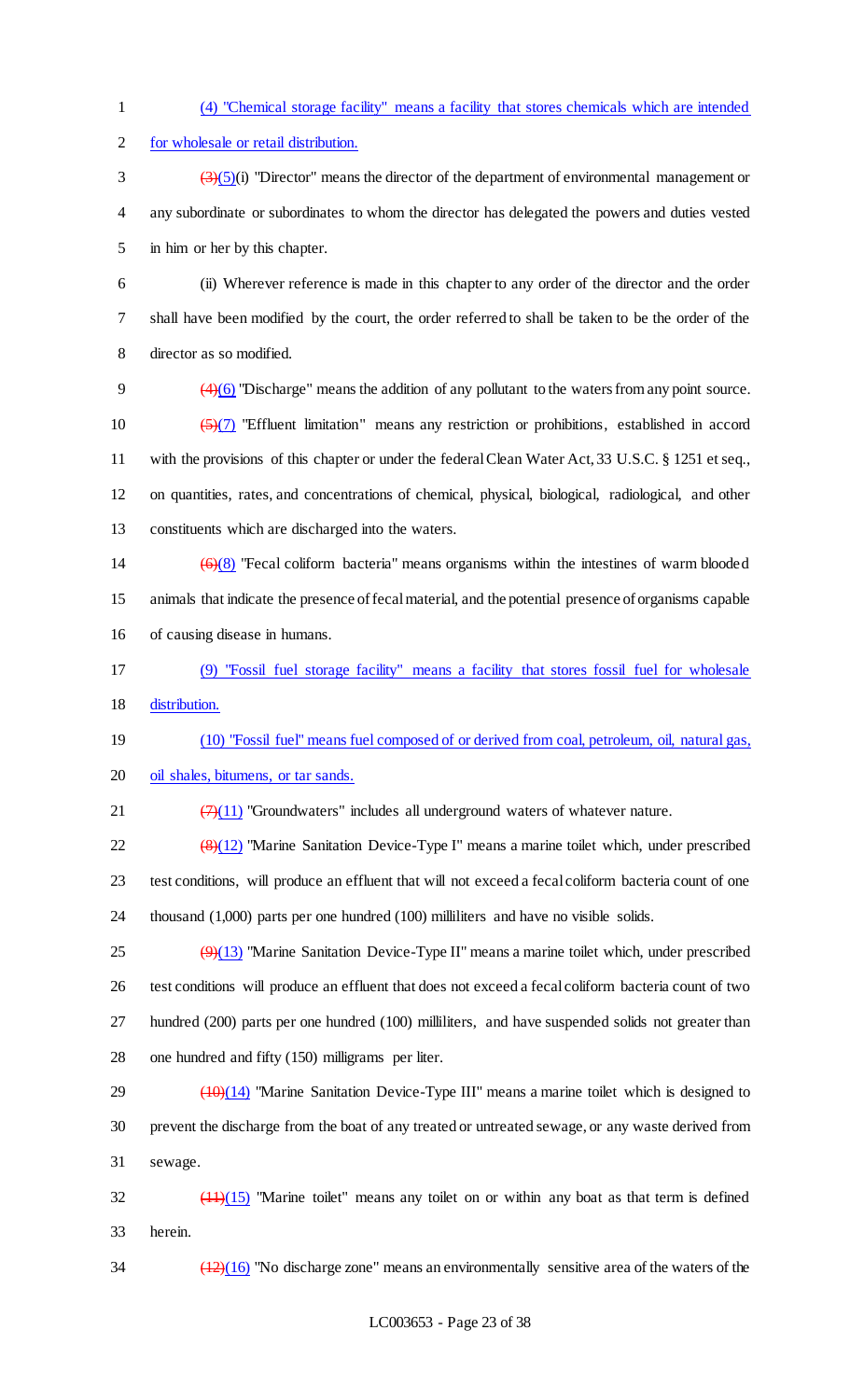(4) "Chemical storage facility" means a facility that stores chemicals which are intended for wholesale or retail distribution.  $\left(\frac{3}{5}\right)$ (5)(i) "Director" means the director of the department of environmental management or

 any subordinate or subordinates to whom the director has delegated the powers and duties vested in him or her by this chapter.

 (ii) Wherever reference is made in this chapter to any order of the director and the order shall have been modified by the court, the order referred to shall be taken to be the order of the director as so modified.

 (4)(6) "Discharge" means the addition of any pollutant to the waters from any point source.  $\left(\frac{5}{7}\right)$  "Effluent limitation" means any restriction or prohibitions, established in accord with the provisions of this chapter or under the federal Clean Water Act, 33 U.S.C. § 1251 et seq., on quantities, rates, and concentrations of chemical, physical, biological, radiological, and other constituents which are discharged into the waters.

- 14  $(6)(8)$  "Fecal coliform bacteria" means organisms within the intestines of warm blooded animals that indicate the presence of fecal material, and the potential presence of organisms capable of causing disease in humans.
- (9) "Fossil fuel storage facility" means a facility that stores fossil fuel for wholesale distribution.

 (10) "Fossil fuel" means fuel composed of or derived from coal, petroleum, oil, natural gas, oil shales, bitumens, or tar sands.

21  $\left(\frac{7}{11}\right)$  "Groundwaters" includes all underground waters of whatever nature.

22  $\left(\frac{8}{12}\right)$  "Marine Sanitation Device-Type I" means a marine toilet which, under prescribed test conditions, will produce an effluent that will not exceed a fecal coliform bacteria count of one thousand (1,000) parts per one hundred (100) milliliters and have no visible solids.

 $\left(\frac{9}{13}\right)$  "Marine Sanitation Device-Type II" means a marine toilet which, under prescribed test conditions will produce an effluent that does not exceed a fecal coliform bacteria count of two hundred (200) parts per one hundred (100) milliliters, and have suspended solids not greater than one hundred and fifty (150) milligrams per liter.

29  $(10)(14)$  "Marine Sanitation Device-Type III" means a marine toilet which is designed to prevent the discharge from the boat of any treated or untreated sewage, or any waste derived from sewage.

 $\frac{(11)(15)}{2}$  "Marine toilet" means any toilet on or within any boat as that term is defined herein.

 $\frac{(12)(16)}{12}$  "No discharge zone" means an environmentally sensitive area of the waters of the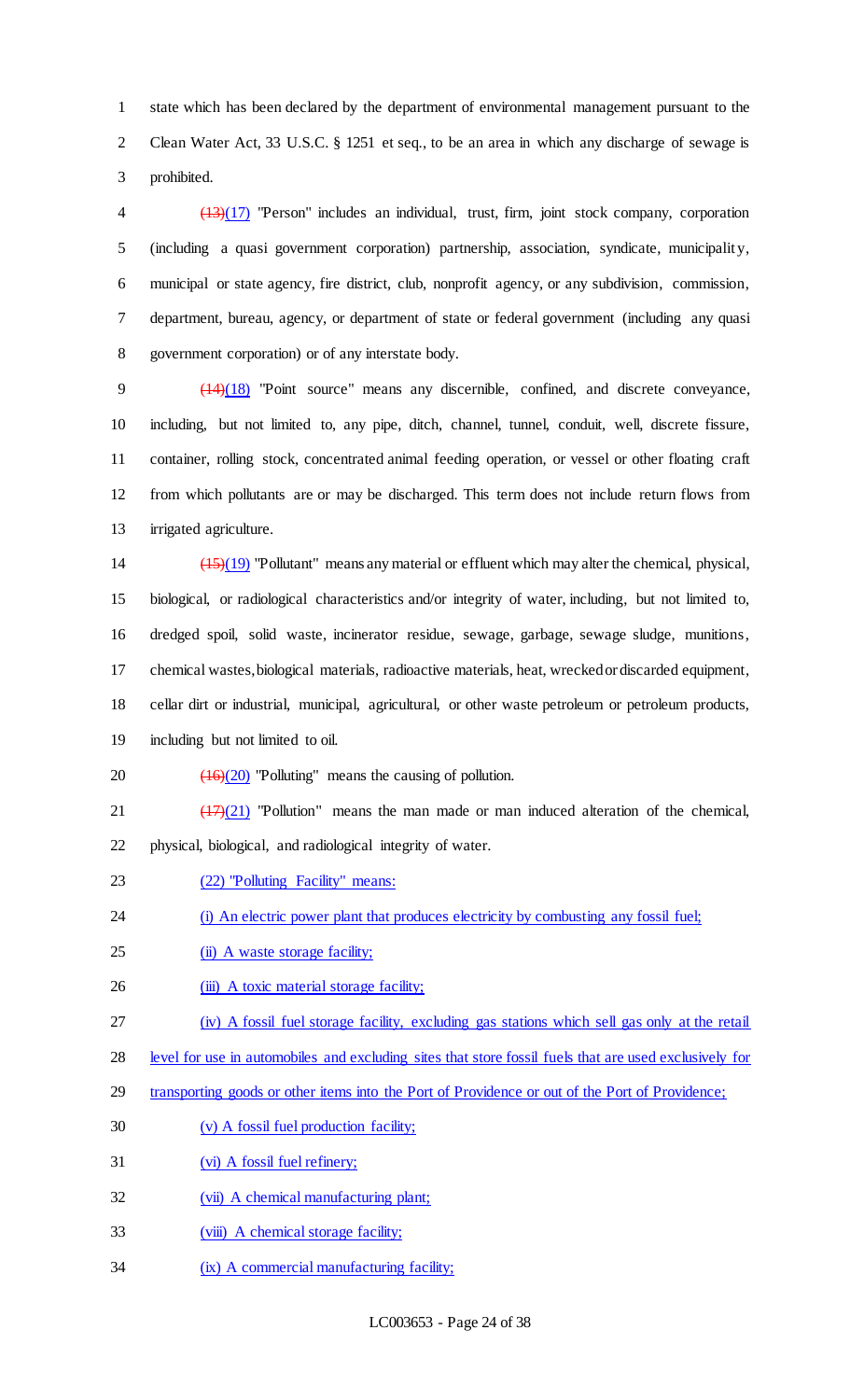state which has been declared by the department of environmental management pursuant to the Clean Water Act, 33 U.S.C. § 1251 et seq., to be an area in which any discharge of sewage is prohibited.

 (13)(17) "Person" includes an individual, trust, firm, joint stock company, corporation (including a quasi government corporation) partnership, association, syndicate, municipality, municipal or state agency, fire district, club, nonprofit agency, or any subdivision, commission, department, bureau, agency, or department of state or federal government (including any quasi government corporation) or of any interstate body.

 (14)(18) "Point source" means any discernible, confined, and discrete conveyance, including, but not limited to, any pipe, ditch, channel, tunnel, conduit, well, discrete fissure, container, rolling stock, concentrated animal feeding operation, or vessel or other floating craft from which pollutants are or may be discharged. This term does not include return flows from irrigated agriculture.

 (15)(19) "Pollutant" means any material or effluent which may alter the chemical, physical, biological, or radiological characteristics and/or integrity of water, including, but not limited to, dredged spoil, solid waste, incinerator residue, sewage, garbage, sewage sludge, munitions, chemical wastes, biological materials, radioactive materials, heat, wrecked or discarded equipment, cellar dirt or industrial, municipal, agricultural, or other waste petroleum or petroleum products,

including but not limited to oil.

20  $\left(\frac{16}{20}\right)$  "Polluting" means the causing of pollution.

21  $\left(\frac{(17)(21)}{21}\right)$  "Pollution" means the man made or man induced alteration of the chemical, physical, biological, and radiological integrity of water.

(22) "Polluting Facility" means:

24 (i) An electric power plant that produces electricity by combusting any fossil fuel;

- 25 (ii) A waste storage facility;
- 26 (iii) A toxic material storage facility;

(iv) A fossil fuel storage facility, excluding gas stations which sell gas only at the retail

- level for use in automobiles and excluding sites that store fossil fuels that are used exclusively for
- transporting goods or other items into the Port of Providence or out of the Port of Providence;
- (v) A fossil fuel production facility;
- (vi) A fossil fuel refinery;
- (vii) A chemical manufacturing plant;
- 33 (viii) A chemical storage facility;
- (ix) A commercial manufacturing facility;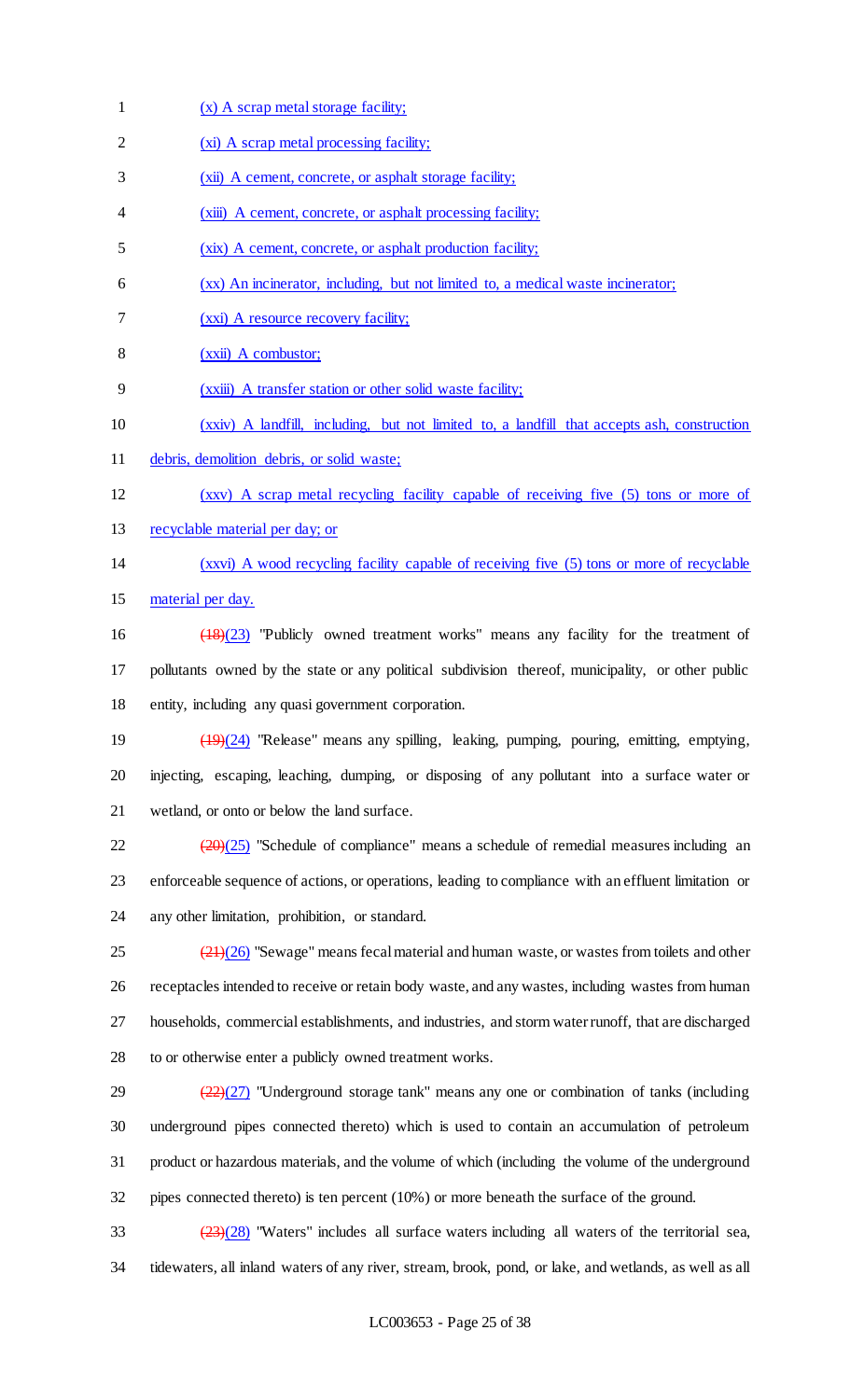- (x) A scrap metal storage facility;
- (xi) A scrap metal processing facility;
- 3 (xii) A cement, concrete, or asphalt storage facility;
- (xiii) A cement, concrete, or asphalt processing facility;
- (xix) A cement, concrete, or asphalt production facility;
- (xx) An incinerator, including, but not limited to, a medical waste incinerator;
- (xxi) A resource recovery facility;
- (xxii) A combustor;
- (xxiii) A transfer station or other solid waste facility;
- (xxiv) A landfill, including, but not limited to, a landfill that accepts ash, construction
- debris, demolition debris, or solid waste;
- (xxv) A scrap metal recycling facility capable of receiving five (5) tons or more of
- recyclable material per day; or
- (xxvi) A wood recycling facility capable of receiving five (5) tons or more of recyclable 15 material per day.
- (18)(23) "Publicly owned treatment works" means any facility for the treatment of pollutants owned by the state or any political subdivision thereof, municipality, or other public entity, including any quasi government corporation.
- 19 (19)(24) "Release" means any spilling, leaking, pumping, pouring, emitting, emptying, injecting, escaping, leaching, dumping, or disposing of any pollutant into a surface water or wetland, or onto or below the land surface.
- $\frac{(20)(25)}{20}$  "Schedule of compliance" means a schedule of remedial measures including an enforceable sequence of actions, or operations, leading to compliance with an effluent limitation or any other limitation, prohibition, or standard.
- $\left(\frac{21}{26}\right)$  "Sewage" means fecal material and human waste, or wastes from toilets and other receptacles intended to receive or retain body waste, and any wastes, including wastes from human households, commercial establishments, and industries, and storm water runoff, that are discharged to or otherwise enter a publicly owned treatment works.
- $\frac{(22)(27)}{22}$  "Underground storage tank" means any one or combination of tanks (including underground pipes connected thereto) which is used to contain an accumulation of petroleum product or hazardous materials, and the volume of which (including the volume of the underground pipes connected thereto) is ten percent (10%) or more beneath the surface of the ground.
- $\frac{(23)(28)}{23}$  "Waters" includes all surface waters including all waters of the territorial sea, tidewaters, all inland waters of any river, stream, brook, pond, or lake, and wetlands, as well as all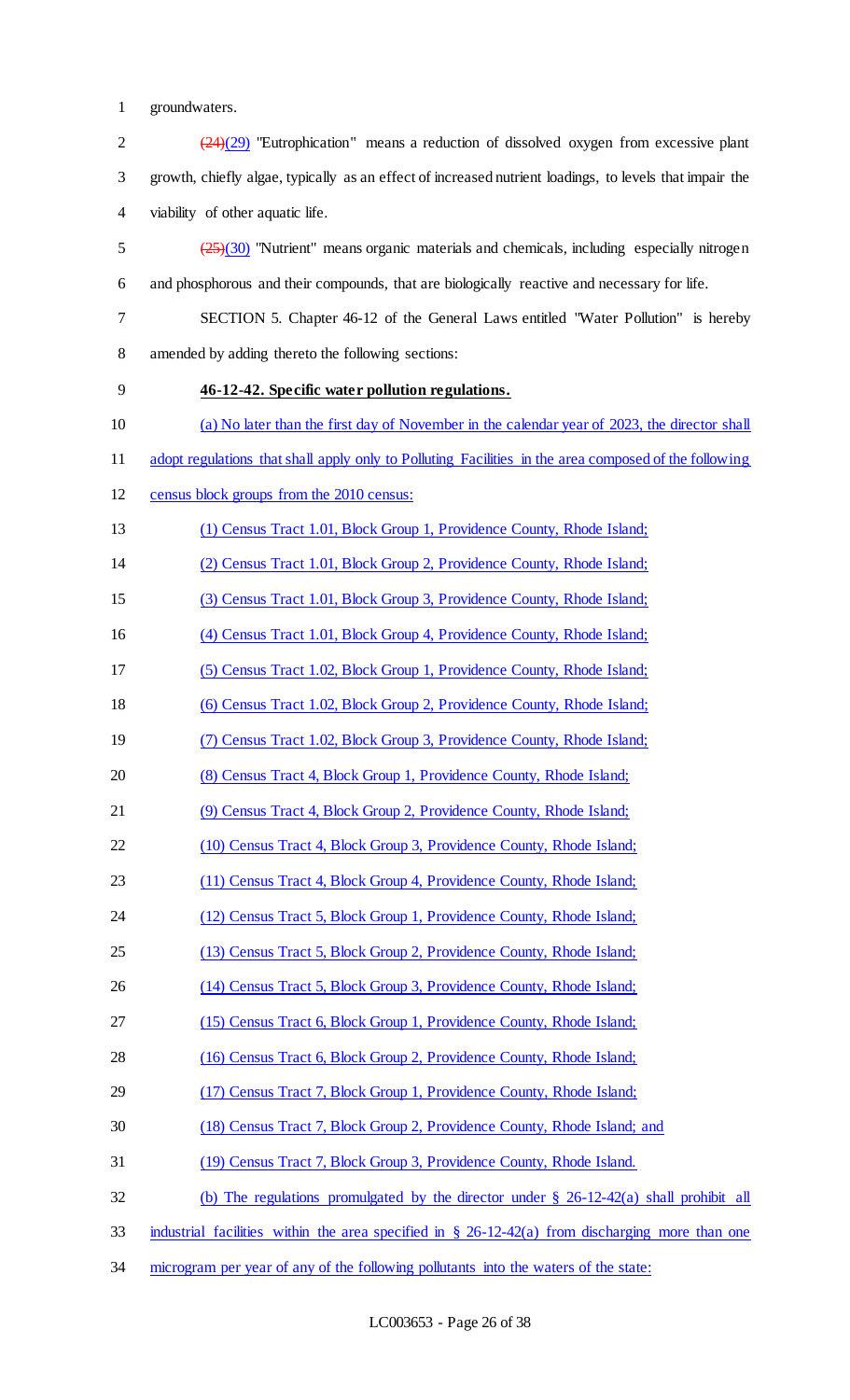groundwaters.

| $\overline{2}$ | $(24)(29)$ "Eutrophication" means a reduction of dissolved oxygen from excessive plant                  |
|----------------|---------------------------------------------------------------------------------------------------------|
| $\mathfrak{Z}$ | growth, chiefly algae, typically as an effect of increased nutrient loadings, to levels that impair the |
| 4              | viability of other aquatic life.                                                                        |
| 5              | $(25)(30)$ "Nutrient" means organic materials and chemicals, including especially nitrogen              |
| 6              | and phosphorous and their compounds, that are biologically reactive and necessary for life.             |
| 7              | SECTION 5. Chapter 46-12 of the General Laws entitled "Water Pollution" is hereby                       |
| $8\,$          | amended by adding thereto the following sections:                                                       |
| 9              | 46-12-42. Specific water pollution regulations.                                                         |
| 10             | (a) No later than the first day of November in the calendar year of 2023, the director shall            |
| 11             | adopt regulations that shall apply only to Polluting Facilities in the area composed of the following   |
| 12             | census block groups from the 2010 census:                                                               |
| 13             | (1) Census Tract 1.01, Block Group 1, Providence County, Rhode Island;                                  |
| 14             | (2) Census Tract 1.01, Block Group 2, Providence County, Rhode Island;                                  |
| 15             | (3) Census Tract 1.01, Block Group 3, Providence County, Rhode Island;                                  |
| 16             | (4) Census Tract 1.01, Block Group 4, Providence County, Rhode Island;                                  |
| 17             | (5) Census Tract 1.02, Block Group 1, Providence County, Rhode Island;                                  |
| 18             | (6) Census Tract 1.02, Block Group 2, Providence County, Rhode Island;                                  |
| 19             | (7) Census Tract 1.02, Block Group 3, Providence County, Rhode Island;                                  |
| 20             | (8) Census Tract 4, Block Group 1, Providence County, Rhode Island;                                     |
| 21             | (9) Census Tract 4, Block Group 2, Providence County, Rhode Island;                                     |
| 22             | (10) Census Tract 4, Block Group 3, Providence County, Rhode Island;                                    |
| 23             | (11) Census Tract 4, Block Group 4, Providence County, Rhode Island;                                    |
| 24             | (12) Census Tract 5, Block Group 1, Providence County, Rhode Island;                                    |
| 25             | (13) Census Tract 5, Block Group 2, Providence County, Rhode Island;                                    |
| 26             | (14) Census Tract 5, Block Group 3, Providence County, Rhode Island;                                    |
| 27             | (15) Census Tract 6, Block Group 1, Providence County, Rhode Island;                                    |
| 28             | (16) Census Tract 6, Block Group 2, Providence County, Rhode Island;                                    |
| 29             | (17) Census Tract 7, Block Group 1, Providence County, Rhode Island;                                    |
| 30             | (18) Census Tract 7, Block Group 2, Providence County, Rhode Island; and                                |
| 31             | (19) Census Tract 7, Block Group 3, Providence County, Rhode Island.                                    |
| 32             | (b) The regulations promulgated by the director under $\S$ 26-12-42(a) shall prohibit all               |
| 33             | industrial facilities within the area specified in § 26-12-42(a) from discharging more than one         |
| 34             | microgram per year of any of the following pollutants into the waters of the state:                     |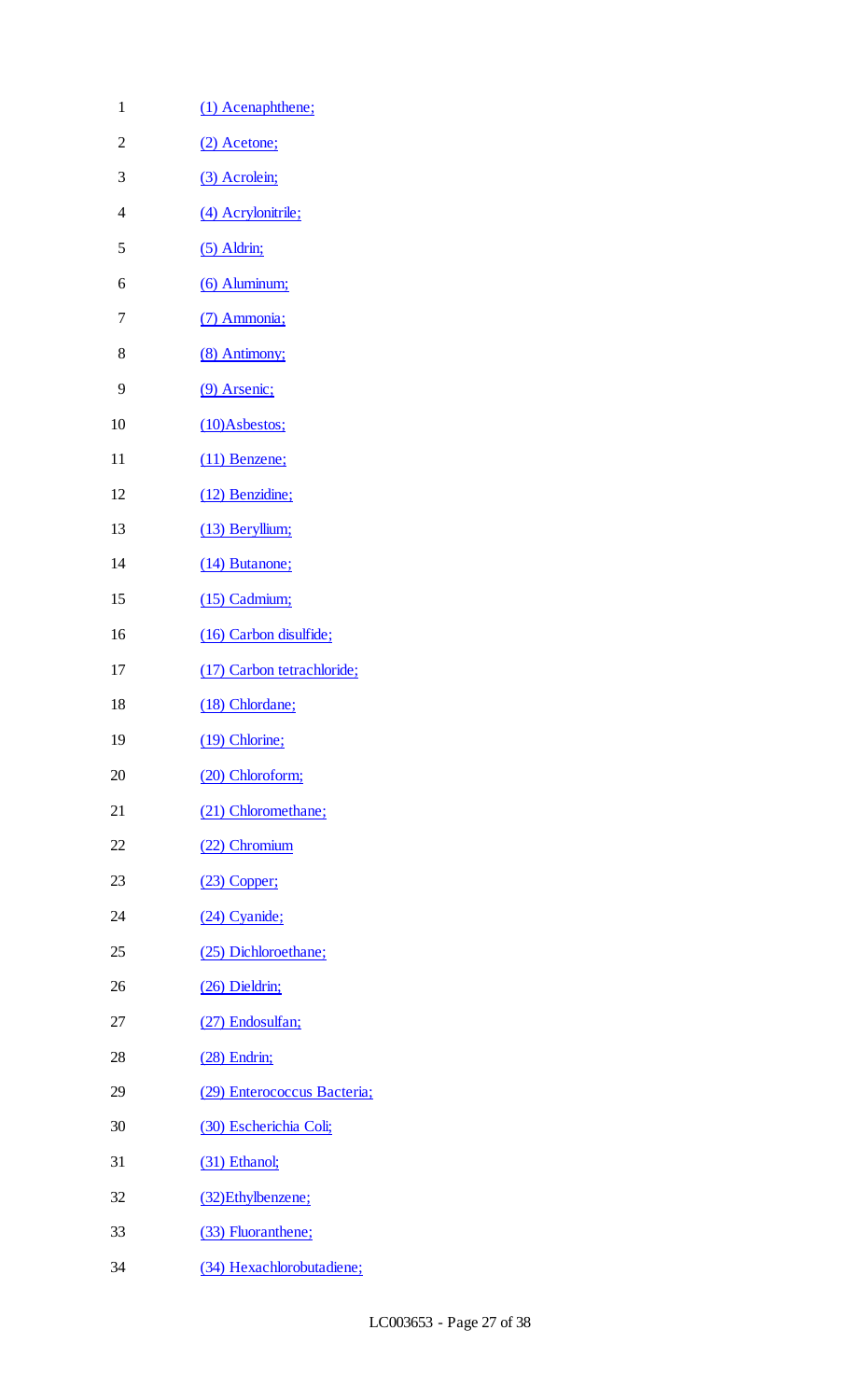| $\mathbf{1}$   | (1) Acenaphthene;           |
|----------------|-----------------------------|
| $\overline{2}$ | (2) Acetone;                |
| 3              | (3) Acrolein;               |
| $\overline{4}$ | (4) Acrylonitrile;          |
| 5              | $(5)$ Aldrin;               |
| 6              | (6) Aluminum;               |
| 7              | (7) Ammonia;                |
| 8              | (8) Antimony;               |
| 9              | (9) Arsenic;                |
| 10             | $(10)$ Asbestos;            |
| 11             | $(11)$ Benzene;             |
| 12             | (12) Benzidine;             |
| 13             | (13) Beryllium;             |
| 14             | (14) Butanone;              |
| 15             | $(15)$ Cadmium;             |
| 16             | (16) Carbon disulfide;      |
| 17             | (17) Carbon tetrachloride;  |
| 18             | (18) Chlordane;             |
| 19             | (19) Chlorine;              |
| 20             | (20) Chloroform;            |
| 21             | (21) Chloromethane;         |
| 22             | (22) Chromium               |
| 23             | $(23)$ Copper;              |
| 24             | (24) Cyanide;               |
| 25             | (25) Dichloroethane;        |
| 26             | (26) Dieldrin;              |
| 27             | (27) Endosulfan;            |
| 28             | $(28)$ Endrin;              |
| 29             | (29) Enterococcus Bacteria; |
| 30             | (30) Escherichia Coli;      |
| 31             | (31) Ethanol;               |
| 32             | (32) Ethylbenzene;          |
| 33             | (33) Fluoranthene;          |
| 34             | (34) Hexachlorobutadiene;   |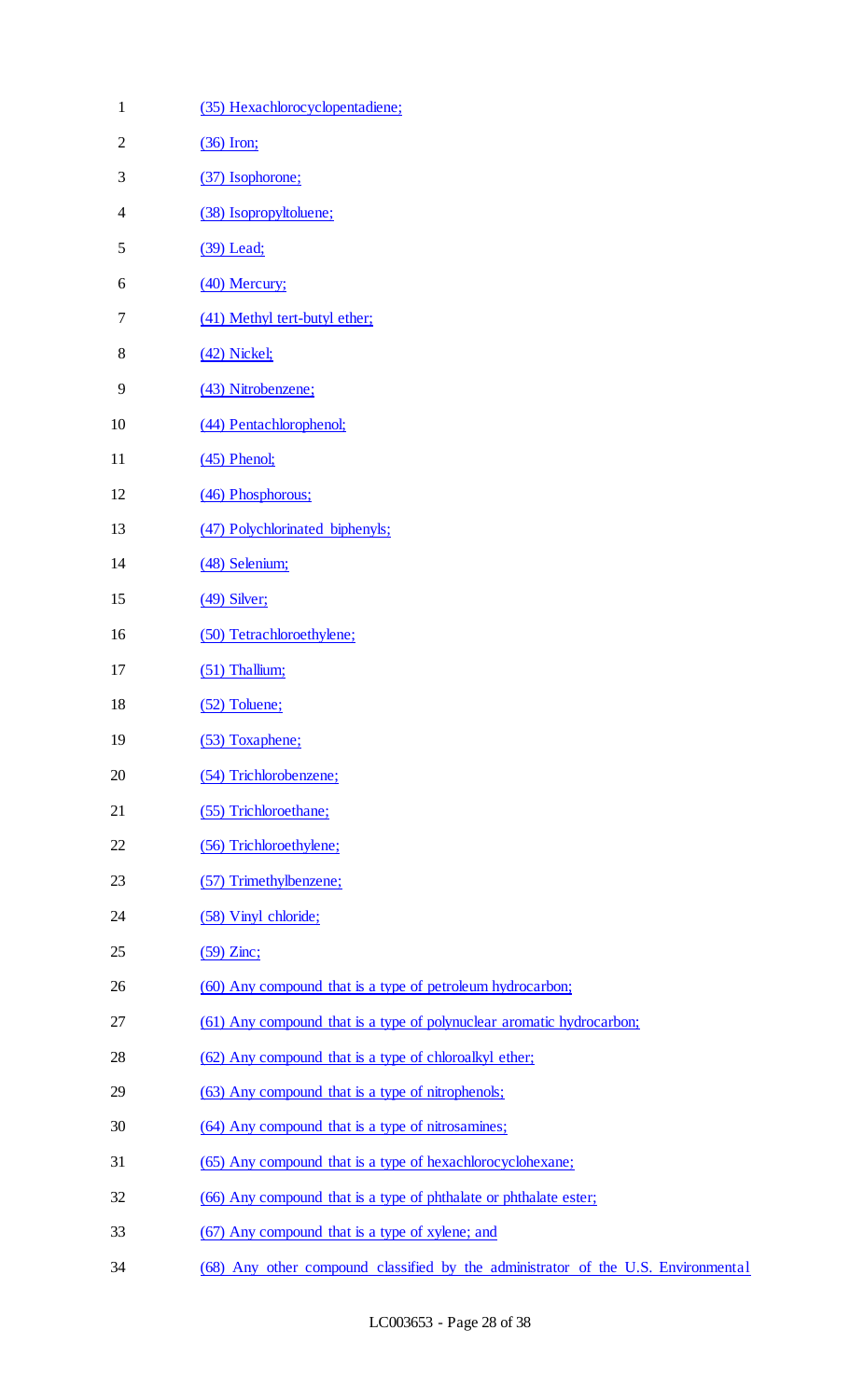| $\mathbf 1$  | (35) Hexachlorocyclopentadiene;                                                   |
|--------------|-----------------------------------------------------------------------------------|
| $\mathbf{2}$ | $(36)$ Iron;                                                                      |
| 3            | (37) Isophorone;                                                                  |
| 4            | (38) Isopropyltoluene;                                                            |
| 5            | (39) Lead;                                                                        |
| 6            | (40) Mercury;                                                                     |
| 7            | (41) Methyl tert-butyl ether;                                                     |
| 8            | $(42)$ Nickel;                                                                    |
| 9            | (43) Nitrobenzene;                                                                |
| 10           | (44) Pentachlorophenol;                                                           |
| 11           | $(45)$ Phenol;                                                                    |
| 12           | (46) Phosphorous;                                                                 |
| 13           | (47) Polychlorinated biphenyls;                                                   |
| 14           | (48) Selenium;                                                                    |
| 15           | $(49)$ Silver;                                                                    |
| 16           | (50) Tetrachloroethylene;                                                         |
| 17           | $(51)$ Thallium;                                                                  |
| 18           | (52) Toluene;                                                                     |
| 19           | (53) Toxaphene;                                                                   |
| 20           | (54) Trichlorobenzene;                                                            |
| 21           | (55) Trichloroethane;                                                             |
| 22           | (56) Trichloroethylene;                                                           |
| 23           | (57) Trimethylbenzene;                                                            |
| 24           | (58) Vinyl chloride;                                                              |
| 25           | $(59)$ Zinc;                                                                      |
| 26           | (60) Any compound that is a type of petroleum hydrocarbon;                        |
| 27           | (61) Any compound that is a type of polynuclear aromatic hydrocarbon;             |
| 28           | (62) Any compound that is a type of chloroalkyl ether;                            |
| 29           | (63) Any compound that is a type of nitrophenols;                                 |
| 30           | (64) Any compound that is a type of nitrosamines;                                 |
| 31           | (65) Any compound that is a type of hexachlorocyclohexane;                        |
| 32           | (66) Any compound that is a type of phthalate or phthalate ester;                 |
| 33           | (67) Any compound that is a type of xylene; and                                   |
| 34           | (68) Any other compound classified by the administrator of the U.S. Environmental |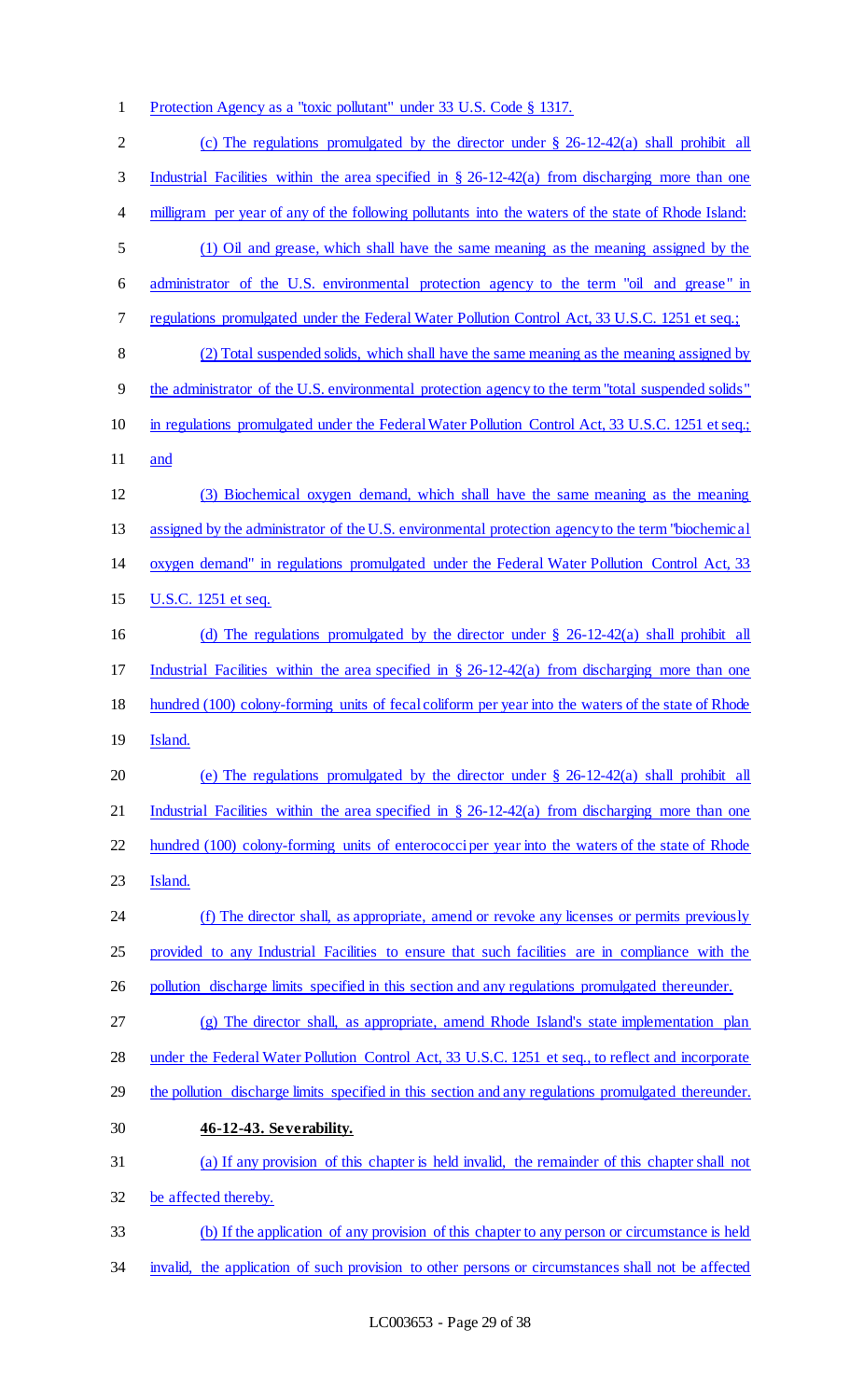Protection Agency as a "toxic pollutant" under 33 U.S. Code § 1317.

| $\mathbf{2}$ | (c) The regulations promulgated by the director under $\S$ 26-12-42(a) shall prohibit all            |
|--------------|------------------------------------------------------------------------------------------------------|
| 3            | Industrial Facilities within the area specified in $\S$ 26-12-42(a) from discharging more than one   |
| 4            | milligram per year of any of the following pollutants into the waters of the state of Rhode Island:  |
| 5            | (1) Oil and grease, which shall have the same meaning as the meaning assigned by the                 |
| 6            | administrator of the U.S. environmental protection agency to the term "oil and grease" in            |
| 7            | regulations promulgated under the Federal Water Pollution Control Act, 33 U.S.C. 1251 et seq.;       |
| $8\,$        | (2) Total suspended solids, which shall have the same meaning as the meaning assigned by             |
| 9            | the administrator of the U.S. environmental protection agency to the term "total suspended solids"   |
| 10           | in regulations promulgated under the Federal Water Pollution Control Act, 33 U.S.C. 1251 et seq.;    |
| 11           | and                                                                                                  |
| 12           | (3) Biochemical oxygen demand, which shall have the same meaning as the meaning                      |
| 13           | assigned by the administrator of the U.S. environmental protection agency to the term "biochemical"  |
| 14           | oxygen demand" in regulations promulgated under the Federal Water Pollution Control Act, 33          |
| 15           | U.S.C. 1251 et seq.                                                                                  |
| 16           | (d) The regulations promulgated by the director under $\S$ 26-12-42(a) shall prohibit all            |
| 17           | Industrial Facilities within the area specified in $\S$ 26-12-42(a) from discharging more than one   |
| 18           | hundred (100) colony-forming units of fecal coliform per year into the waters of the state of Rhode  |
| 19           | Island.                                                                                              |
| 20           | (e) The regulations promulgated by the director under $\S$ 26-12-42(a) shall prohibit all            |
| 21           | Industrial Facilities within the area specified in $\S$ 26-12-42(a) from discharging more than one   |
| 22           | hundred (100) colony-forming units of enterococciper year into the waters of the state of Rhode      |
| 23           | Island.                                                                                              |
| 24           | (f) The director shall, as appropriate, amend or revoke any licenses or permits previously           |
| 25           | provided to any Industrial Facilities to ensure that such facilities are in compliance with the      |
| 26           | pollution discharge limits specified in this section and any regulations promulgated thereunder.     |
| 27           | (g) The director shall, as appropriate, amend Rhode Island's state implementation plan               |
| 28           | under the Federal Water Pollution Control Act, 33 U.S.C. 1251 et seq., to reflect and incorporate    |
| 29           | the pollution discharge limits specified in this section and any regulations promulgated thereunder. |
| 30           | 46-12-43. Severability.                                                                              |
| 31           | (a) If any provision of this chapter is held invalid, the remainder of this chapter shall not        |
| 32           | be affected thereby.                                                                                 |
| 33           | (b) If the application of any provision of this chapter to any person or circumstance is held        |
| 34           | invalid, the application of such provision to other persons or circumstances shall not be affected   |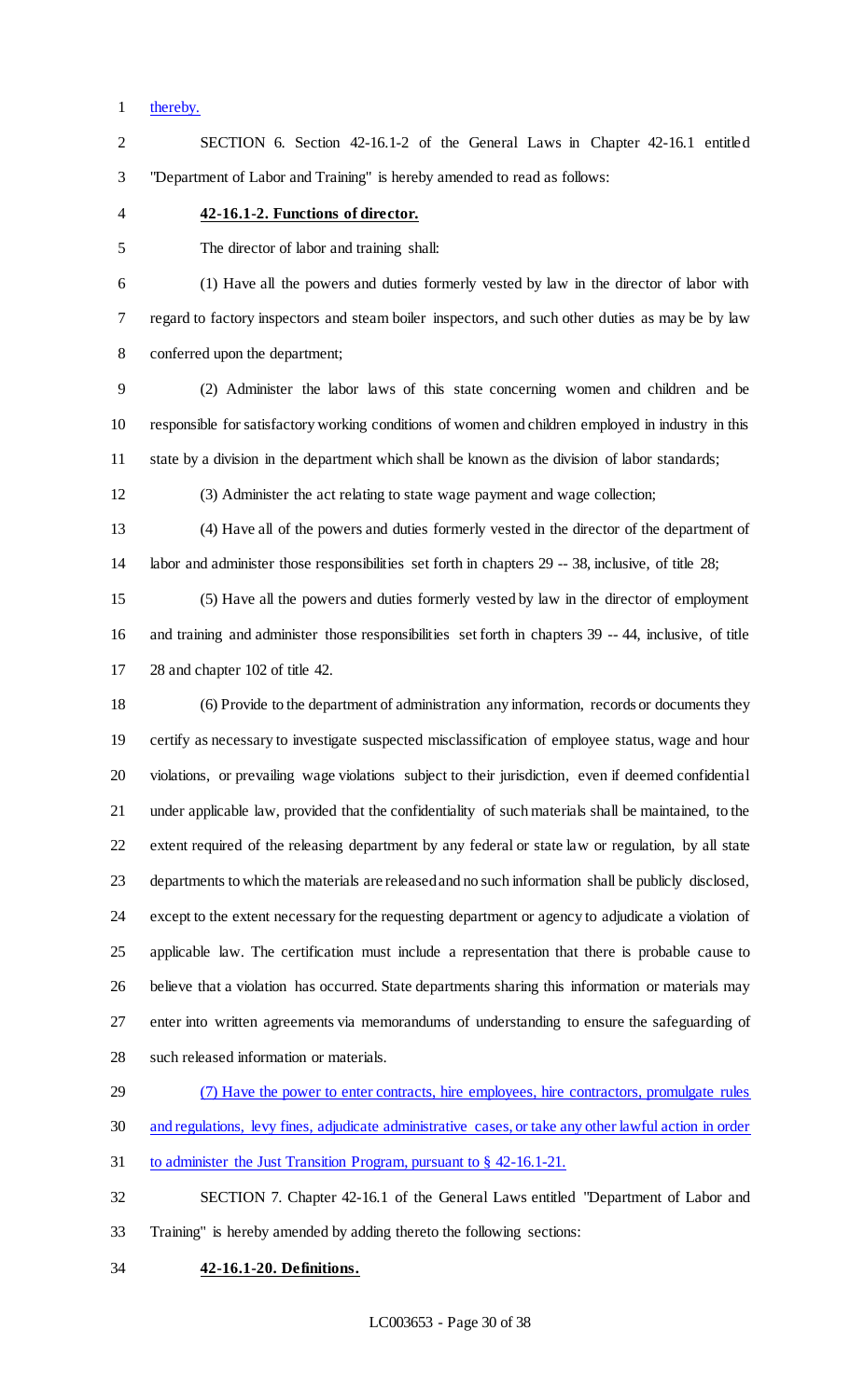thereby.

 SECTION 6. Section 42-16.1-2 of the General Laws in Chapter 42-16.1 entitled "Department of Labor and Training" is hereby amended to read as follows:

#### **42-16.1-2. Functions of director.**

The director of labor and training shall:

 (1) Have all the powers and duties formerly vested by law in the director of labor with regard to factory inspectors and steam boiler inspectors, and such other duties as may be by law conferred upon the department;

 (2) Administer the labor laws of this state concerning women and children and be responsible for satisfactory working conditions of women and children employed in industry in this state by a division in the department which shall be known as the division of labor standards;

(3) Administer the act relating to state wage payment and wage collection;

 (4) Have all of the powers and duties formerly vested in the director of the department of labor and administer those responsibilities set forth in chapters 29 -- 38, inclusive, of title 28;

 (5) Have all the powers and duties formerly vested by law in the director of employment and training and administer those responsibilities set forth in chapters 39 -- 44, inclusive, of title 28 and chapter 102 of title 42.

 (6) Provide to the department of administration any information, records or documents they certify as necessary to investigate suspected misclassification of employee status, wage and hour violations, or prevailing wage violations subject to their jurisdiction, even if deemed confidential under applicable law, provided that the confidentiality of such materials shall be maintained, to the extent required of the releasing department by any federal or state law or regulation, by all state departments to which the materials are released and no such information shall be publicly disclosed, except to the extent necessary for the requesting department or agency to adjudicate a violation of applicable law. The certification must include a representation that there is probable cause to believe that a violation has occurred. State departments sharing this information or materials may enter into written agreements via memorandums of understanding to ensure the safeguarding of such released information or materials.

# (7) Have the power to enter contracts, hire employees, hire contractors, promulgate rules

- and regulations, levy fines, adjudicate administrative cases, or take any other lawful action in order
- to administer the Just Transition Program, pursuant to § 42-16.1-21.
- SECTION 7. Chapter 42-16.1 of the General Laws entitled "Department of Labor and Training" is hereby amended by adding thereto the following sections:
- **42-16.1-20. Definitions.**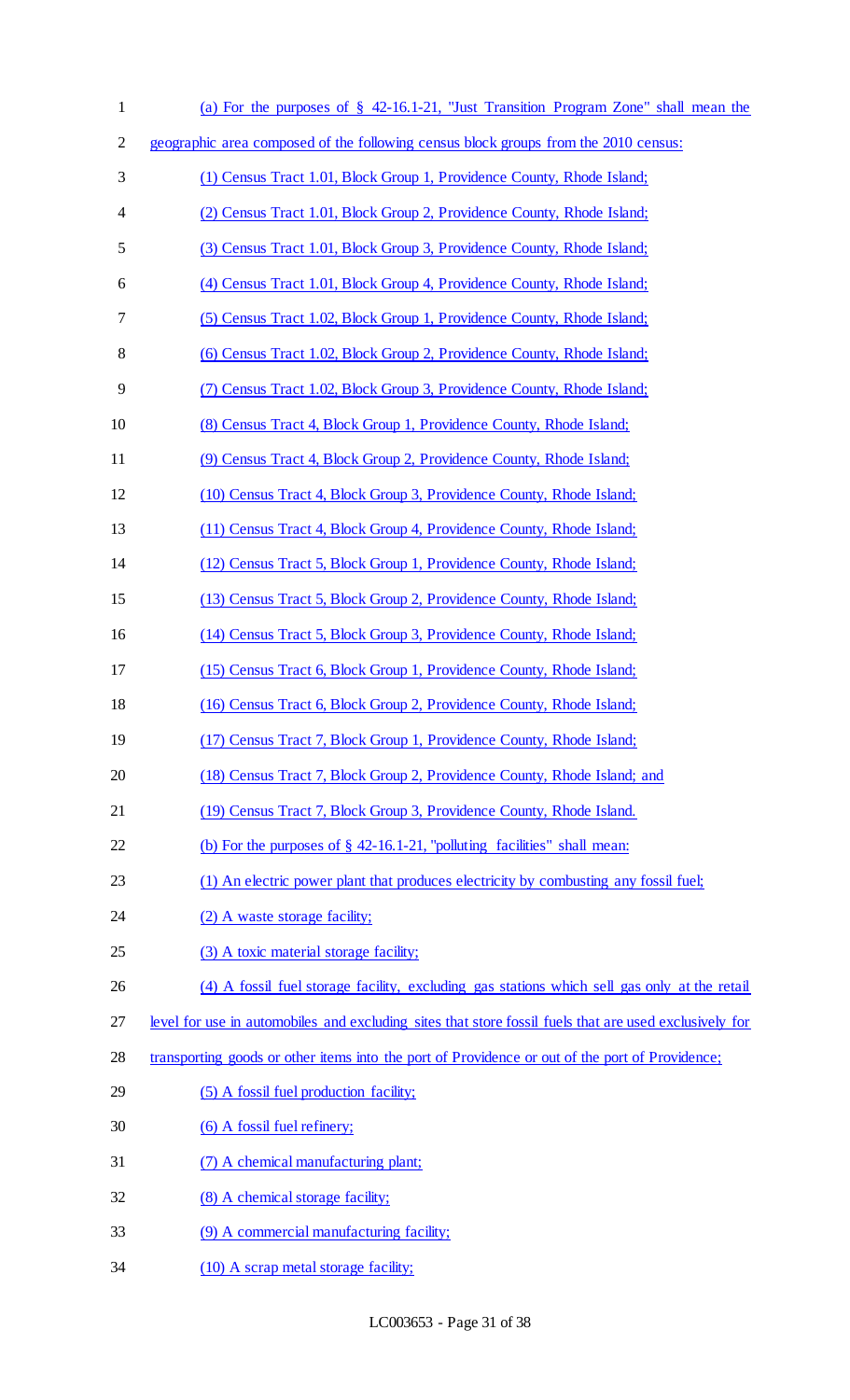| $\mathbf{1}$ | (a) For the purposes of § 42-16.1-21, "Just Transition Program Zone" shall mean the                    |
|--------------|--------------------------------------------------------------------------------------------------------|
| 2            | geographic area composed of the following census block groups from the 2010 census:                    |
| 3            | (1) Census Tract 1.01, Block Group 1, Providence County, Rhode Island;                                 |
| 4            | (2) Census Tract 1.01, Block Group 2, Providence County, Rhode Island;                                 |
| 5            | (3) Census Tract 1.01, Block Group 3, Providence County, Rhode Island;                                 |
| 6            | (4) Census Tract 1.01, Block Group 4, Providence County, Rhode Island;                                 |
| 7            | (5) Census Tract 1.02, Block Group 1, Providence County, Rhode Island;                                 |
| 8            | (6) Census Tract 1.02, Block Group 2, Providence County, Rhode Island;                                 |
| 9            | (7) Census Tract 1.02, Block Group 3, Providence County, Rhode Island;                                 |
| 10           | (8) Census Tract 4, Block Group 1, Providence County, Rhode Island;                                    |
| 11           | (9) Census Tract 4, Block Group 2, Providence County, Rhode Island;                                    |
| 12           | (10) Census Tract 4, Block Group 3, Providence County, Rhode Island;                                   |
| 13           | (11) Census Tract 4, Block Group 4, Providence County, Rhode Island;                                   |
| 14           | (12) Census Tract 5, Block Group 1, Providence County, Rhode Island;                                   |
| 15           | (13) Census Tract 5, Block Group 2, Providence County, Rhode Island;                                   |
| 16           | (14) Census Tract 5, Block Group 3, Providence County, Rhode Island;                                   |
| 17           | (15) Census Tract 6, Block Group 1, Providence County, Rhode Island;                                   |
| 18           | (16) Census Tract 6, Block Group 2, Providence County, Rhode Island;                                   |
| 19           | (17) Census Tract 7, Block Group 1, Providence County, Rhode Island;                                   |
| 20           | (18) Census Tract 7, Block Group 2, Providence County, Rhode Island; and                               |
| 21           | (19) Census Tract 7, Block Group 3, Providence County, Rhode Island.                                   |
| 22           | (b) For the purposes of $\S$ 42-16.1-21, "polluting facilities" shall mean:                            |
| 23           | (1) An electric power plant that produces electricity by combusting any fossil fuel;                   |
| 24           | (2) A waste storage facility;                                                                          |
| 25           | (3) A toxic material storage facility;                                                                 |
| 26           | (4) A fossil fuel storage facility, excluding gas stations which sell gas only at the retail           |
| 27           | level for use in automobiles and excluding sites that store fossil fuels that are used exclusively for |
| 28           | transporting goods or other items into the port of Providence or out of the port of Providence;        |
| 29           | (5) A fossil fuel production facility;                                                                 |
| 30           | (6) A fossil fuel refinery;                                                                            |
| 31           | (7) A chemical manufacturing plant;                                                                    |
| 32           | (8) A chemical storage facility;                                                                       |
| 33           | (9) A commercial manufacturing facility;                                                               |
| 34           | (10) A scrap metal storage facility;                                                                   |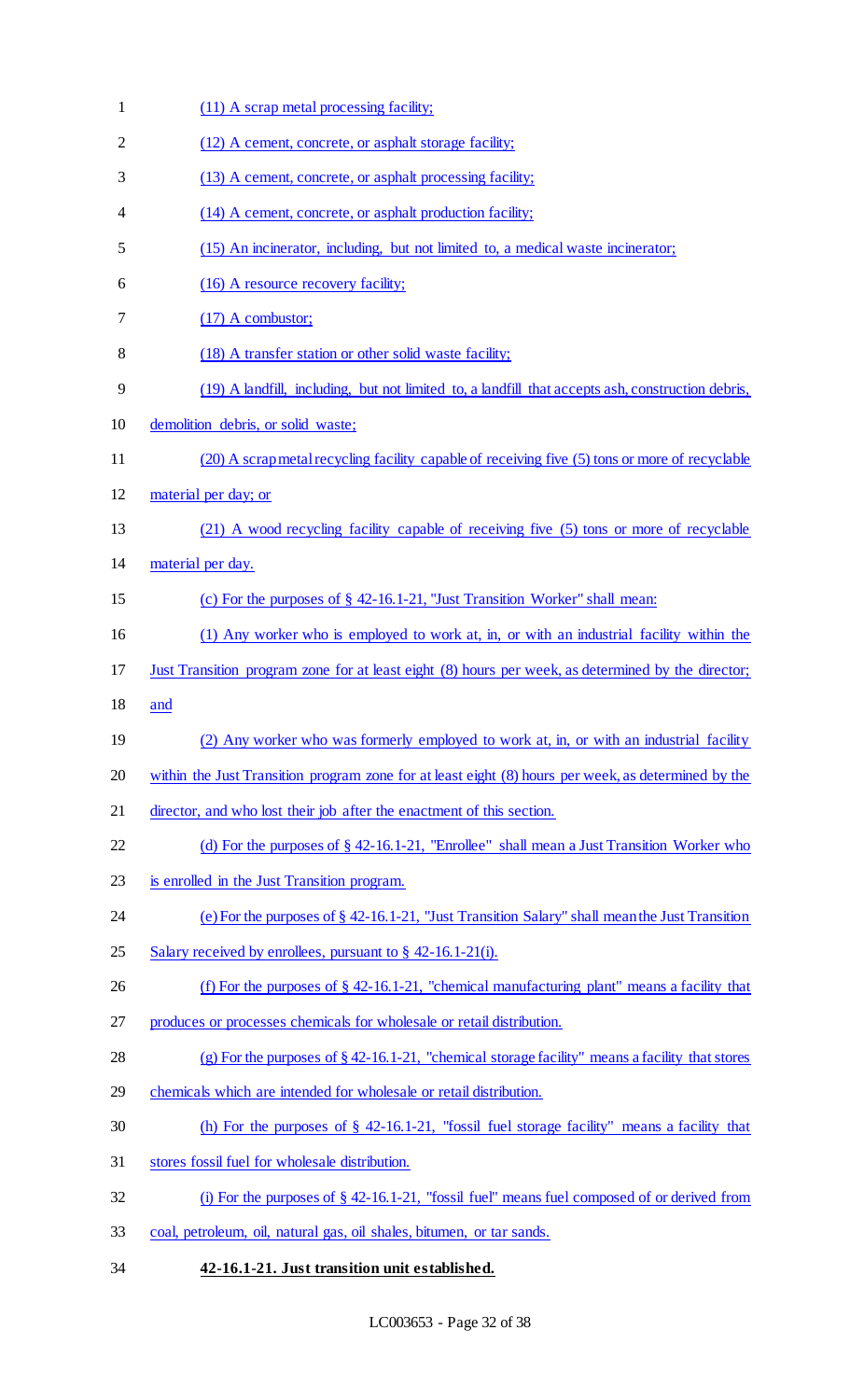| $\mathbf{1}$ | (11) A scrap metal processing facility;                                                             |
|--------------|-----------------------------------------------------------------------------------------------------|
| 2            | (12) A cement, concrete, or asphalt storage facility;                                               |
| 3            | (13) A cement, concrete, or asphalt processing facility;                                            |
| 4            | (14) A cement, concrete, or asphalt production facility;                                            |
| 5            | (15) An incinerator, including, but not limited to, a medical waste incinerator;                    |
| 6            | (16) A resource recovery facility;                                                                  |
| 7            | $(17)$ A combustor;                                                                                 |
| 8            | (18) A transfer station or other solid waste facility;                                              |
| 9            | (19) A landfill, including, but not limited to, a landfill that accepts ash, construction debris,   |
| 10           | demolition debris, or solid waste;                                                                  |
| 11           | (20) A scrap metal recycling facility capable of receiving five (5) tons or more of recyclable      |
| 12           | material per day; or                                                                                |
| 13           | (21) A wood recycling facility capable of receiving five (5) tons or more of recyclable             |
| 14           | material per day.                                                                                   |
| 15           | (c) For the purposes of $\S$ 42-16.1-21, "Just Transition Worker" shall mean:                       |
| 16           | (1) Any worker who is employed to work at, in, or with an industrial facility within the            |
| 17           | Just Transition program zone for at least eight (8) hours per week, as determined by the director;  |
| 18           | and                                                                                                 |
| 19           | (2) Any worker who was formerly employed to work at, in, or with an industrial facility             |
| 20           | within the Just Transition program zone for at least eight (8) hours per week, as determined by the |
| 21           | director, and who lost their job after the enactment of this section.                               |
| 22           | (d) For the purposes of $\S$ 42-16.1-21, "Enrollee" shall mean a Just Transition Worker who         |
| 23           | is enrolled in the Just Transition program.                                                         |
| 24           | (e) For the purposes of $\S$ 42-16.1-21, "Just Transition Salary" shall mean the Just Transition    |
| 25           | Salary received by enrollees, pursuant to $\S$ 42-16.1-21(i).                                       |
| 26           | (f) For the purposes of $\S$ 42-16.1-21, "chemical manufacturing plant" means a facility that       |
| 27           | produces or processes chemicals for wholesale or retail distribution.                               |
| 28           | (g) For the purposes of $\S 42$ -16.1-21, "chemical storage facility" means a facility that stores  |
| 29           | chemicals which are intended for wholesale or retail distribution.                                  |
| 30           | (h) For the purposes of $\S$ 42-16.1-21, "fossil fuel storage facility" means a facility that       |
| 31           | stores fossil fuel for wholesale distribution.                                                      |
| 32           | (i) For the purposes of $\S$ 42-16.1-21, "fossil fuel" means fuel composed of or derived from       |
| 33           | coal, petroleum, oil, natural gas, oil shales, bitumen, or tar sands.                               |
| 34           | 42-16.1-21. Just transition unit established.                                                       |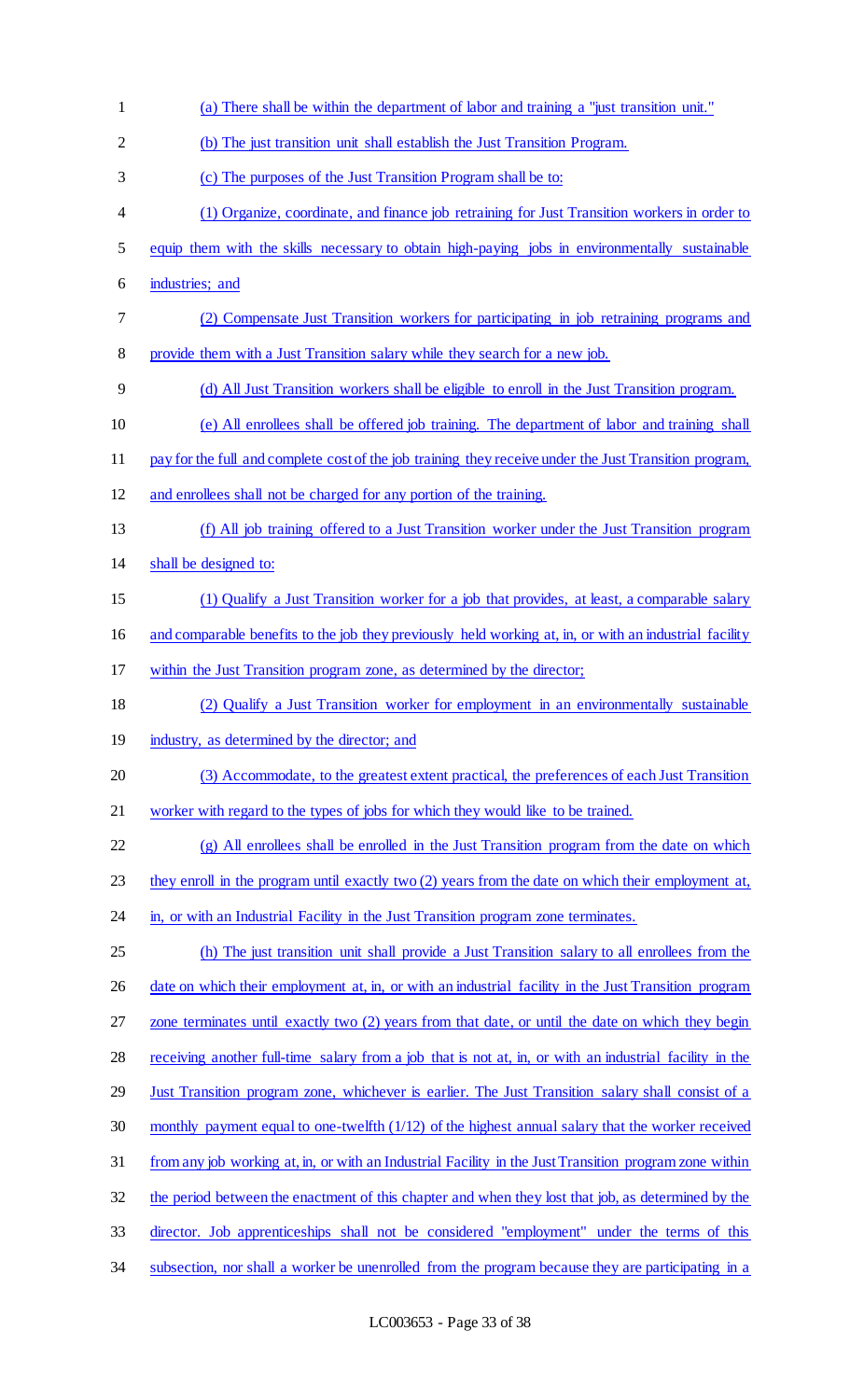| $\mathbf{1}$ | (a) There shall be within the department of labor and training a "just transition unit."                |
|--------------|---------------------------------------------------------------------------------------------------------|
| 2            | (b) The just transition unit shall establish the Just Transition Program.                               |
| 3            | (c) The purposes of the Just Transition Program shall be to:                                            |
| 4            | (1) Organize, coordinate, and finance job retraining for Just Transition workers in order to            |
| 5            | equip them with the skills necessary to obtain high-paying jobs in environmentally sustainable          |
| 6            | industries; and                                                                                         |
| 7            | (2) Compensate Just Transition workers for participating in job retraining programs and                 |
| 8            | provide them with a Just Transition salary while they search for a new job.                             |
| 9            | (d) All Just Transition workers shall be eligible to enroll in the Just Transition program.             |
| 10           | (e) All enrollees shall be offered job training. The department of labor and training shall             |
| 11           | pay for the full and complete cost of the job training they receive under the Just Transition program,  |
| 12           | and enrollees shall not be charged for any portion of the training.                                     |
| 13           | (f) All job training offered to a Just Transition worker under the Just Transition program              |
| 14           | shall be designed to:                                                                                   |
| 15           | (1) Qualify a Just Transition worker for a job that provides, at least, a comparable salary             |
| 16           | and comparable benefits to the job they previously held working at, in, or with an industrial facility  |
| 17           | within the Just Transition program zone, as determined by the director;                                 |
| 18           | (2) Qualify a Just Transition worker for employment in an environmentally sustainable                   |
| 19           | industry, as determined by the director; and                                                            |
| 20           | (3) Accommodate, to the greatest extent practical, the preferences of each Just Transition              |
| 21           | worker with regard to the types of jobs for which they would like to be trained.                        |
| 22           | (g) All enrollees shall be enrolled in the Just Transition program from the date on which               |
| 23           | they enroll in the program until exactly two (2) years from the date on which their employment at,      |
| 24           | in, or with an Industrial Facility in the Just Transition program zone terminates.                      |
| 25           | (h) The just transition unit shall provide a Just Transition salary to all enrollees from the           |
| 26           | date on which their employment at, in, or with an industrial facility in the Just Transition program    |
| 27           | zone terminates until exactly two (2) years from that date, or until the date on which they begin       |
| 28           | receiving another full-time salary from a job that is not at, in, or with an industrial facility in the |
| 29           | Just Transition program zone, whichever is earlier. The Just Transition salary shall consist of a       |
| 30           | monthly payment equal to one-twelfth (1/12) of the highest annual salary that the worker received       |
| 31           | from any job working at, in, or with an Industrial Facility in the Just Transition program zone within  |
|              |                                                                                                         |
| 32           | the period between the enactment of this chapter and when they lost that job, as determined by the      |
| 33           | director. Job apprenticeships shall not be considered "employment" under the terms of this              |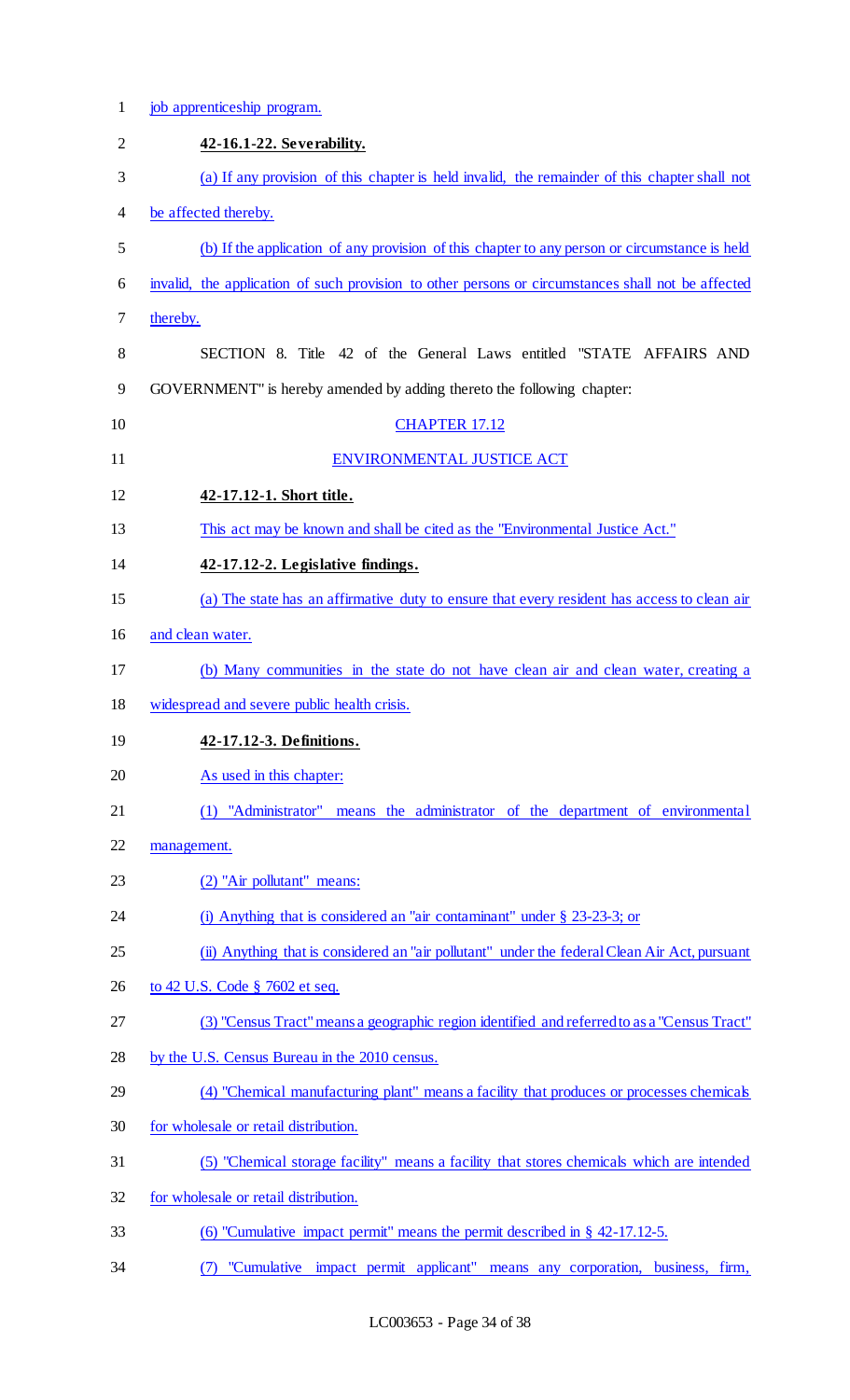| $\mathbf{1}$   | job apprenticeship program.                                                                        |
|----------------|----------------------------------------------------------------------------------------------------|
| $\overline{2}$ | 42-16.1-22. Severability.                                                                          |
| 3              | (a) If any provision of this chapter is held invalid, the remainder of this chapter shall not      |
| 4              | be affected thereby.                                                                               |
| 5              | (b) If the application of any provision of this chapter to any person or circumstance is held      |
| 6              | invalid, the application of such provision to other persons or circumstances shall not be affected |
| $\tau$         | thereby.                                                                                           |
| 8              | SECTION 8. Title 42 of the General Laws entitled "STATE AFFAIRS AND                                |
| 9              | GOVERNMENT" is hereby amended by adding thereto the following chapter:                             |
| 10             | <b>CHAPTER 17.12</b>                                                                               |
| 11             | ENVIRONMENTAL JUSTICE ACT                                                                          |
| 12             | 42-17.12-1. Short title.                                                                           |
| 13             | This act may be known and shall be cited as the "Environmental Justice Act."                       |
| 14             | 42-17.12-2. Legislative findings.                                                                  |
| 15             | (a) The state has an affirmative duty to ensure that every resident has access to clean air        |
| 16             | and clean water.                                                                                   |
| 17             | (b) Many communities in the state do not have clean air and clean water, creating a                |
| 18             | widespread and severe public health crisis.                                                        |
| 19             | 42-17.12-3. Definitions.                                                                           |
| 20             | As used in this chapter:                                                                           |
| 21             | (1) "Administrator" means the administrator of the department of environmental                     |
| 22             | management.                                                                                        |
| 23             | (2) "Air pollutant" means:                                                                         |
| 24             | (i) Anything that is considered an "air contaminant" under $\S$ 23-23-3; or                        |
| 25             | (ii) Anything that is considered an "air pollutant" under the federal Clean Air Act, pursuant      |
| 26             | to 42 U.S. Code § 7602 et seq.                                                                     |
| 27             | (3) "Census Tract" means a geographic region identified and referred to as a "Census Tract"        |
| 28             | by the U.S. Census Bureau in the 2010 census.                                                      |
| 29             | (4) "Chemical manufacturing plant" means a facility that produces or processes chemicals           |
| 30             | for wholesale or retail distribution.                                                              |
| 31             | (5) "Chemical storage facility" means a facility that stores chemicals which are intended          |
| 32             | for wholesale or retail distribution.                                                              |
| 33             | (6) "Cumulative impact permit" means the permit described in $\S$ 42-17.12-5.                      |
| 34             | "Cumulative impact permit applicant" means any corporation, business, firm,<br>(7)                 |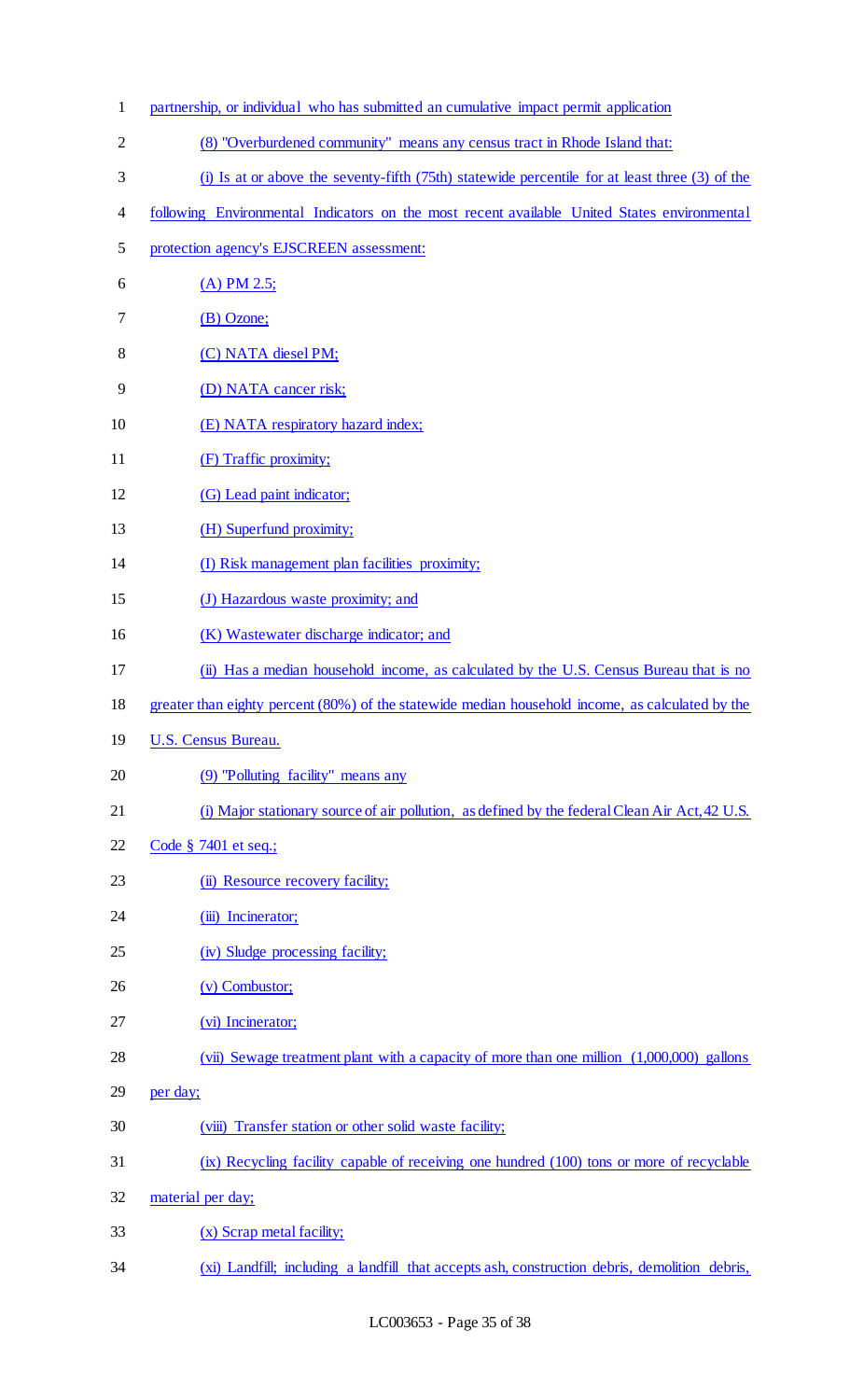1 partnership, or individual who has submitted an cumulative impact permit application 2 (8) "Overburdened community" means any census tract in Rhode Island that: 3 (i) Is at or above the seventy-fifth (75th) statewide percentile for at least three (3) of the 4 following Environmental Indicators on the most recent available United States environmental 5 protection agency's EJSCREEN assessment: 6  $(A) PM 2.5;$ 7 (B) Ozone; 8 (C) NATA diesel PM; 9 (D) NATA cancer risk; 10 (E) NATA respiratory hazard index; 11 (F) Traffic proximity; 12 (G) Lead paint indicator; 13 (H) Superfund proximity; 14 (I) Risk management plan facilities proximity; 15 (J) Hazardous waste proximity; and 16 (K) Wastewater discharge indicator; and 17 (ii) Has a median household income, as calculated by the U.S. Census Bureau that is no 18 greater than eighty percent (80%) of the statewide median household income, as calculated by the 19 U.S. Census Bureau. 20 (9) "Polluting facility" means any 21 (i) Major stationary source of air pollution, as defined by the federal Clean Air Act, 42 U.S. 22 Code § 7401 et seq.; 23 (ii) Resource recovery facility; 24 (iii) Incinerator; 25 (iv) Sludge processing facility; 26 (v) Combustor; 27 (vi) Incinerator; 28 (vii) Sewage treatment plant with a capacity of more than one million (1,000,000) gallons 29 per day; 30 (viii) Transfer station or other solid waste facility; 31 (ix) Recycling facility capable of receiving one hundred (100) tons or more of recyclable 32 material per day; 33 (x) Scrap metal facility; 34 (xi) Landfill; including a landfill that accepts ash, construction debris, demolition debris,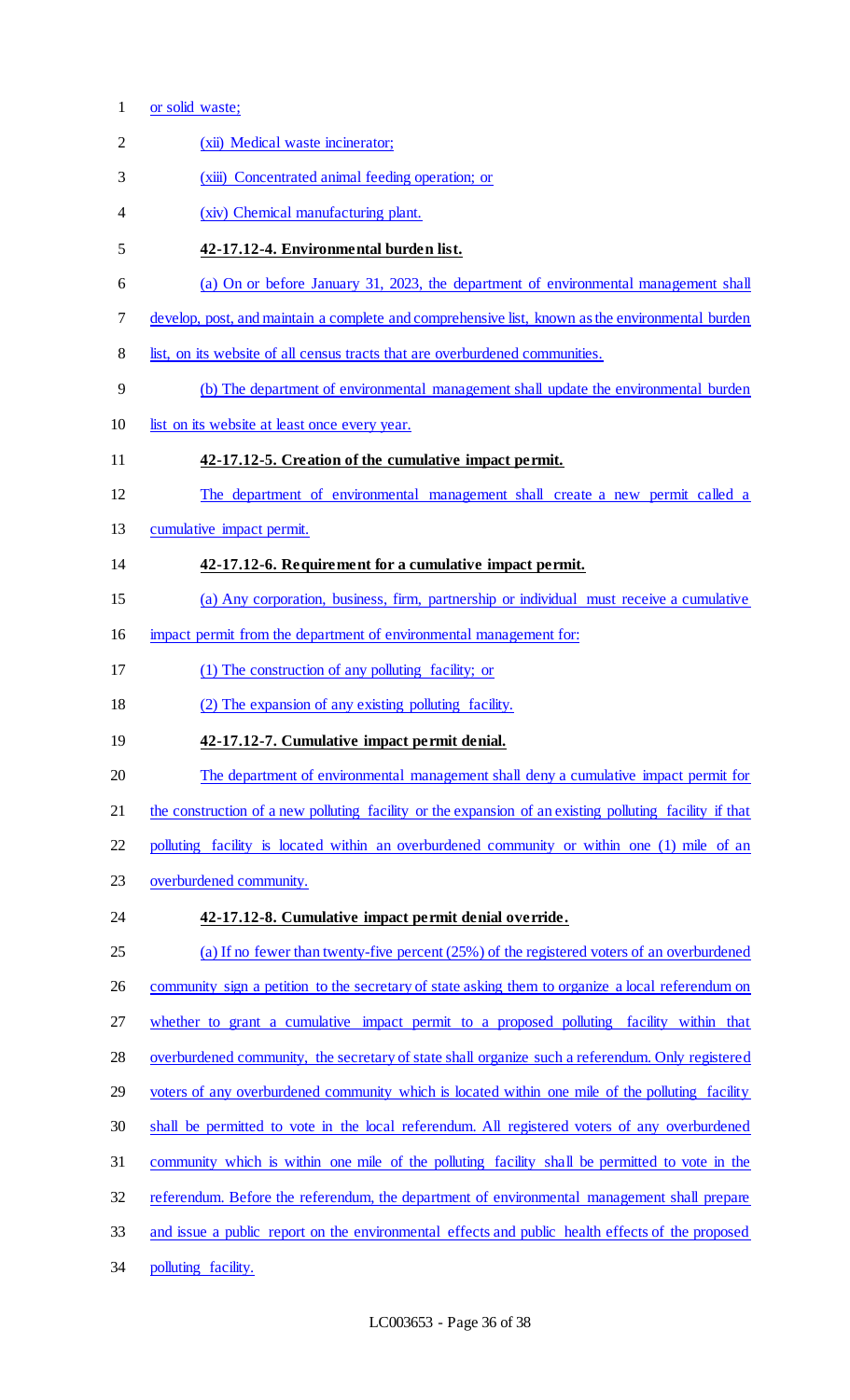- or solid waste;
- (xii) Medical waste incinerator; (xiii) Concentrated animal feeding operation; or (xiv) Chemical manufacturing plant. **42-17.12-4. Environmental burden list.**  (a) On or before January 31, 2023, the department of environmental management shall develop, post, and maintain a complete and comprehensive list, known as the environmental burden 8 list, on its website of all census tracts that are overburdened communities. (b) The department of environmental management shall update the environmental burden 10 list on its website at least once every year. **42-17.12-5. Creation of the cumulative impact permit.**  The department of environmental management shall create a new permit called a cumulative impact permit. **42-17.12-6. Requirement for a cumulative impact permit.**  (a) Any corporation, business, firm, partnership or individual must receive a cumulative 16 impact permit from the department of environmental management for: (1) The construction of any polluting facility; or (2) The expansion of any existing polluting facility. **42-17.12-7. Cumulative impact permit denial.**  The department of environmental management shall deny a cumulative impact permit for 21 the construction of a new polluting facility or the expansion of an existing polluting facility if that 22 polluting facility is located within an overburdened community or within one (1) mile of an overburdened community. **42-17.12-8. Cumulative impact permit denial override.**  (a) If no fewer than twenty-five percent (25%) of the registered voters of an overburdened 26 community sign a petition to the secretary of state asking them to organize a local referendum on whether to grant a cumulative impact permit to a proposed polluting facility within that overburdened community, the secretary of state shall organize such a referendum. Only registered 29 voters of any overburdened community which is located within one mile of the polluting facility shall be permitted to vote in the local referendum. All registered voters of any overburdened community which is within one mile of the polluting facility shall be permitted to vote in the referendum. Before the referendum, the department of environmental management shall prepare 33 and issue a public report on the environmental effects and public health effects of the proposed 34 polluting facility.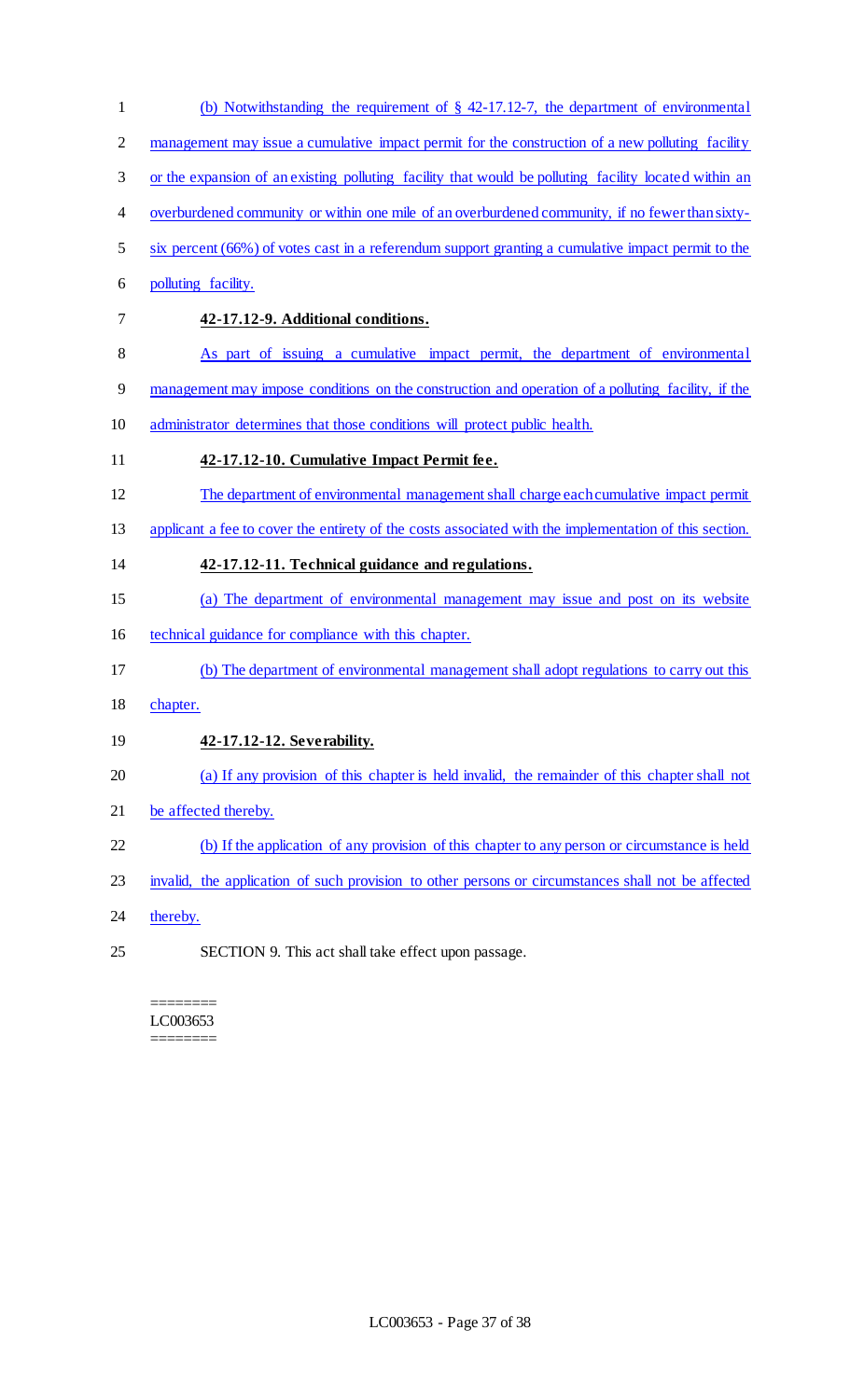- (b) Notwithstanding the requirement of § 42-17.12-7, the department of environmental 2 management may issue a cumulative impact permit for the construction of a new polluting facility or the expansion of an existing polluting facility that would be polluting facility located within an overburdened community or within one mile of an overburdened community, if no fewer than sixty- six percent (66%) of votes cast in a referendum support granting a cumulative impact permit to the polluting facility. **42-17.12-9. Additional conditions.**  As part of issuing a cumulative impact permit, the department of environmental management may impose conditions on the construction and operation of a polluting facility, if the administrator determines that those conditions will protect public health. **42-17.12-10. Cumulative Impact Permit fee.**  The department of environmental management shall charge each cumulative impact permit applicant a fee to cover the entirety of the costs associated with the implementation of this section. **42-17.12-11. Technical guidance and regulations.**  (a) The department of environmental management may issue and post on its website technical guidance for compliance with this chapter. (b) The department of environmental management shall adopt regulations to carry out this chapter. **42-17.12-12. Severability.**  (a) If any provision of this chapter is held invalid, the remainder of this chapter shall not be affected thereby. (b) If the application of any provision of this chapter to any person or circumstance is held invalid, the application of such provision to other persons or circumstances shall not be affected
- 24 thereby.
- SECTION 9. This act shall take effect upon passage.

======== LC003653 ========